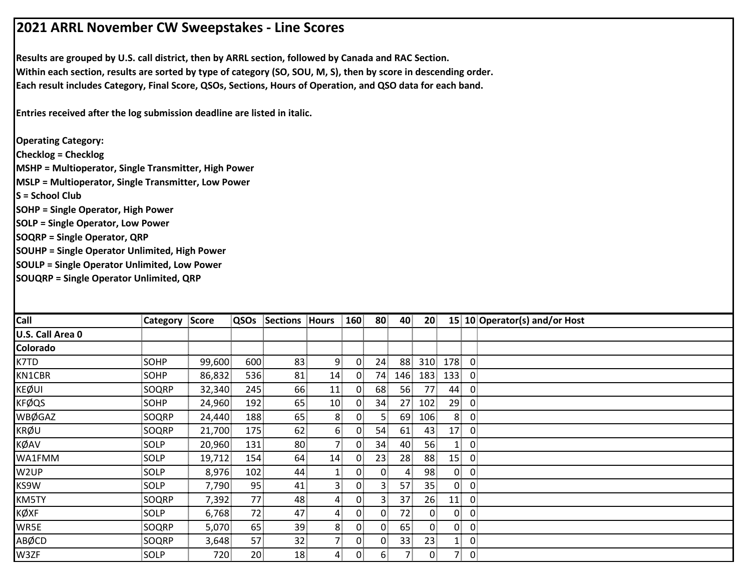## **2021 ARRL November CW Sweepstakes ‐ Line Scores**

**Results are grouped by U.S. call district, then by ARRL section, followed by Canada and RAC Section. Within each section, results are sorted by type of category (SO, SOU, M, S), then by score in descending order. Each result includes Category, Final Score, QSOs, Sections, Hours of Operation, and QSO data for each band.**

**Entries received after the log submission deadline are listed in italic.**

**Operating Category: Checklog = Checklog MSHP = Multioperator, Single Transmitter, High Power MSLP = Multioperator, Single Transmitter, Low Power S = School ClubSOHP = Single Operator, High Power SOLP = Single Operator, Low Power SOQRP = Single Operator, QRP SOUHP = Single Operator Unlimited, High Power SOULP = Single Operator Unlimited, Low Power SOUQRP = Single Operator Unlimited, QRP**

| Call             | <b>Category Score</b> |        | QSOs            | Sections | Hours           | 160            | 80             | 40  | 20 <sup>2</sup> | 15 10 Operator(s) and/or Host |
|------------------|-----------------------|--------|-----------------|----------|-----------------|----------------|----------------|-----|-----------------|-------------------------------|
| U.S. Call Area 0 |                       |        |                 |          |                 |                |                |     |                 |                               |
| Colorado         |                       |        |                 |          |                 |                |                |     |                 |                               |
| K7TD             | SOHP                  | 99,600 | 600             | 83       | 9               | $\mathbf{0}$   | 24             | 88  | 310             | 178<br>$\overline{0}$         |
| KN1CBR           | <b>SOHP</b>           | 86,832 | 536             | 81       | 14              | $\overline{0}$ | 74.            | 146 | 183             | 133<br>$\overline{0}$         |
| <b>KEØUI</b>     | SOQRP                 | 32,340 | 245             | 66       | 11              | $\overline{0}$ | 68             | 56  | 77              | $\mathbf 0$<br>44             |
| <b>KFØQS</b>     | SOHP                  | 24,960 | 192             | 65       | 10 <sub>1</sub> | $\overline{0}$ | 34             | 27  | 102             | 29<br>$\overline{0}$          |
| <b>WBØGAZ</b>    | SOQRP                 | 24,440 | 188             | 65       | 8               | 0              |                | 69  | 106             | 8<br>$\overline{0}$           |
| <b>KRØU</b>      | SOQRP                 | 21,700 | 175             | 62       | 6               | $\overline{0}$ | 54             | 61  | 43              | 17<br>$\overline{0}$          |
| KØAV             | SOLP                  | 20,960 | 131             | 80       | 71              | $\mathbf{0}$   | 34             | 40  | 56              | $\mathbf 0$                   |
| WA1FMM           | <b>SOLP</b>           | 19,712 | 154             | 64       | 14              | $\mathbf{0}$   | 23             | 28  | 88              | 15<br>$\mathbf 0$             |
| W2UP             | SOLP                  | 8,976  | 102             | 44       |                 | $\overline{0}$ | $\overline{0}$ | 4.  | 98              | $\mathbf{0}$<br>$\mathbf 0$   |
| KS9W             | <b>SOLP</b>           | 7,790  | 95              | 41       | 3               | 0              | 31             | 57  | 35              | 0<br>$\overline{0}$           |
| KM5TY            | SOQRP                 | 7,392  | 77              | 48       | 4               | 0              | 31             | 37  | 26              | 11<br>$\overline{0}$          |
| KØXF             | SOLP                  | 6,768  | 72              | 47       | 4               | $\overline{0}$ | $\overline{0}$ | 72  | $\mathbf{0}$    | $\mathbf{0}$<br>$\mathbf{0}$  |
| WR5E             | SOQRP                 | 5,070  | 65              | 39       | 8 <sup>1</sup>  | $\overline{0}$ | $\overline{0}$ | 65  | $\overline{0}$  | 0<br>$\mathbf{0}$             |
| ABØCD            | SOQRP                 | 3,648  | 57              | 32       | 7!              | $\mathbf{0}$   | $\mathbf{0}$   | 33  | 23              | $\mathbf{0}$<br>$\mathbf{1}$  |
| W3ZF             | <b>SOLP</b>           | 720    | 20 <sup>1</sup> | 18       | 4               | 0              | 6              |     | $\overline{0}$  | 7<br>$\overline{0}$           |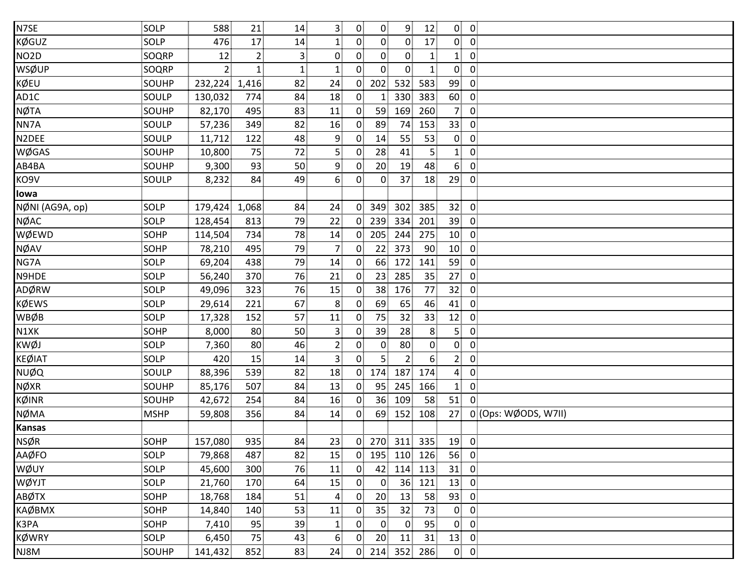| N7SE              | SOLP        | 588            | 21             | 14                | $\overline{\mathbf{3}}$ | $\overline{0}$ | $\overline{0}$    | 9              | 12                | $\overline{0}$  | $\overline{0}$          |
|-------------------|-------------|----------------|----------------|-------------------|-------------------------|----------------|-------------------|----------------|-------------------|-----------------|-------------------------|
| KØGUZ             | SOLP        | 476            | 17             | 14                | 1                       | $\overline{0}$ | $\overline{0}$    | $\overline{0}$ | 17                | $\overline{0}$  | $\overline{\mathbf{0}}$ |
| NO <sub>2</sub> D | SOQRP       | 12             | $\overline{2}$ | 3 <sup>3</sup>    | $\overline{0}$          | $\mathbf{0}$   | 0 <sup>1</sup>    | $\overline{0}$ | $\mathbf{1}$      | 1 <sub>1</sub>  | $\overline{0}$          |
| WSØUP             | SOQRP       | 2 <sup>1</sup> | 1 <sup>1</sup> | $1^{\frac{1}{2}}$ | $\mathbf{1}$            | 0              | $\overline{0}$    | $\overline{0}$ | $\mathbf{1}$      | $\overline{0}$  | $\overline{0}$          |
| KØEU              | SOUHP       | 232,224        | 1,416          | 82                | 24                      | $\overline{0}$ | 202               | 532            | 583               | 99              | $\overline{0}$          |
| AD1C              | SOULP       | 130,032        | 774            | 84                | 18                      | $\overline{0}$ | $\mathbf{1}$      | 330            | 383               | 60              | $\overline{0}$          |
| <b>NØTA</b>       | SOUHP       | 82,170         | 495            | 83                | 11                      | $\mathbf{0}$   | 59                | 169            | 260               | 7 <sup>1</sup>  | $\overline{0}$          |
| NN7A              | SOULP       | 57,236         | 349            | 82                | 16                      | $\overline{0}$ | 89                | 74             | 153               | 33              | $\overline{0}$          |
| N2DEE             | SOULP       | 11,712         | 122            | 48                | 9                       | $\overline{0}$ | 14                | 55             | 53                | $\overline{0}$  | $\overline{0}$          |
| WØGAS             | SOUHP       | 10,800         | 75             | 72                | 5                       | $\overline{0}$ | 28                | 41             | 5 <sub>1</sub>    | 1 <sub>1</sub>  | $\mathbf 0$             |
| AB4BA             | SOUHP       | 9,300          | 93             | 50                | 9                       | $\overline{0}$ | 20                | 19             | 48                | 6 <sup>1</sup>  | $\overline{0}$          |
| KO9V              | SOULP       | 8,232          | 84             | 49                | 6                       | 0              | $\overline{0}$    | 37             | 18                | 29              | $\mathbf{0}$            |
| lowa              |             |                |                |                   |                         |                |                   |                |                   |                 |                         |
| NØNI (AG9A, op)   | SOLP        | 179,424        | 1,068          | 84                | 24                      | $\overline{0}$ | 349               | 302            | 385               | 32              | $\overline{0}$          |
| NØAC              | SOLP        | 128,454        | 813            | 79                | 22                      | $\overline{0}$ | 239               | 334            | 201               | 39              | $\overline{0}$          |
| WØEWD             | SOHP        | 114,504        | 734            | 78                | 14                      | $\overline{0}$ | 205               | 244            | 275               | 10 <sub>1</sub> | $\overline{0}$          |
| NØAV              | <b>SOHP</b> | 78,210         | 495            | 79                | $\overline{7}$          | $\overline{0}$ | 22                | 373            | 90                | 10 <sup>1</sup> | $\overline{0}$          |
| NG7A              | SOLP        | 69,204         | 438            | 79                | 14                      | $\mathbf{0}$   | 66                | 172            | 141               | 59              | $\overline{0}$          |
| N9HDE             | SOLP        | 56,240         | 370            | 76                | 21                      | $\mathbf{0}$   | 23 <sup>1</sup>   | 285            | 35                | 27              | $\mathbf{0}$            |
| ADØRW             | SOLP        | 49,096         | 323            | 76                | 15                      | $\overline{0}$ | 38 <sup>2</sup>   | 176            | 77                | 32              | $\overline{0}$          |
| <b>KØEWS</b>      | SOLP        | 29,614         | 221            | 67                | 8                       | $\mathbf{0}$   | 69                | 65             | 46                | 41              | $\overline{0}$          |
| WBØB              | SOLP        | 17,328         | 152            | 57                | 11                      | $\overline{0}$ | 75                | 32             | 33                | 12              | $\overline{0}$          |
| N1XK              | SOHP        | 8,000          | 80             | 50                | $\overline{3}$          | 0              | 39                | 28             | 8 <sup>1</sup>    | 5 <sup>1</sup>  | $\overline{0}$          |
| ĸwøj              | SOLP        | 7,360          | 80             | 46                | $\overline{2}$          | $\overline{0}$ | $\overline{0}$    | 80             | $\overline{0}$    | $\overline{0}$  | $\mathbf 0$             |
| <b>KEØIAT</b>     | SOLP        | 420            | 15             | 14                | 3 <sup>1</sup>          | 0 <sup>1</sup> | $5^{\frac{1}{3}}$ | $\overline{2}$ | $6^{\frac{1}{3}}$ | 2 <sup>1</sup>  | $\mathbf 0$             |
| NUØQ              | SOULP       | 88,396         | 539            | 82                | 18                      | $\overline{0}$ | 174               | 187            | 174               | $\overline{4}$  | $\overline{0}$          |
| NØXR              | SOUHP       | 85,176         | 507            | 84                | 13                      | $\overline{0}$ | 95                | 245            | 166               | $\mathbf{1}$    | $\overline{0}$          |
| KØINR             | SOUHP       | 42,672         | 254            | 84                | 16                      | $\mathbf{0}$   | 36 <sup>1</sup>   | 109            | 58                | 51              | $\overline{0}$          |
| NØMA              | <b>MSHP</b> | 59,808         | 356            | 84                | 14                      | $\mathbf{0}$   | 69                | 152            | 108               | 27              | 0 (Ops: WØODS, W7II)    |
| <b>Kansas</b>     |             |                |                |                   |                         |                |                   |                |                   |                 |                         |
| <b>NSØR</b>       | SOHP        | 157,080        | 935            | 84                | 23                      |                | 0 270 311 335     |                |                   | 19              | $\overline{0}$          |
| AAØFO             | SOLP        | 79,868         | 487            | 82                | 15                      | $\overline{0}$ | 195               | 110            | 126               | 56              | $\overline{0}$          |
| WØUY              | SOLP        | 45,600         | 300            | 76                | 11                      | $\overline{0}$ | 42                | 114            | 113               | 31              | $\overline{0}$          |
| WØYJT             | SOLP        | 21,760         | 170            | 64                | 15                      | $\overline{0}$ | $\overline{0}$    | 36             | 121               | 13              | $\overline{0}$          |
| ABØTX             | SOHP        | 18,768         | 184            | 51                | $\overline{a}$          | 0 <sup>1</sup> | 20                | 13             | 58                | 93              | $\overline{0}$          |
| КАØВМХ            | SOHP        | 14,840         | 140            | 53                | 11                      | $\mathbf{0}$   | 35 <sub>1</sub>   | 32             | 73                | $\overline{0}$  | $\mathbf{0}$            |
| K3PA              | SOHP        | 7,410          | 95             | 39                | $\mathbf{1}$            | 0 <sup>1</sup> | $\mathbf{0}$      | $\mathbf{0}$   | 95                | $\overline{0}$  | $\overline{0}$          |
| KØWRY             | SOLP        | 6,450          | 75             | 43                | 6                       | $\mathbf{0}$   | 20                | 11             | 31                | 13              | $\mathbf 0$             |
| NJ8M              | SOUHP       | 141,432        | 852            | 83                | 24                      | 0 <sub>1</sub> | 214               | 352            | 286               | $\overline{0}$  | $\overline{0}$          |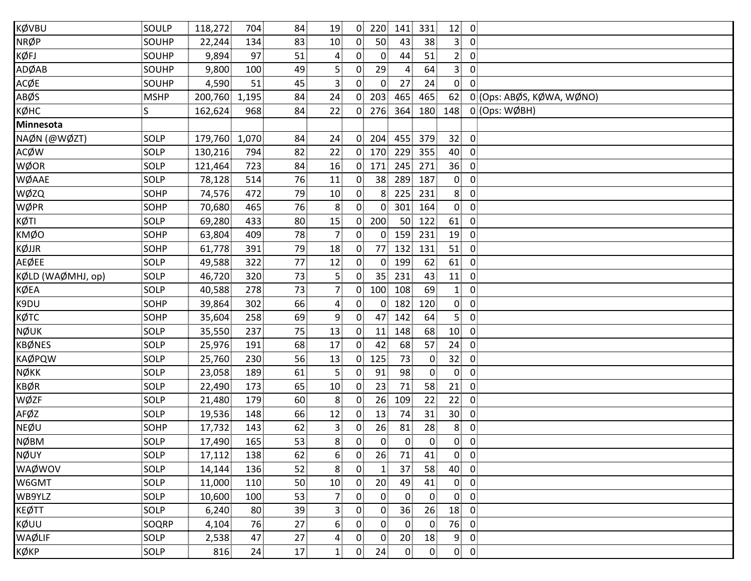| KØVBU             | SOULP        | 118,272       | 704 | 84 | 19                      | $\overline{0}$ | 220             | 141            | 331            | 12 <sub>1</sub> | $\overline{0}$            |
|-------------------|--------------|---------------|-----|----|-------------------------|----------------|-----------------|----------------|----------------|-----------------|---------------------------|
| <b>NRØP</b>       | SOUHP        | 22,244        | 134 | 83 | 10                      | $\overline{0}$ | 50              | 43             | 38             | 3 <sup>1</sup>  | $\overline{0}$            |
| KØFJ              | SOUHP        | 9,894         | 97  | 51 | 4                       | $\mathbf{0}$   | $\mathbf{0}$    | 44             | 51             | 2 <sup>1</sup>  | $\overline{0}$            |
| ADØAB             | SOUHP        | 9,800         | 100 | 49 | 5 <sup>1</sup>          | 0              | 29              | $\overline{4}$ | 64             | 3 <sup>1</sup>  | $\mathbf 0$               |
| ACØE              | SOUHP        | 4,590         | 51  | 45 | 3                       | $\mathbf{0}$   | $\overline{0}$  | 27             | 24             | $\overline{0}$  | $\Omega$                  |
| ABØS              | <b>MSHP</b>  | 200,760 1,195 |     | 84 | 24                      | $\Omega$       | 203             | 465            | 465            | 62              | 0 (Ops: ABØS, KØWA, WØNO) |
| кøнс              | $\mathsf{S}$ | 162,624       | 968 | 84 | 22                      | $\overline{0}$ | 276             | 364            | 180            | 148             | 0 (Ops: WØBH)             |
| <b>Minnesota</b>  |              |               |     |    |                         |                |                 |                |                |                 |                           |
| NAØN (@WØZT)      | SOLP         | 179,760 1,070 |     | 84 | 24                      | $\Omega$       | 204             | 455            | 379            | 32 <sub>1</sub> | $\overline{0}$            |
| <b>ACØW</b>       | SOLP         | 130,216       | 794 | 82 | 22                      | $\overline{0}$ | 170             | 229            | 355            | 40              | 0                         |
| WØOR              | SOLP         | 121,464       | 723 | 84 | 16                      | 0              | 171             | 245            | 271            | 36              | $\overline{0}$            |
| WØAAE             | SOLP         | 78,128        | 514 | 76 | 11                      | 0              | 38              | 289            | 187            | $\overline{0}$  | $\overline{0}$            |
| WØZQ              | SOHP         | 74,576        | 472 | 79 | 10                      | 0              | 8 <sup>1</sup>  | 225            | 231            | 8 <sup>1</sup>  | $\overline{0}$            |
| WØPR              | SOHP         | 70,680        | 465 | 76 | 8 <sup>1</sup>          | 0 <sup>1</sup> | $\overline{0}$  | 301            | 164            | 0 <sub>0</sub>  |                           |
| KØTI              | SOLP         | 69,280        | 433 | 80 | 15                      | $\mathbf{0}$   | 200             | 50             | 122            | 61              | 0                         |
| <b>KMØO</b>       | SOHP         | 63,804        | 409 | 78 | $\overline{7}$          | $\mathbf{0}$   | $\overline{0}$  | 159            | 231            | 19              | $\overline{0}$            |
| KØJJR             | <b>SOHP</b>  | 61,778        | 391 | 79 | 18                      | 0              | 77              | 132            | 131            | 51              | $\mathbf 0$               |
| <b>AEØEE</b>      | SOLP         | 49,588        | 322 | 77 | 12                      | 0              | $\overline{0}$  | 199            | 62             | 61              | $\mathbf 0$               |
| KØLD (WAØMHJ, op) | SOLP         | 46,720        | 320 | 73 | 5                       | 0              | 35 <sup>1</sup> | 231            | 43             | 11              | $\overline{0}$            |
| <b>KØEA</b>       | SOLP         | 40,588        | 278 | 73 | $\overline{7}$          | $\overline{0}$ | 100             | 108            | 69             | $\mathbf{1}$    | $\overline{0}$            |
| K9DU              | SOHP         | 39,864        | 302 | 66 | $\overline{4}$          | $\overline{0}$ | 0               | 182            | 120            | $\overline{0}$  | $\overline{0}$            |
| кøтс              | SOHP         | 35,604        | 258 | 69 | $\overline{9}$          | $\mathbf{0}$   | 47              | 142            | 64             | 5 <sub>1</sub>  | $\mathbf 0$               |
| NØUK              | SOLP         | 35,550        | 237 | 75 | 13                      | $\mathbf{0}$   | 11              | 148            | 68             | 10              | $\overline{0}$            |
| <b>KBØNES</b>     | SOLP         | 25,976        | 191 | 68 | 17                      | 0              | 42              | 68             | 57             | 24              | $\mathbf 0$               |
| <b>KAØPQW</b>     | SOLP         | 25,760        | 230 | 56 | 13                      | 0              | 125             | 73             | $\mathbf 0$    | 32              | $\overline{0}$            |
| <b>NØKK</b>       | SOLP         | 23,058        | 189 | 61 | 5 <sup>1</sup>          | 0              | 91              | 98             | $\overline{0}$ | $\mathbf{0}$    | $\overline{0}$            |
| <b>KBØR</b>       | SOLP         | 22,490        | 173 | 65 | 10                      | 0              | 23              | 71             | 58             | 21              | $\mathbf 0$               |
| WØZF              | SOLP         | 21,480        | 179 | 60 | 8 <sup>1</sup>          | $\mathbf{0}$   | 26              | 109            | 22             | 22              | $\mathbf 0$               |
| AFØZ              | SOLP         | 19,536        | 148 | 66 | 12                      | $\mathbf{0}$   | 13              | 74             | 31             | 30              | 0                         |
| <b>NEØU</b>       | SOHP         | 17,732        | 143 | 62 | $\overline{\mathbf{3}}$ | $\mathbf{0}$   | 26              | 81             | 28             | 8               | 0                         |
| <b>NØBM</b>       | SOLP         | 17,490        | 165 | 53 | 8                       | 0              | 0               | $\overline{0}$ | $\overline{0}$ | $\overline{0}$  | $\overline{0}$            |
| NØUY              | SOLP         | 17,112        | 138 | 62 | 6                       | $\overline{0}$ | 26              | 71             | 41             | $0 \quad 0$     |                           |
| WAØWOV            | SOLP         | 14,144        | 136 | 52 | 8                       | $\overline{0}$ | $\mathbf{1}$    | 37             | 58             | 40              | $\overline{0}$            |
| W6GMT             | SOLP         | 11,000        | 110 | 50 | 10                      | 0              | 20 <sub>1</sub> | 49             | 41             | $\mathbf{0}$    | $\mathbf 0$               |
| WB9YLZ            | SOLP         | 10,600        | 100 | 53 | $\overline{7}$          | $\overline{0}$ | $\overline{0}$  | $\mathbf{0}$   | $\mathbf 0$    | $\overline{0}$  | $\overline{0}$            |
| <b>KEØTT</b>      | SOLP         | 6,240         | 80  | 39 | $\mathbf{3}$            | 0              | $\overline{0}$  | 36             | 26             | 18              | $\mathbf 0$               |
| KØUU              | SOQRP        | 4,104         | 76  | 27 | $6 \overline{6}$        | 0              | $\overline{0}$  | $\overline{0}$ | $\mathbf 0$    | 76              | $\overline{0}$            |
| WAØLIF            | SOLP         | 2,538         | 47  | 27 | $\overline{4}$          | $\overline{0}$ | $\overline{0}$  | 20             | 18             | 9 <sub>1</sub>  | $\overline{0}$            |
| KØKP              | SOLP         | 816           | 24  | 17 | $\mathbf{1}$            | 0 <sub>1</sub> | 24              | $\mathbf{0}$   | $\overline{0}$ | $0$ 0           |                           |
|                   |              |               |     |    |                         |                |                 |                |                |                 |                           |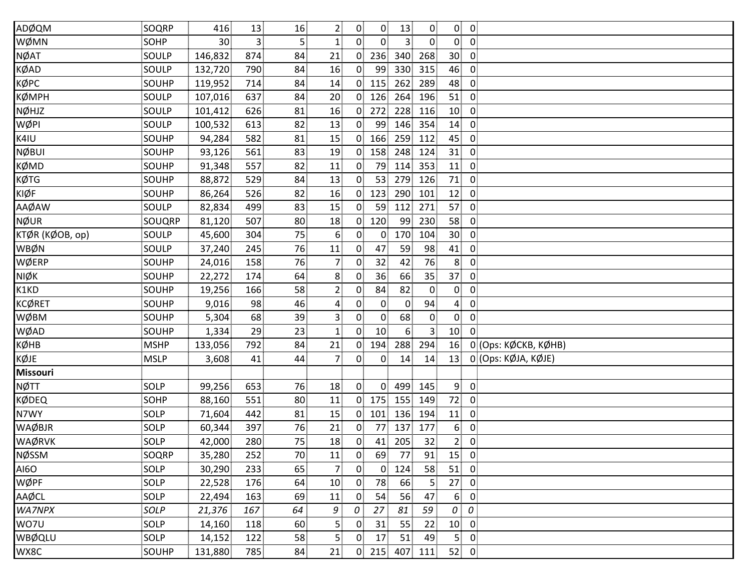| ADØQM           | SOQRP       | 416             | 13  | 16             | $\overline{2}$   | $\mathbf{0}$   | 0               | 13             | $\mathbf{0}$   | $\overline{0}$  | $\overline{\mathbf{0}}$ |
|-----------------|-------------|-----------------|-----|----------------|------------------|----------------|-----------------|----------------|----------------|-----------------|-------------------------|
| WØMN            | SOHP        | 30 <sub>1</sub> | 3   | 5 <sup>1</sup> | $\mathbf{1}$     | 0 <sup>1</sup> | $\overline{0}$  | $\overline{3}$ | $\overline{0}$ | $\overline{0}$  | $\overline{0}$          |
| <b>NØAT</b>     | SOULP       | 146,832         | 874 | 84             | 21               | $\mathbf{0}$   | 236             | 340            | 268            | 30 <sup>1</sup> | $\overline{0}$          |
| KØAD            | SOULP       | 132,720         | 790 | 84             | 16               | 0              | 99              | 330            | 315            | 46              | $\overline{0}$          |
| KØPC            | SOUHP       | 119,952         | 714 | 84             | 14               | $\overline{0}$ | 115             | 262            | 289            | 48              | $\overline{0}$          |
| ҜØ҆МҎҤ          | SOULP       | 107,016         | 637 | 84             | 20               | $\overline{0}$ | 126             | 264            | 196            | 51              | $\overline{0}$          |
| NØHJZ           | SOULP       | 101,412         | 626 | 81             | 16               | $\overline{0}$ | 272             | 228            | 116            | 10              | $\overline{0}$          |
| WØPI            | SOULP       | 100,532         | 613 | 82             | 13               | $\overline{0}$ | 99              | 146            | 354            | 14              | $\overline{0}$          |
| K4IU            | SOUHP       | 94,284          | 582 | 81             | 15               | 0 <sup>1</sup> | 166             | 259            | 112            | 45              | $\overline{0}$          |
| NØBUI           | SOUHP       | 93,126          | 561 | 83             | 19               | $\overline{0}$ | 158             | 248            | 124            | 31              | $\mathbf 0$             |
| KØMD            | SOUHP       | 91,348          | 557 | 82             | 11               | $\mathbf{0}$   | 79              | 114            | 353            | 11              | $\overline{0}$          |
| KØTG            | SOUHP       | 88,872          | 529 | 84             | 13               | 0              | 53              | 279            | 126            | 71              | $\mathbf 0$             |
| KIØF            | SOUHP       | 86,264          | 526 | 82             | 16               | $\overline{0}$ | 123             | 290            | 101            | 12              | $\mathbf 0$             |
| AAØAW           | SOULP       | 82,834          | 499 | 83             | 15               | $\overline{0}$ | 59              | 112            | 271            | 57              | $\overline{0}$          |
| <b>NØUR</b>     | SOUQRP      | 81,120          | 507 | 80             | 18               | 0 <sup>1</sup> | 120             | 99             | 230            | 58              | $\overline{0}$          |
| KTØR (KØOB, op) | SOULP       | 45,600          | 304 | 75             | $6 \overline{6}$ | $\overline{0}$ | $\overline{0}$  | 170            | 104            | 30 <sup>°</sup> | $\overline{0}$          |
| WBØN            | SOULP       | 37,240          | 245 | 76             | 11               | $\mathbf{0}$   | 47              | 59             | 98             | 41              | $\mathbf{0}$            |
| WØERP           | SOUHP       | 24,016          | 158 | 76             | $\overline{7}$   | $\overline{0}$ | 32              | 42             | 76             | 8 <sup>1</sup>  | $\overline{0}$          |
| NIØK            | SOUHP       | 22,272          | 174 | 64             | 8                | $\overline{0}$ | 36              | 66             | 35             | 37              | $\mathbf 0$             |
| K1KD            | SOUHP       | 19,256          | 166 | 58             | $\overline{2}$   | $\mathbf{0}$   | 84              | 82             | $\overline{0}$ | $\overline{0}$  | $\overline{0}$          |
| KCØRET          | SOUHP       | 9,016           | 98  | 46             | $\overline{4}$   | $\overline{0}$ | $\overline{0}$  | $\mathbf{0}$   | 94             | $\overline{4}$  | $\overline{0}$          |
| WØBM            | SOUHP       | 5,304           | 68  | 39             | $\overline{3}$   | $\mathbf{0}$   | $\overline{0}$  | 68             | $\overline{0}$ | $\overline{0}$  | $\mathbf{0}$            |
| WØAD            | SOUHP       | 1,334           | 29  | 23             | $\mathbf{1}$     | 0              | 10 <sup>1</sup> | 6 <sup>1</sup> | $\overline{3}$ | 10              | $\overline{0}$          |
| кØнв            | <b>MSHP</b> | 133,056         | 792 | 84             | 21               | $\overline{0}$ | 194             | 288            | 294            | 16              | 0 (Ops: KØCKB, KØHB)    |
| KØJE            | <b>MSLP</b> | 3,608           | 41  | 44             | $\overline{7}$   | 0 <sup>1</sup> | $\overline{0}$  | 14             | 14             | 13              | 0 (Ops: KØJA, KØJE)     |
| <b>Missouri</b> |             |                 |     |                |                  |                |                 |                |                |                 |                         |
| NØTT            | SOLP        | 99,256          | 653 | 76             | 18               | $\overline{0}$ | $\overline{0}$  | 499            | 145            | 9 <sub>1</sub>  | $\overline{0}$          |
| KØDEQ           | SOHP        | 88,160          | 551 | 80             | 11               | $\overline{0}$ | 175             | 155            | 149            | 72              | $\overline{0}$          |
| N7WY            | SOLP        | 71,604          | 442 | 81             | 15               | $\overline{0}$ | 101             | 136            | 194            | 11              | $\overline{0}$          |
| WAØBJR          | SOLP        | 60,344          | 397 | 76             | 21               | $\mathbf{0}$   | 77              | 137            | 177            | 6 <sup>1</sup>  | 0                       |
| WAØRVK          | SOLP        | 42,000          | 280 | 75             | 18               | $\overline{0}$ | 41              | 205            | 32             | 2 <sup>1</sup>  | $\overline{0}$          |
| NØSSM           | SOQRP       | 35,280          | 252 | 70             | 11               | $\overline{0}$ | 69              | 77             | 91             | 15              | $\overline{0}$          |
| AI6O            | SOLP        | 30,290          | 233 | 65             | 7 <sup>1</sup>   | $\overline{0}$ | $\overline{0}$  | 124            | 58             | 51              | $\overline{0}$          |
| WØPF            | SOLP        | 22,528          | 176 | 64             | 10               | $\mathbf{0}$   | 78              | 66             | 5 <sub>1</sub> | 27 <sub>1</sub> | $\overline{0}$          |
| AAØCL           | SOLP        | 22,494          | 163 | 69             | 11               | 0 <sup>1</sup> | 54              | 56             | 47             | 6 <sup>1</sup>  | $\mathbf 0$             |
| WA7NPX          | SOLP        | 21,376          | 167 | 64             | 9                | 0              | 27              | 81             | 59             | 0               | 0                       |
| WO7U            | SOLP        | 14,160          | 118 | 60             | 5 <sup>1</sup>   | $\overline{0}$ | 31              | 55             | 22             | 10              | $\overline{0}$          |
| WBØQLU          | SOLP        | 14,152          | 122 | 58             | 5                | $\overline{0}$ | 17              | 51             | 49             | 5 <sup>1</sup>  | $\mathbf{0}$            |
| WX8C            | SOUHP       | 131,880         | 785 | 84             | 21               | 0 <sub>1</sub> | 215             | 407            | 111            | 52              | $\overline{0}$          |
|                 |             |                 |     |                |                  |                |                 |                |                |                 |                         |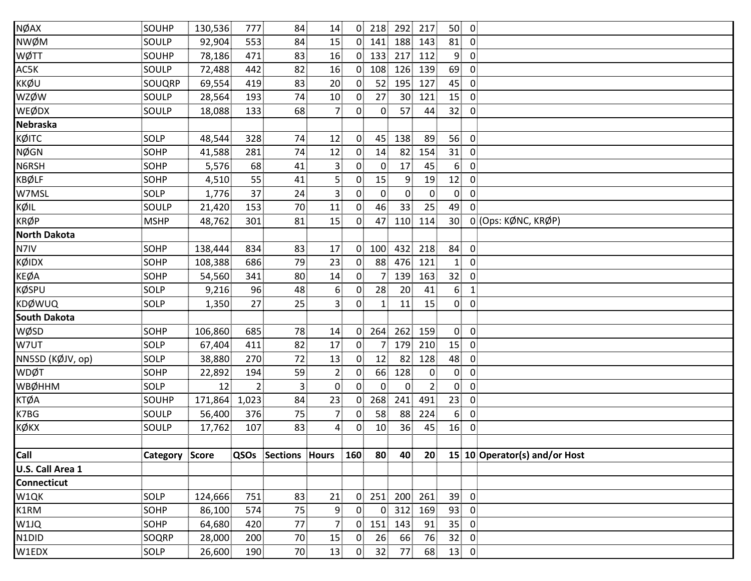| NØAX                | SOUHP          | 130,536       | 777            | 84              | 14               | $\overline{0}$ | 218             | 292             | 217            | 50<br>$\overline{0}$              |                               |
|---------------------|----------------|---------------|----------------|-----------------|------------------|----------------|-----------------|-----------------|----------------|-----------------------------------|-------------------------------|
| NWØM                | SOULP          | 92,904        | 553            | 84              | 15               | $\overline{0}$ | 141             | 188             | 143            | 81<br>$\overline{0}$              |                               |
| WØTT                | SOUHP          | 78,186        | 471            | 83              | 16               | $\overline{0}$ | 133             | 217             | 112            | 9<br>$\overline{0}$               |                               |
| AC5K                | SOULP          | 72,488        | 442            | 82              | 16               | $\overline{0}$ | 108             | 126             | 139            | 69<br>$\overline{0}$              |                               |
| KKØU                | SOUQRP         | 69,554        | 419            | 83              | 20               | $\overline{0}$ | 52              | 195             | 127            | 45<br>$\mathbf{0}$                |                               |
| <b>WZØW</b>         | SOULP          | 28,564        | 193            | 74              | 10               | $\overline{0}$ | 27              | 30 <sup>°</sup> | 121            | 15<br>$\overline{0}$              |                               |
| WEØDX               | SOULP          | 18,088        | 133            | 68              | $\overline{7}$   | $\overline{0}$ | $\mathbf{0}$    | 57              | 44             | 32<br>$\overline{0}$              |                               |
| <b>Nebraska</b>     |                |               |                |                 |                  |                |                 |                 |                |                                   |                               |
| кØІТС               | SOLP           | 48,544        | 328            | 74              | 12               | $\overline{0}$ | 45              | 138             | 89             | 56<br>$\overline{0}$              |                               |
| NØGN                | SOHP           | 41,588        | 281            | 74              | 12               | $\overline{0}$ | 14 <sup>1</sup> | 82              | 154            | 31<br>$\mathbf 0$                 |                               |
| N6RSH               | SOHP           | 5,576         | 68             | 41              | $\overline{3}$   | $0^{\circ}$    | $\overline{0}$  | 17              | 45             | 6 <sup>1</sup><br>$\overline{0}$  |                               |
| <b>KBØLF</b>        | <b>SOHP</b>    | 4,510         | 55             | 41              | 5 <sub>1</sub>   | $\overline{0}$ | 15              | 9               | 19             | 12 <sub>1</sub><br>$\overline{0}$ |                               |
| W7MSL               | SOLP           | 1,776         | 37             | 24              | $\overline{3}$   | $0^{\circ}$    | $\overline{0}$  | $\overline{0}$  | $\mathbf{0}$   | $\mathbf{0}$<br>$\overline{0}$    |                               |
| KØIL                | SOULP          | 21,420        | 153            | 70              | 11               | $\overline{0}$ | 46              | 33              | 25             | 49<br>$\overline{0}$              |                               |
| <b>KRØP</b>         | <b>MSHP</b>    | 48,762        | 301            | 81              | 15               | $\mathbf{0}$   | 47              | 110             | 114            | 30 <sup>1</sup>                   | 0 (Ops: KØNC, KRØP)           |
| <b>North Dakota</b> |                |               |                |                 |                  |                |                 |                 |                |                                   |                               |
| N7IV                | <b>SOHP</b>    | 138,444       | 834            | 83              | 17               | $\overline{0}$ | 100             | 432             | 218            | 84<br>$\overline{0}$              |                               |
| KØIDX               | SOHP           | 108,388       | 686            | 79              | 23               | $\overline{0}$ | 88              | 476             | 121            | $\overline{0}$<br>$\mathbf{1}$    |                               |
| <b>KEØA</b>         | SOHP           | 54,560        | 341            | 80 <sup>3</sup> | 14               | $\overline{0}$ |                 | 139             | 163            | 32 <sub>1</sub><br>$\overline{0}$ |                               |
| <b>KØSPU</b>        | SOLP           | 9,216         | 96             | 48              | $6 \overline{6}$ | $\overline{0}$ | 28              | 20              | 41             | 6 <sup>1</sup><br>$\mathbf{1}$    |                               |
| KDØWUQ              | SOLP           | 1,350         | 27             | 25              | $\overline{3}$   | $\overline{0}$ | 1 <sup>1</sup>  | 11              | 15             | $\overline{0}$<br>$\overline{0}$  |                               |
| <b>South Dakota</b> |                |               |                |                 |                  |                |                 |                 |                |                                   |                               |
| <b>WØSD</b>         | SOHP           | 106,860       | 685            | 78              | 14               | $\overline{0}$ | 264             | 262             | 159            | $\overline{0}$<br>$\overline{0}$  |                               |
| W7UT                | SOLP           | 67,404        | 411            | 82              | 17               | $\overline{0}$ | 71              | 179             | 210            | 15<br>$\overline{0}$              |                               |
| NN5SD (KØJV, op)    | SOLP           | 38,880        | 270            | 72              | 13               | $\overline{0}$ | 12              | 82              | 128            | 48<br>$\overline{0}$              |                               |
| <b>WDØT</b>         | SOHP           | 22,892        | 194            | 59              | $\overline{2}$   | $\overline{0}$ | 66              | 128             | $\mathbf{0}$   | $\overline{0}$<br>$\overline{0}$  |                               |
| <b>WBØHHM</b>       | SOLP           | 12            | $\overline{2}$ | 3 <sup>3</sup>  | $\overline{0}$   | $0^{\circ}$    | $0^{\circ}$     | $\overline{0}$  | 2 <sub>1</sub> | $\overline{0}$<br>$\overline{0}$  |                               |
| <b>KTØA</b>         | SOUHP          | 171,864 1,023 |                | 84              | 23               | 0 <sub>1</sub> | 268             | 241             | 491            | $\overline{0}$<br>23              |                               |
| K7BG                | SOULP          | 56,400        | 376            | 75              | $\overline{7}$   | $\Omega$       | 58              | 88              | 224            | 6 <sub>1</sub><br>$\overline{0}$  |                               |
| ҝѻ҃ҝх               | SOULP          | 17,762        | 107            | 83              | $\overline{4}$   | $\mathbf{0}$   | 10              | 36              | 45             | 16<br>$\mathbf 0$                 |                               |
|                     |                |               |                |                 |                  |                |                 |                 |                |                                   |                               |
| Call                | Category Score |               | QSOs           | Sections Hours  |                  | 160            | 80              | 40              | 20             |                                   | 15 10 Operator(s) and/or Host |
| U.S. Call Area 1    |                |               |                |                 |                  |                |                 |                 |                |                                   |                               |
| Connecticut         |                |               |                |                 |                  |                |                 |                 |                |                                   |                               |
| W1QK                | SOLP           | 124,666       | 751            | 83              | 21               | $\overline{0}$ | 251             | 200             | 261            | 39<br>$\overline{0}$              |                               |
| K1RM                | SOHP           | 86,100        | 574            | 75              | 9                | $0^{\circ}$    | 0               | 312             | 169            | 93<br>$\overline{0}$              |                               |
| W1JQ                | SOHP           | 64,680        | 420            | 77              | $\overline{7}$   | $\overline{0}$ | 151             | 143             | 91             | 35 <sub>1</sub><br>$\overline{0}$ |                               |
| N1DID               | SOQRP          | 28,000        | 200            | 70              | 15               | $\overline{0}$ | 26              | 66              | 76             | 32<br>$\overline{0}$              |                               |
| W1EDX               | SOLP           | 26,600        | 190            | 70              | 13               | $\overline{0}$ | 32              | 77              | 68             | 13<br>$\overline{0}$              |                               |
|                     |                |               |                |                 |                  |                |                 |                 |                |                                   |                               |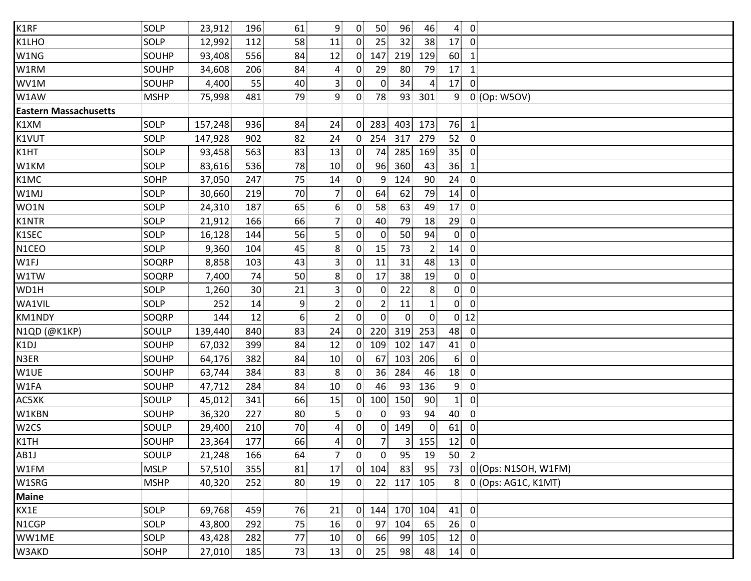| K1RF                         | SOLP         | 23,912  | 196             | 61              | $\overline{9}$  | 0 <sup>1</sup> | 50 <sub>1</sub> | 96             | 46              | $4 \ 0$                           |                      |  |
|------------------------------|--------------|---------|-----------------|-----------------|-----------------|----------------|-----------------|----------------|-----------------|-----------------------------------|----------------------|--|
| K1LHO                        | SOLP         | 12,992  | 112             | 58              | 11              | $\overline{0}$ | 25              | 32             | 38 <sup>3</sup> | $\overline{0}$<br>17              |                      |  |
| W1NG                         | SOUHP        | 93,408  | 556             | 84              | 12              | $\overline{0}$ | 147             | 219            | 129             | 60<br>1                           |                      |  |
| W1RM                         | SOUHP        | 34,608  | 206             | 84              | $\overline{4}$  | $\overline{0}$ | 29              | 80             | 79              | 17<br>$\mathbf{1}$                |                      |  |
| WV1M                         | SOUHP        | 4,400   | 55              | 40              | $\mathbf{3}$    | $\overline{0}$ | $\overline{0}$  | 34             | 4               | 17<br>$\Omega$                    |                      |  |
| W1AW                         | <b>MSHP</b>  | 75,998  | 481             | 79              | 9               | $\mathbf{0}$   | 78              | 93             | 301             | $0$ (Op: W5OV)<br>9               |                      |  |
| <b>Eastern Massachusetts</b> |              |         |                 |                 |                 |                |                 |                |                 |                                   |                      |  |
| K1XM                         | SOLP         | 157,248 | 936             | 84              | 24 <sup>3</sup> | $\Omega$       | 283             | 403            | 173             | 76<br>$\overline{1}$              |                      |  |
| K1VUT                        | SOLP         | 147,928 | 902             | 82              | 24              | $\mathbf{0}$   | 254             | 317            | 279             | 52<br>$\overline{0}$              |                      |  |
| K1HT                         | SOLP         | 93,458  | 563             | 83              | 13              | $\overline{0}$ | 74              | 285            | 169             | 35<br>$\mathbf 0$                 |                      |  |
| W1KM                         | SOLP         | 83,616  | 536             | 78              | 10              | $\overline{0}$ | 96              | 360            | 43              | 36<br>$\mathbf{1}$                |                      |  |
| K1MC                         | <b>SOHP</b>  | 37,050  | 247             | 75              | 14              | $\overline{0}$ | 9               | 124            | 90              | 24<br>$\overline{0}$              |                      |  |
| W1MJ                         | SOLP         | 30,660  | 219             | 70              | $\overline{7}$  | $\overline{0}$ | 64              | 62             | 79              | $\overline{0}$<br>14              |                      |  |
| WO1N                         | SOLP         | 24,310  | 187             | 65              | 6 <sup>1</sup>  | $\overline{0}$ | 58              | 63             | 49              | 17<br>$\overline{0}$              |                      |  |
| K1NTR                        | SOLP         | 21,912  | 166             | 66              | $\overline{7}$  | $\Omega$       | 40              | 79             | 18              | 29<br>0                           |                      |  |
| K1SEC                        | SOLP         | 16,128  | 144             | 56              | 5 <sup>1</sup>  | $\mathbf{0}$   | $\mathbf{0}$    | 50             | 94              | $\mathbf{0}$<br>$\mathbf 0$       |                      |  |
| N1CEO                        | <b>SOLP</b>  | 9,360   | 104             | 45              | 8               | $\overline{0}$ | 15              | 73             | $\overline{2}$  | 14<br>$\overline{0}$              |                      |  |
| W1FJ                         | SOQRP        | 8,858   | 103             | 43              | $\overline{3}$  | $\mathbf{0}$   | 11              | 31             | 48              | 13<br>$\overline{0}$              |                      |  |
| W1TW                         | SOQRP        | 7,400   | 74              | 50 <sup>1</sup> | 8               | $\mathbf{0}$   | 17              | 38             | 19              | $\overline{0}$<br>$\overline{0}$  |                      |  |
| WD1H                         | <b>SOLP</b>  | 1,260   | 30 <sub>1</sub> | 21              | $\mathbf{3}$    | 0              | $\overline{0}$  | 22             | 8 <sup>1</sup>  | $\mathbf{0}$<br>$\overline{0}$    |                      |  |
| WA1VIL                       | SOLP         | 252     | 14              | 9               | $\overline{2}$  | $\overline{0}$ | $\overline{2}$  | 11             | $\mathbf{1}$    | $\overline{0}$<br>$\overline{0}$  |                      |  |
| KM1NDY                       | SOQRP        | 144     | 12              | 6               | $\overline{2}$  | $\overline{0}$ | $0^{\circ}$     | $\overline{0}$ | $\overline{0}$  | $0$ 12                            |                      |  |
| N1QD (@K1KP)                 | SOULP        | 139,440 | 840             | 83              | 24              | 0 <sup>1</sup> | 220             | 319            | 253             | 48<br>$\overline{0}$              |                      |  |
| K1DJ                         | SOUHP        | 67,032  | 399             | 84              | 12              | $\overline{0}$ | 109             | 102            | 147             | 41<br>$\overline{0}$              |                      |  |
| N3ER                         | SOUHP        | 64,176  | 382             | 84              | 10              | $\mathbf{0}$   | 67              | 103            | 206             | 6 <sup>1</sup><br>$\overline{0}$  |                      |  |
| W1UE                         | SOUHP        | 63,744  | 384             | 83              | 8               | $\mathbf{0}$   | 36 <sup>1</sup> | 284            | 46              | 18<br>$\overline{0}$              |                      |  |
| W1FA                         | SOUHP        | 47,712  | 284             | 84              | 10 <sup>1</sup> | $\overline{0}$ | 46              | 93             | 136             | 9 <sup>1</sup><br>$\overline{0}$  |                      |  |
| AC5XK                        | SOULP        | 45,012  | 341             | 66              | 15              | $\mathbf{0}$   | 100             | 150            | 90              | $\mathbf 0$<br>1:                 |                      |  |
| W1KBN                        | SOUHP        | 36,320  | 227             | 80 <sup>3</sup> | $\mathbf{5}$    | $\mathbf{0}$   | 0               | 93             | 94              | 40<br>0                           |                      |  |
| W <sub>2</sub> CS            | <b>SOULP</b> | 29,400  | 210             | 70              | 4               | $\overline{0}$ | 0               | 149            | $\mathbf{0}$    | 61<br>$\mathbf{0}$                |                      |  |
| K1TH                         | SOUHP        | 23,364  | 177             | 66              | 4               | $\overline{0}$ | 7               | 3              | 155             | 12<br>$\overline{0}$              |                      |  |
| AB1J                         | SOULP        | 21,248  | 166             | 64              | 7 <sup>1</sup>  | $\overline{0}$ | $\overline{0}$  | 95             | 19              | 50 <sup>1</sup><br>$\overline{2}$ |                      |  |
| W1FM                         | <b>MSLP</b>  | 57,510  | 355             | 81              | 17              | 0 <sub>1</sub> | 104             | 83             | 95              | 73                                | 0 (Ops: N1SOH, W1FM) |  |
| W1SRG                        | <b>MSHP</b>  | 40,320  | 252             | 80 <sub>1</sub> | 19              | $\overline{0}$ | 22 <sub>1</sub> | 117            | 105             | 8                                 | 0 (Ops: AG1C, K1MT)  |  |
| <b>Maine</b>                 |              |         |                 |                 |                 |                |                 |                |                 |                                   |                      |  |
| KX1E                         | SOLP         | 69,768  | 459             | 76              | 21              | $\overline{0}$ | 144             |                | 170 104         | 41<br>$\overline{0}$              |                      |  |
| N1CGP                        | SOLP         | 43,800  | 292             | 75              | 16              | $\mathbf{0}$   | 97              | 104            | 65              | 26<br>$\overline{0}$              |                      |  |
| WW1ME                        | SOLP         | 43,428  | 282             | 77              | 10              | $\overline{0}$ | 66              | 99             | 105             | 12<br>$\overline{0}$              |                      |  |
| W3AKD                        | <b>SOHP</b>  | 27,010  | 185             | 73              | 13              | $\mathbf{0}$   | 25 <sup>1</sup> | 98             | 48              | $14$ 0                            |                      |  |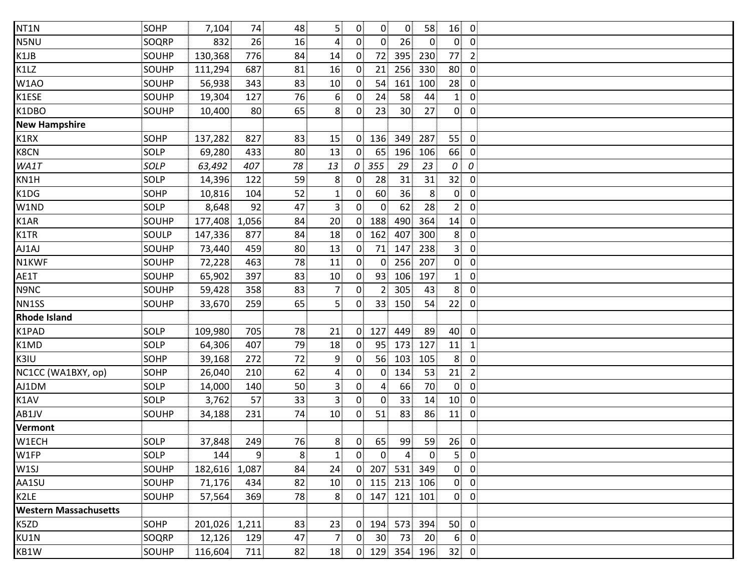| NT1N                         | SOHP        | 7,104         | 74  | 48             | 5                | $\overline{0}$ | $\overline{0}$  | $\overline{0}$  | 58             | 16<br>$\overline{0}$              |  |
|------------------------------|-------------|---------------|-----|----------------|------------------|----------------|-----------------|-----------------|----------------|-----------------------------------|--|
| N5NU                         | SOQRP       | 832           | 26  | 16             | $\overline{4}$   | $\overline{0}$ | $0^{\circ}$     | 26              | $\overline{0}$ | $\overline{0}$<br>$\overline{0}$  |  |
| K1JB                         | SOUHP       | 130,368       | 776 | 84             | 14               | $\overline{0}$ | 72              | 395             | 230            | 77<br>$\overline{2}$              |  |
| K1LZ                         | SOUHP       | 111,294       | 687 | 81             | 16               | $\overline{0}$ | 21              | 256             | 330            | 80<br>$\overline{0}$              |  |
| W1AO                         | SOUHP       | 56,938        | 343 | 83             | 10 <sup>1</sup>  | $\mathbf{0}$   | 54              | 161             | 100            | 28<br>$\overline{0}$              |  |
| K1ESE                        | SOUHP       | 19,304        | 127 | 76             | $6 \overline{6}$ | $\mathbf{0}$   | 24              | 58              | 44             | $\mathbf{1}$<br>$\overline{0}$    |  |
| K1DBO                        | SOUHP       | 10,400        | 80  | 65             | 8                | $\mathbf{0}$   | 23              | 30              | 27             | $\overline{0}$<br>$\overline{0}$  |  |
| <b>New Hampshire</b>         |             |               |     |                |                  |                |                 |                 |                |                                   |  |
| K1RX                         | SOHP        | 137,282       | 827 | 83             | 15               | $\overline{0}$ | 136             | 349             | 287            | 55<br>$\overline{0}$              |  |
| K8CN                         | SOLP        | 69,280        | 433 | 80             | 13               | $\overline{0}$ | 65              | 196             | 106            | 66<br>$\mathbf 0$                 |  |
| WA1T                         | SOLP        | 63,492        | 407 | 78             | 13               | 0              | 355             | 29              | 23             | 0<br>0                            |  |
| KN1H                         | SOLP        | 14,396        | 122 | 59             | 8                | $\mathbf{0}$   | 28              | 31              | 31             | 32 <sub>1</sub><br>$\overline{0}$ |  |
| K1DG                         | SOHP        | 10,816        | 104 | 52             | $\mathbf{1}$     | $\overline{0}$ | 60              | 36              | 8 <sup>1</sup> | $\overline{0}$<br>$\overline{0}$  |  |
| W1ND                         | SOLP        | 8,648         | 92  | 47             | 3 <sup>1</sup>   | $\mathbf{0}$   | $\mathbf{0}$    | 62              | 28             | 2 <sup>1</sup><br>$\overline{0}$  |  |
| K1AR                         | SOUHP       | 177,408 1,056 |     | 84             | 20               | $\overline{0}$ | 188             | 490             | 364            | 14<br>$\overline{0}$              |  |
| K1TR                         | SOULP       | 147,336       | 877 | 84             | 18               | $\overline{0}$ | 162             | 407             | 300            | 8<br>$\overline{0}$               |  |
| AJ1AJ                        | SOUHP       | 73,440        | 459 | 80             | 13               | $\overline{0}$ | 71              | 147             | 238            | 3 <sup>1</sup><br>$\overline{0}$  |  |
| N1KWF                        | SOUHP       | 72,228        | 463 | 78             | 11               | $\overline{0}$ | $\overline{0}$  | 256             | 207            | $\overline{0}$<br>$\overline{0}$  |  |
| AE1T                         | SOUHP       | 65,902        | 397 | 83             | 10 <sub>1</sub>  | $\overline{0}$ | 93              | 106             | 197            | $\overline{0}$<br>$\mathbf{1}$    |  |
| N9NC                         | SOUHP       | 59,428        | 358 | 83             | $\overline{7}$   | $\overline{0}$ | 2 <sup>1</sup>  | 305             | 43             | 8 <sup>1</sup><br>$\overline{0}$  |  |
| NN1SS                        | SOUHP       | 33,670        | 259 | 65             | 5 <sup>1</sup>   | $\overline{0}$ | 33 <sup>1</sup> | 150             | 54             | 22<br>$\overline{0}$              |  |
| <b>Rhode Island</b>          |             |               |     |                |                  |                |                 |                 |                |                                   |  |
| K1PAD                        | SOLP        | 109,980       | 705 | 78             | 21               | $\overline{0}$ | 127             | 449             | 89             | 40<br>$\overline{0}$              |  |
| K1MD                         | SOLP        | 64,306        | 407 | 79             | 18               | $\mathbf{0}$   | 95              | 173             | 127            | 11<br>$\mathbf{1}$                |  |
| K3IU                         | <b>SOHP</b> | 39,168        | 272 | 72             | 9                | $\overline{0}$ | 56              | 103             | 105            | 8 <sup>1</sup><br>$\overline{0}$  |  |
| NC1CC (WA1BXY, op)           | SOHP        | 26,040        | 210 | 62             | $\overline{4}$   | $\overline{0}$ | $\overline{0}$  | 134             | 53             | $\overline{2}$<br>21              |  |
| AJ1DM                        | SOLP        | 14,000        | 140 | 50             | $\mathbf{3}$     | $\overline{0}$ | $\overline{4}$  | 66              | 70             | $\mathbf{0}$<br>$\overline{0}$    |  |
| K1AV                         | SOLP        | 3,762         | 57  | 33             | $\overline{3}$   | $\overline{0}$ | $\overline{0}$  | 33 <sup>3</sup> | 14             | 10 <sup>1</sup><br>$\overline{0}$ |  |
| AB1JV                        | SOUHP       | 34,188        | 231 | 74             | 10 <sup>1</sup>  | $\mathbf{0}$   | 51              | 83              | 86             | 11<br>$\mathbf 0$                 |  |
| Vermont                      |             |               |     |                |                  |                |                 |                 |                |                                   |  |
| W1ECH                        | SOLP        | 37,848        | 249 | 76             | 8                | $\overline{0}$ | 65              | 99              | 59             | 26<br>$\mathbf 0$                 |  |
| W1FP                         | SOLP        | 144           | 9   | 8 <sup>1</sup> | $\mathbf{1}$     | 0 <sup>1</sup> | $\overline{0}$  | $\overline{4}$  | $\overline{0}$ | 5 <sup>1</sup><br>$\overline{0}$  |  |
| W1SJ                         | SOUHP       | 182,616 1,087 |     | 84             | 24               | $\overline{0}$ | 207             | 531             | 349            | $\overline{0}$<br>$\overline{0}$  |  |
| AA1SU                        | SOUHP       | 71,176        | 434 | 82             | 10 <sup>1</sup>  | $\overline{0}$ | 115             | 213             | 106            | $\mathbf{0}$<br>$\overline{0}$    |  |
| K2LE                         | SOUHP       | 57,564        | 369 | 78             | 8 <sup>1</sup>   | $\overline{0}$ | 147             | 121             | 101            | $\overline{0}$<br>$\overline{0}$  |  |
| <b>Western Massachusetts</b> |             |               |     |                |                  |                |                 |                 |                |                                   |  |
| K5ZD                         | <b>SOHP</b> | 201,026 1,211 |     | 83             | 23               | $\overline{0}$ | 194             | 573             | 394            | 50<br>$\overline{0}$              |  |
| KU1N                         | SOQRP       | 12,126        | 129 | 47             | $\overline{7}$   | $\mathbf{0}$   | 30 <sup>1</sup> | 73              | 20             | 6 <sup>1</sup><br>$\overline{0}$  |  |
| KB1W                         | SOUHP       | 116,604       | 711 | 82             | 18               |                | $0$ 129         | 354             | 196            | 32 0                              |  |
|                              |             |               |     |                |                  |                |                 |                 |                |                                   |  |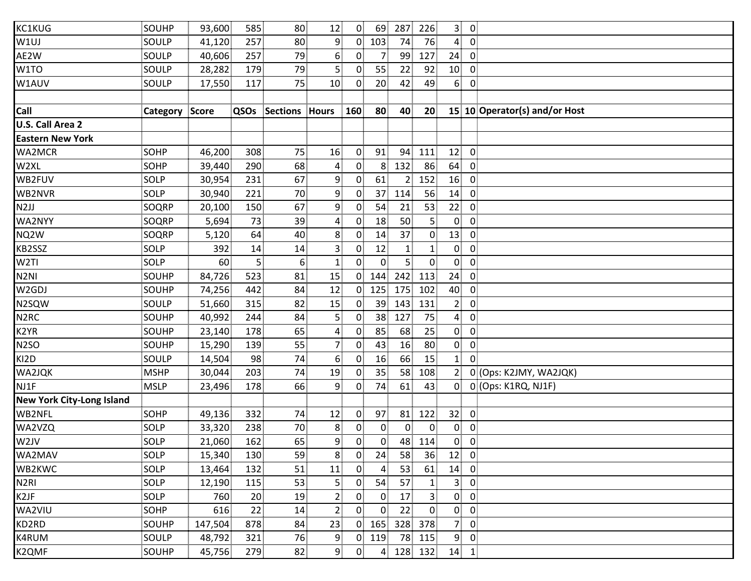| SOUHP       | 93,600 | 585                   |                             | 12                      |                                                                                                          |                 |                                                                                                                                                                                                                                                                             | 226                         | 3 <sup>1</sup>                        |                |                                                                     |
|-------------|--------|-----------------------|-----------------------------|-------------------------|----------------------------------------------------------------------------------------------------------|-----------------|-----------------------------------------------------------------------------------------------------------------------------------------------------------------------------------------------------------------------------------------------------------------------------|-----------------------------|---------------------------------------|----------------|---------------------------------------------------------------------|
| SOULP       | 41,120 | 257                   |                             | $\overline{9}$          |                                                                                                          | 103             | 74                                                                                                                                                                                                                                                                          | 76                          | 4 <sup>1</sup>                        |                |                                                                     |
| SOULP       | 40,606 | 257                   |                             | 6                       |                                                                                                          | 7.              | 99                                                                                                                                                                                                                                                                          | 127                         | 24                                    | $\overline{0}$ |                                                                     |
| SOULP       | 28,282 | 179                   |                             | 5 <sup>1</sup>          | $\mathbf{0}$                                                                                             | 55              | 22                                                                                                                                                                                                                                                                          | 92                          | 10                                    | $\overline{0}$ |                                                                     |
| SOULP       | 17,550 | 117                   |                             | 10 <sup>1</sup>         | $\mathbf{0}$                                                                                             | 20 <sup>1</sup> | 42                                                                                                                                                                                                                                                                          | 49                          | 6 <sup>1</sup>                        | $\overline{0}$ |                                                                     |
|             |        |                       |                             |                         |                                                                                                          |                 |                                                                                                                                                                                                                                                                             |                             |                                       |                |                                                                     |
|             |        | QSOs                  |                             |                         |                                                                                                          | 80              | 40                                                                                                                                                                                                                                                                          | 20 <sub>1</sub>             |                                       |                | 15 10 Operator(s) and/or Host                                       |
|             |        |                       |                             |                         |                                                                                                          |                 |                                                                                                                                                                                                                                                                             |                             |                                       |                |                                                                     |
|             |        |                       |                             |                         |                                                                                                          |                 |                                                                                                                                                                                                                                                                             |                             |                                       |                |                                                                     |
| <b>SOHP</b> | 46,200 | 308                   | 75                          | 16                      | $\overline{0}$                                                                                           | 91              | 94                                                                                                                                                                                                                                                                          | 111                         | 12                                    | $\overline{0}$ |                                                                     |
| SOHP        | 39,440 | 290                   | 68                          | 4                       | $\overline{0}$                                                                                           |                 | 132                                                                                                                                                                                                                                                                         | 86                          | 64                                    | $\overline{0}$ |                                                                     |
| SOLP        | 30,954 | 231                   | 67                          | 9                       | $\mathbf{0}$                                                                                             | 61              |                                                                                                                                                                                                                                                                             | 152                         | 16                                    | $\mathbf 0$    |                                                                     |
| SOLP        | 30,940 | 221                   |                             | 9                       | $\overline{0}$                                                                                           | 37              | 114                                                                                                                                                                                                                                                                         | 56                          | 14                                    | $\overline{0}$ |                                                                     |
| SOQRP       | 20,100 | 150                   | 67                          | 9                       | $\overline{0}$                                                                                           | 54              | 21                                                                                                                                                                                                                                                                          | 53                          | 22                                    | $\overline{0}$ |                                                                     |
| SOQRP       | 5,694  | 73                    |                             | 4                       | $\mathbf{0}$                                                                                             | 18              | 50                                                                                                                                                                                                                                                                          | 5 <sup>1</sup>              | $\mathbf{0}$                          | $\mathbf 0$    |                                                                     |
| SOQRP       | 5,120  | 64                    | 40                          | 8                       | $\mathbf{0}$                                                                                             | 14              | 37                                                                                                                                                                                                                                                                          | $\overline{0}$              | 13                                    | $\mathbf 0$    |                                                                     |
| <b>SOLP</b> | 392    | 14                    | 14                          | $\mathbf{3}$            | 0.                                                                                                       | 12              | 1,                                                                                                                                                                                                                                                                          | $\mathbf{1}$                | $\mathbf{0}$                          | 0              |                                                                     |
| SOLP        | 60     | $\overline{5}$        | 6 <sup>1</sup>              | $\mathbf{1}$            | $\overline{0}$                                                                                           | $\overline{0}$  | 5                                                                                                                                                                                                                                                                           | $\mathbf{0}$                | $\overline{0}$                        | $\overline{0}$ |                                                                     |
| SOUHP       | 84,726 | 523                   | 81                          | 15                      |                                                                                                          | 144             | 242                                                                                                                                                                                                                                                                         | 113                         | 24                                    | $\overline{0}$ |                                                                     |
| SOUHP       | 74,256 | 442                   | 84                          | 12                      |                                                                                                          | 125             | 175                                                                                                                                                                                                                                                                         | 102                         | 40                                    | $\overline{0}$ |                                                                     |
| SOULP       |        | 315                   | 82                          | 15                      | $\overline{0}$                                                                                           |                 | 143                                                                                                                                                                                                                                                                         | 131                         | 2 <sub>1</sub>                        | $\overline{0}$ |                                                                     |
| SOUHP       | 40,992 | 244                   |                             | $\vert$                 | $\Omega$                                                                                                 |                 | 127                                                                                                                                                                                                                                                                         | 75                          | $\overline{4}$                        | $\mathbf 0$    |                                                                     |
| SOUHP       | 23,140 | 178                   | 65                          | $\overline{\mathbf{r}}$ | $\boldsymbol{0}$                                                                                         | 85              | 68                                                                                                                                                                                                                                                                          | 25                          | $\mathbf{0}$                          | $\mathbf 0$    |                                                                     |
| SOUHP       | 15,290 | 139                   |                             | 7 <sub>1</sub>          | $\overline{0}$                                                                                           | 43              | 16                                                                                                                                                                                                                                                                          | 80                          | 0                                     | $\mathbf 0$    |                                                                     |
| SOULP       | 14,504 | 98                    | 74                          | 6                       | $\mathbf{0}$                                                                                             | 16              | 66                                                                                                                                                                                                                                                                          | 15                          | $\mathbf{1}$                          | $\overline{0}$ |                                                                     |
| <b>MSHP</b> | 30,044 | 203                   |                             | 19                      |                                                                                                          | 35              | 58                                                                                                                                                                                                                                                                          | 108                         | 2 <sup>1</sup>                        |                | 0 (Ops: K2JMY, WA2JQK)                                              |
| <b>MSLP</b> | 23,496 | 178                   | 66                          | $\overline{9}$          | $\mathbf{0}$                                                                                             | 74              | 61                                                                                                                                                                                                                                                                          | 43                          |                                       |                | 0 0 (Ops: K1RQ, NJ1F)                                               |
|             |        |                       |                             |                         |                                                                                                          |                 |                                                                                                                                                                                                                                                                             |                             |                                       |                |                                                                     |
| <b>SOHP</b> | 49,136 | 332                   |                             | 12                      | 0                                                                                                        | 97              | 81                                                                                                                                                                                                                                                                          | 122                         | 32 <sup>2</sup>                       | $\mathbf{0}$   |                                                                     |
| <b>SOLP</b> | 33,320 | 238                   | 70                          | 8                       | $\overline{0}$                                                                                           | $\overline{0}$  | $\overline{0}$                                                                                                                                                                                                                                                              | $\mathbf 0$                 | $\overline{0}$                        | $\overline{0}$ |                                                                     |
| SOLP        | 21,060 | 162                   | 65                          | 9                       |                                                                                                          | 0               |                                                                                                                                                                                                                                                                             | 114                         | 0                                     | $\overline{0}$ |                                                                     |
| SOLP        | 15,340 | 130                   | 59                          | 8                       |                                                                                                          | 24              | 58                                                                                                                                                                                                                                                                          | 36                          | 12                                    | $\overline{0}$ |                                                                     |
| SOLP        | 13,464 | 132                   | 51                          | 11                      |                                                                                                          | $\mathbf{A}$    | 53                                                                                                                                                                                                                                                                          | 61                          | 14                                    |                |                                                                     |
| SOLP        | 12,190 | 115                   | 53                          | $\vert$                 | $\mathbf{0}$                                                                                             | 54              | 57                                                                                                                                                                                                                                                                          | $\mathbf{1}$                | 3 <sup>1</sup>                        | $\overline{0}$ |                                                                     |
| SOLP        | 760    | 20 <sup>2</sup>       | 19                          | $\overline{2}$          | $\mathbf{0}$                                                                                             | $\mathbf{0}$    | 17                                                                                                                                                                                                                                                                          | $\mathbf{3}$                | $\mathbf{0}$                          | $\mathbf 0$    |                                                                     |
| <b>SOHP</b> | 616    | 22                    |                             | $\overline{a}$          |                                                                                                          | $\mathbf{0}$    | 22                                                                                                                                                                                                                                                                          | $\mathbf{0}$                | 0                                     | 0              |                                                                     |
| SOUHP       |        | 878                   |                             | 23                      |                                                                                                          |                 |                                                                                                                                                                                                                                                                             |                             | 7                                     | $\mathbf 0$    |                                                                     |
| SOULP       | 48,792 | 321                   |                             | 9                       |                                                                                                          | 119             |                                                                                                                                                                                                                                                                             |                             | 9                                     | $\overline{0}$ |                                                                     |
| SOUHP       |        | 279                   |                             | $\overline{9}$          |                                                                                                          |                 |                                                                                                                                                                                                                                                                             |                             |                                       |                |                                                                     |
|             |        | <b>Category Score</b> | 51,660<br>147,504<br>45,756 |                         | 80<br>80<br>79<br>79<br>75<br>Sections Hours<br>70<br>39<br>84<br>55<br>74<br>74<br>14<br>84<br>76<br>82 | 160             | 0 <sup>1</sup><br>69<br>0 <sup>1</sup><br>$\overline{0}$<br>8<br>$\overline{0}$<br>$\overline{0}$<br>38 <sup>1</sup><br>$\overline{0}$<br>$\overline{0}$<br>$\overline{0}$<br>$\overline{0}$<br>$\overline{0}$<br>165<br>$\overline{0}$<br>$\overline{0}$<br>0 <sub>1</sub> | 287<br>39 <sup>1</sup><br>4 | 48<br>328 378<br>78<br>115<br>128 132 |                | $\overline{0}$<br>$\overline{\mathbf{0}}$<br>$\overline{0}$<br>14 1 |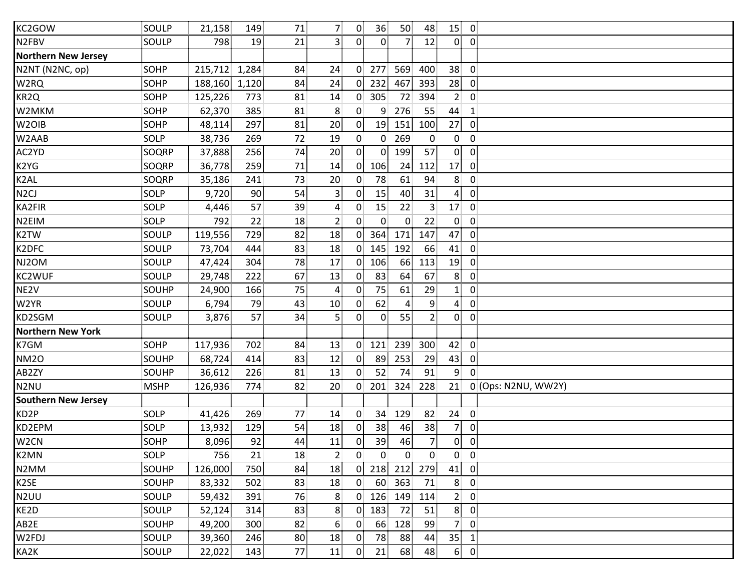| KC2GOW                     | SOULP       | 21,158  | 149   | 71              | 7 <sup>1</sup>          | $\overline{0}$ | 36 <sup>2</sup> | 50             | 48              | $15$ 0          |                |                     |
|----------------------------|-------------|---------|-------|-----------------|-------------------------|----------------|-----------------|----------------|-----------------|-----------------|----------------|---------------------|
| N2FBV                      | SOULP       | 798     | 19    | 21              | 3 <sup>1</sup>          | 0 <sup>1</sup> | $\overline{0}$  | $\overline{7}$ | 12              | $\mathbf{0}$    | $\overline{0}$ |                     |
| <b>Northern New Jersey</b> |             |         |       |                 |                         |                |                 |                |                 |                 |                |                     |
| N2NT (N2NC, op)            | <b>SOHP</b> | 215,712 | 1,284 | 84              | 24                      | $\overline{0}$ | 277             | 569            | 400             | 38              | $\overline{0}$ |                     |
| W2RQ                       | SOHP        | 188,160 | 1,120 | 84              | 24                      | $\overline{0}$ | 232             | 467            | 393             | 28              | $\mathbf{0}$   |                     |
| KR2Q                       | <b>SOHP</b> | 125,226 | 773   | 81              | 14                      | 0 <sup>1</sup> | 305             | 72             | 394             | 2 <sup>1</sup>  | $\overline{0}$ |                     |
| W2MKM                      | SOHP        | 62,370  | 385   | 81              | 8                       | $\overline{0}$ | 9               | 276            | 55              | 44              | $\mathbf{1}$   |                     |
| W <sub>2</sub> OIB         | <b>SOHP</b> | 48,114  | 297   | 81              | 20                      | $\overline{0}$ | 19              | 151            | 100             | 27              | $\overline{0}$ |                     |
| W2AAB                      | SOLP        | 38,736  | 269   | 72              | 19                      | $\overline{0}$ | $\overline{0}$  | 269            | $\overline{0}$  | $\mathbf{0}$    | $\overline{0}$ |                     |
| AC2YD                      | SOQRP       | 37,888  | 256   | 74              | 20                      | $\overline{0}$ | 0               | 199            | 57              | $\overline{0}$  | $\mathbf 0$    |                     |
| K2YG                       | SOQRP       | 36,778  | 259   | 71              | 14                      | $\overline{0}$ | 106             | 24             | 112             | 17              | $\mathbf 0$    |                     |
| K2AL                       | SOQRP       | 35,186  | 241   | 73              | 20                      | $\mathbf{0}$   | 78              | 61             | 94              | 8 <sup>1</sup>  | $\mathbf 0$    |                     |
| N <sub>2</sub> CJ          | SOLP        | 9,720   | 90    | 54              | $\overline{\mathbf{3}}$ | $\overline{0}$ | 15              | 40             | 31              | $\overline{4}$  | $\overline{0}$ |                     |
| KA2FIR                     | SOLP        | 4,446   | 57    | 39              | $\overline{4}$          | 0 <sup>1</sup> | 15              | 22             | 3 <sup>1</sup>  | 17              | $\overline{0}$ |                     |
| N2EIM                      | SOLP        | 792     | 22    | 18              | $\overline{2}$          | 0              | $\overline{0}$  | $\mathbf{0}$   | 22              | $\mathbf{0}$    | $\mathbf 0$    |                     |
| K2TW                       | SOULP       | 119,556 | 729   | 82              | 18                      | $\overline{0}$ | 364             | 171            | 147             | 47              | $\overline{0}$ |                     |
| K2DFC                      | SOULP       | 73,704  | 444   | 83              | 18                      | $\overline{0}$ | 145             | 192            | 66              | 41              | $\mathbf{0}$   |                     |
| NJ2OM                      | SOULP       | 47,424  | 304   | 78              | 17                      | $\overline{0}$ | 106             | 66             | 113             | 19              | $\overline{0}$ |                     |
| KC2WUF                     | SOULP       | 29,748  | 222   | 67              | 13                      | $\overline{0}$ | 83              | 64             | 67              | 8               | $\overline{0}$ |                     |
| NE <sub>2V</sub>           | SOUHP       | 24,900  | 166   | 75              | 4                       | $\overline{0}$ | 75              | 61             | 29              | $\mathbf{1}$    | $\mathbf 0$    |                     |
| W2YR                       | SOULP       | 6,794   | 79    | 43              | 10                      | $\overline{0}$ | 62              | 4              | 9               | $\overline{4}$  | $\overline{0}$ |                     |
| KD2SGM                     | SOULP       | 3,876   | 57    | 34              | 5                       | $\overline{0}$ | $\overline{0}$  | 55             | 2 <sub>1</sub>  | $\overline{0}$  | $\overline{0}$ |                     |
| <b>Northern New York</b>   |             |         |       |                 |                         |                |                 |                |                 |                 |                |                     |
| K7GM                       | SOHP        | 117,936 | 702   | 84              | 13                      | $\overline{0}$ | 121             | 239            | 300             | 42              | $\overline{0}$ |                     |
| <b>NM2O</b>                | SOUHP       | 68,724  | 414   | 83              | 12                      | $\overline{0}$ | 89              | 253            | 29              | 43              | $\overline{0}$ |                     |
| AB2ZY                      | SOUHP       | 36,612  | 226   | 81              | 13                      | $\overline{0}$ | 52              | 74             | 91              | 9 <sub>1</sub>  | $\overline{0}$ |                     |
| N <sub>2</sub> NU          | <b>MSHP</b> | 126,936 | 774   | 82              | 20                      | $\overline{0}$ | 201             | 324            | 228             | 21              |                | 0 (Ops: N2NU, WW2Y) |
| <b>Southern New Jersey</b> |             |         |       |                 |                         |                |                 |                |                 |                 |                |                     |
| KD2P                       | SOLP        | 41,426  | 269   | 77              | 14                      | $\mathbf{0}$   | 34 <sup>3</sup> | 129            | 82 <sub>5</sub> | 24              | $\mathbf{0}$   |                     |
| KD2EPM                     | SOLP        | 13,932  | 129   | 54              | 18                      | $\mathbf{0}$   | 38              | 46             | 38 <sup>3</sup> | 7               | $\mathbf 0$    |                     |
| W <sub>2</sub> CN          | SOHP        | 8,096   | 92    | 44              | 11                      | $\overline{0}$ | 39              | 46             | 7               | $\overline{0}$  | $\overline{0}$ |                     |
| K2MN                       | SOLP        | 756     | 21    | 18              | $\overline{2}$          | $\overline{0}$ | $\overline{0}$  | $\overline{0}$ | $\overline{0}$  | $\overline{0}$  | $\mathbf 0$    |                     |
| N <sub>2</sub> MM          | SOUHP       | 126,000 | 750   | 84              | 18                      | $\overline{0}$ | 218             | 212            | 279             | 41              | $\overline{0}$ |                     |
| K <sub>2</sub> SE          | SOUHP       | 83,332  | 502   | 83              | 18                      | 0              | 60              | 363            | 71              | 8 <sub>1</sub>  | $\overline{0}$ |                     |
| N <sub>2</sub> UU          | SOULP       | 59,432  | 391   | 76              | 8                       | $\mathbf{0}$   | 126             | 149            | 114             | 2 <sup>1</sup>  | $\mathbf 0$    |                     |
| KE2D                       | SOULP       | 52,124  | 314   | 83              | 8                       | $\mathbf{0}$   | 183             | 72             | 51              | 8               | $\mathbf 0$    |                     |
| AB2E                       | SOUHP       | 49,200  | 300   | 82              | 6                       | 0 <sup>1</sup> | 66              | 128            | 99              | 7 <sup>1</sup>  | $\mathbf 0$    |                     |
| W2FDJ                      | SOULP       | 39,360  | 246   | 80 <sub>1</sub> | 18                      | $\mathbf{0}$   | 78              | 88             | 44              | 35 <sub>1</sub> | $\mathbf{1}$   |                     |
| KA2K                       | SOULP       | 22,022  | 143   | 77              | 11                      | $\overline{0}$ | 21              | 68             | 48              |                 | $6 \ 0$        |                     |
|                            |             |         |       |                 |                         |                |                 |                |                 |                 |                |                     |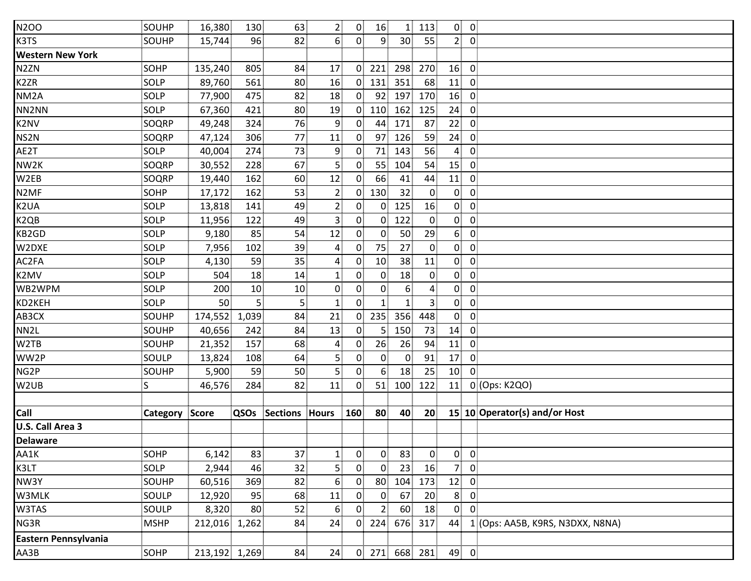| <b>N2OO</b>             | SOUHP          | 16,380        | 130   | 63                         | $\overline{2}$   | $\overline{0}$    | 16              | 1 <sup>1</sup>  | 113                     | $\mathbf{0}$    | $\overline{0}$          |                                  |
|-------------------------|----------------|---------------|-------|----------------------------|------------------|-------------------|-----------------|-----------------|-------------------------|-----------------|-------------------------|----------------------------------|
| K3TS                    | SOUHP          | 15,744        | 96    | 82                         | 6 <sup>1</sup>   | $0^{\frac{1}{2}}$ | $\overline{9}$  | 30 <sup>°</sup> | 55                      | 2 <sup>1</sup>  | $\overline{0}$          |                                  |
| <b>Western New York</b> |                |               |       |                            |                  |                   |                 |                 |                         |                 |                         |                                  |
| N <sub>2</sub> ZN       | SOHP           | 135,240       | 805   | 84                         | 17               | $\overline{0}$    | 221             | 298             | 270                     | 16              | $\mathbf 0$             |                                  |
| K <sub>2</sub> ZR       | SOLP           | 89,760        | 561   | 80                         | 16               | $\overline{0}$    | 131             | 351             | 68                      | 11              | $\mathbf 0$             |                                  |
| NM <sub>2</sub> A       | SOLP           | 77,900        | 475   | 82                         | 18               | 0 <sup>1</sup>    | 92              | 197             | 170                     | 16              | $\mathbf 0$             |                                  |
| NN2NN                   | SOLP           | 67,360        | 421   | 80                         | 19               | 0 <sub>1</sub>    | 110             | 162             | 125                     | 24              | $\mathbf 0$             |                                  |
| K2NV                    | SOQRP          | 49,248        | 324   | 76                         | 9                | 0 <sup>1</sup>    | 44              | 171             | 87                      | 22              | $\mathbf 0$             |                                  |
| NS2N                    | SOQRP          | 47,124        | 306   | 77                         | 11               | $\mathbf{0}$      | 97              | 126             | 59                      | 24              | $\mathbf 0$             |                                  |
| AE2T                    | SOLP           | 40,004        | 274   | 73                         | 9                | 0                 | 71              | 143             | 56                      | $\mathbf{A}$    | $\mathbf 0$             |                                  |
| NW2K                    | SOQRP          | 30,552        | 228   | 67                         | 5                | $\mathbf{0}$      | 55              | 104             | 54                      | 15              | $\mathbf 0$             |                                  |
| W2EB                    | SOQRP          | 19,440        | 162   | 60                         | 12               | $\overline{0}$    | 66              | 41              | 44                      | 11              | $\mathbf 0$             |                                  |
| N <sub>2</sub> MF       | SOHP           | 17,172        | 162   | 53                         | $\overline{2}$   | $\overline{0}$    | 130             | 32              | $\overline{0}$          | $\overline{0}$  | $\mathbf 0$             |                                  |
| K <sub>2</sub> UA       | SOLP           | 13,818        | 141   | 49                         | $\overline{2}$   | $\overline{0}$    | 0 <sup>1</sup>  | 125             | 16                      | 0               | $\boldsymbol{0}$        |                                  |
| K <sub>2QB</sub>        | SOLP           | 11,956        | 122   | 49                         | 3                | 0 <sup>1</sup>    | 0 <sup>1</sup>  | 122             | $\overline{0}$          | $\overline{0}$  | $\overline{0}$          |                                  |
| KB2GD                   | SOLP           | 9,180         | 85    | 54                         | 12               | 0 <sup>1</sup>    | $\overline{0}$  | 50              | 29                      | 6 <sup>1</sup>  | $\boldsymbol{0}$        |                                  |
| W2DXE                   | SOLP           | 7,956         | 102   | 39                         | 4                | $\overline{0}$    | 75              | 27              | $\mathbf{0}$            | $\overline{0}$  | $\mathbf 0$             |                                  |
| AC2FA                   | <b>SOLP</b>    | 4,130         | 59    | 35 <sup>2</sup>            | $\boldsymbol{4}$ | $\overline{0}$    | 10 <sup>1</sup> | 38              | 11                      | 0               | $\mathbf 0$             |                                  |
| K2MV                    | SOLP           | 504           | 18    | 14                         | $\mathbf{1}$     | $\overline{0}$    | $\mathbf{0}$    | 18              | $\overline{0}$          | $\overline{0}$  | $\mathbf 0$             |                                  |
| WB2WPM                  | SOLP           | 200           | 10    | 10                         | $\mathbf{0}$     | $\overline{0}$    | $\overline{0}$  | 6 <sup>1</sup>  | $\overline{\mathbf{r}}$ | 0               | $\mathbf 0$             |                                  |
| KD2KEH                  | SOLP           | 50            | 5     | 5 <sup>1</sup>             | $\mathbf{1}$     | $\overline{0}$    | $\mathbf{1}$    | 1 <sup>1</sup>  | 3 <sup>1</sup>          | $\overline{0}$  | $\pmb{0}$               |                                  |
| AB3CX                   | SOUHP          | 174,552       | 1,039 | 84                         | 21               | 0 <sup>1</sup>    | 235             | 356             | 448                     | $\overline{0}$  | $\overline{0}$          |                                  |
| NN <sub>2</sub> L       | SOUHP          | 40,656        | 242   | 84                         | 13               | $\overline{0}$    | 5               | 150             | 73                      | 14              | $\mathbf 0$             |                                  |
| W2TB                    | SOUHP          | 21,352        | 157   | 68                         | 4                | $\overline{0}$    | 26              | 26              | 94                      | 11              | 0                       |                                  |
| WW2P                    | SOULP          | 13,824        | 108   | 64                         | $\overline{5}$   | $\overline{0}$    | $\overline{0}$  | $\mathbf{0}$    | 91                      | 17              | $\mathbf 0$             |                                  |
| NG2P                    | SOUHP          | 5,900         | 59    | 50                         | $\overline{5}$   | 0 <sup>1</sup>    | 6 <sup>1</sup>  | 18              | 25                      | 10              | $\overline{0}$          |                                  |
| W <sub>2</sub> UB       | S              | 46,576        | 284   | 82                         | 11               | 0 <sup>1</sup>    | 51              | 100             | 122                     | 11              |                         | 0 (Ops: K2QO)                    |
|                         |                |               |       |                            |                  |                   |                 |                 |                         |                 |                         |                                  |
| Call                    | Category Score |               |       | <b>QSOs Sections Hours</b> |                  | 160               | 80              | 40              | 20 <sub>1</sub>         |                 |                         | 15 10 Operator(s) and/or Host    |
| U.S. Call Area 3        |                |               |       |                            |                  |                   |                 |                 |                         |                 |                         |                                  |
| <b>Delaware</b>         |                |               |       |                            |                  |                   |                 |                 |                         |                 |                         |                                  |
| AA1K                    | SOHP           | 6,142         | 83    | 37                         | $\mathbf{1}$     | $\overline{0}$    | $\overline{0}$  | 83              | $\overline{0}$          | $\mathbf{0}$    | $\overline{\mathbf{0}}$ |                                  |
| K3LT                    | SOLP           | 2,944         | 46    | 32                         | $5\overline{5}$  | $\overline{0}$    | $\overline{0}$  | 23              | 16                      | 7 <sup>1</sup>  | $\overline{0}$          |                                  |
| NW3Y                    | SOUHP          | 60,516        | 369   | 82                         | 6                | 0                 | 80 <sup>1</sup> | 104             | 173                     | 12 <sub>1</sub> | $\mathbf 0$             |                                  |
| W3MLK                   | SOULP          | 12,920        | 95    | 68                         | 11               | 0                 | $\overline{0}$  | 67              | 20 <sub>1</sub>         | 8 <sup>1</sup>  | $\overline{0}$          |                                  |
| W3TAS                   | SOULP          | 8,320         | 80    | 52                         | 6.               | $\mathbf{0}$      | $\overline{2}$  | 60              | 18                      | $\overline{0}$  | 0                       |                                  |
| NG3R                    | <b>MSHP</b>    | 212,016 1,262 |       | 84                         | 24               | 0                 | 224             | 676             | 317                     | 44              |                         | 1 (Ops: AA5B, K9RS, N3DXX, N8NA) |
| Eastern Pennsylvania    |                |               |       |                            |                  |                   |                 |                 |                         |                 |                         |                                  |
| AA3B                    | SOHP           | 213,192 1,269 |       | 84                         | 24               |                   | $0$ 271         | 668             | 281                     | 49 0            |                         |                                  |
|                         |                |               |       |                            |                  |                   |                 |                 |                         |                 |                         |                                  |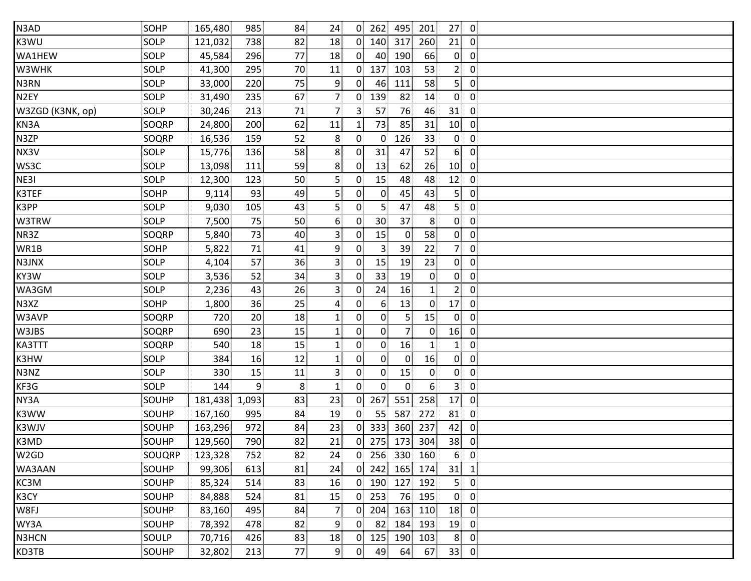| N3AD              | SOHP         | 165,480       | 985            | 84             | 24              |                | $0$ 262         | 495            | 201            | 27              | $\overline{0}$          |  |
|-------------------|--------------|---------------|----------------|----------------|-----------------|----------------|-----------------|----------------|----------------|-----------------|-------------------------|--|
| K3WU              | SOLP         | 121,032       | 738            | 82             | 18              |                | $0$ 140         | 317            | 260            | 21              | $\mathbf 0$             |  |
| WA1HEW            | SOLP         | 45,584        | 296            | 77             | 18 <sup>3</sup> | $\overline{0}$ | 40              | 190            | 66             | $\overline{0}$  | $\mathbf 0$             |  |
| W3WHK             | SOLP         | 41,300        | 295            | 70             | 11              | $\mathbf{0}$   | 137             | 103            | 53             | 2 <sub>1</sub>  | $\mathbf 0$             |  |
| N3RN              | SOLP         | 33,000        | 220            | 75             | 9               | $\mathbf{0}$   | 46              | 111            | 58             | 5 <sup>1</sup>  | $\mathbf 0$             |  |
| N <sub>2EY</sub>  | SOLP         | 31,490        | 235            | 67             | $\overline{7}$  | 0 <sup>1</sup> | 139             | 82             | 14             | 0               | $\mathbf 0$             |  |
| W3ZGD (K3NK, op)  | SOLP         | 30,246        | 213            | 71             | $\overline{7}$  | 3              | 57              | 76             | 46             | 31              | $\mathbf 0$             |  |
| KN3A              | SOQRP        | 24,800        | 200            | 62             | 11              | $\mathbf{1}$   | 73              | 85             | 31             | 10 <sup>1</sup> | $\mathbf 0$             |  |
| N3ZP              | SOQRP        | 16,536        | 159            | 52             | 8               | $\mathbf{0}$   | $\overline{0}$  | 126            | 33             | $\mathbf{0}$    | $\mathbf 0$             |  |
| NX3V              | SOLP         | 15,776        | 136            | 58             | 8               | 0.             | 31              | 47             | 52             | 6 <sub>1</sub>  | $\mathbf 0$             |  |
| WS3C              | SOLP         | 13,098        | 111            | 59             | 8               | 0              | 13              | 62             | 26             | 10              | $\overline{0}$          |  |
| NE31              | SOLP         | 12,300        | 123            | 50             | 5               | $\mathbf{0}$   | 15              | 48             | 48             | 12              | $\mathbf 0$             |  |
| K3TEF             | SOHP         | 9,114         | 93             | 49             | 5               | $\mathbf{0}$   | $\overline{0}$  | 45             | 43             | 5 <sup>1</sup>  | $\mathbf 0$             |  |
| K3PP              | SOLP         | 9,030         | 105            | 43             | 5 <sub>1</sub>  | $\mathbf{0}$   | 5 <sup>1</sup>  | 47             | 48             | 5 <sup>1</sup>  | $\mathbf 0$             |  |
| W3TRW             | SOLP         | 7,500         | 75             | 50             | 6               | $\mathbf{0}$   | 30 <sub>1</sub> | 37             | 8 <sup>1</sup> | $\overline{0}$  | $\mathbf 0$             |  |
| NR3Z              | SOQRP        | 5,840         | 73             | 40             | $\overline{3}$  | $\mathbf{0}$   | 15              | $\mathbf{0}$   | 58             | $\overline{0}$  | $\mathbf 0$             |  |
| WR1B              | SOHP         | 5,822         | 71             | 41             | 9               | $\mathbf{0}$   | 3 <sup>3</sup>  | 39             | 22             | 71              | $\mathbf 0$             |  |
| N3JNX             | SOLP         | 4,104         | 57             | 36             | $\overline{3}$  | 0 <sub>1</sub> | 15              | 19             | 23             | $\overline{0}$  | $\overline{0}$          |  |
| KY3W              | SOLP         | 3,536         | 52             | 34             | $\mathsf{3}$    | $\mathbf{0}$   | 33 <sup>3</sup> | 19             | $\mathbf{0}$   | 0               | $\mathbf 0$             |  |
| WA3GM             | SOLP         | 2,236         | 43             | 26             | 3               | $\mathbf{0}$   | 24              | 16             | $\mathbf{1}$   | 2 <sub>1</sub>  | $\mathbf 0$             |  |
| N3XZ              | SOHP         | 1,800         | 36             | 25             | $\overline{4}$  | $\mathbf{0}$   | 6 <sup>1</sup>  | 13             | $\mathbf{0}$   | 17              | $\mathbf 0$             |  |
| W3AVP             | SOQRP        | 720           | 20             | 18             | $\mathbf{1}$    | 0              | $\overline{0}$  | 5.             | 15             | $\overline{0}$  | $\mathbf 0$             |  |
| W3JBS             | SOQRP        | 690           | 23             | 15             | $\mathbf{1}$    | 0              | $\overline{0}$  | 7 <sup>1</sup> | $\overline{0}$ | 16              | $\mathbf 0$             |  |
| KA3TTT            | SOQRP        | 540           | 18             | 15             | $\mathbf{1}$    | $\mathbf{0}$   | $\overline{0}$  | 16             | 1              | $\mathbf{1}$    | $\mathbf 0$             |  |
| K3HW              | SOLP         | 384           | 16             | 12             | $\mathbf{1}$    | 0 <sup>1</sup> | $\overline{0}$  | $\mathbf{0}$   | 16             | $\overline{0}$  | $\overline{0}$          |  |
| N3NZ              | SOLP         | 330           | 15             | 11             | $\overline{3}$  | 0              | $\overline{0}$  | 15             | $\overline{0}$ | $\overline{0}$  | $\overline{0}$          |  |
| KF3G              | SOLP         | 144           | $\overline{9}$ | 8 <sup>1</sup> | $\mathbf{1}$    | 0              | $\overline{0}$  | $\overline{0}$ | 6 <sup>1</sup> | 3 <sup>1</sup>  | $\mathbf 0$             |  |
| NY3A              | SOUHP        | 181,438 1,093 |                | 83             | 23              | 0 <sub>1</sub> | 267             | 551            | 258            | 17              | $\mathbf 0$             |  |
| K3WW              | SOUHP        | 167,160       | 995            | 84             | 19              | $\mathbf{0}$   | 55              | 587            | 272            | 81              | 0                       |  |
| K3WJV             | <b>SOUHP</b> | 163,296       | 972            | 84             | 23              | 0 <sup>1</sup> | 333             | 360            | 237            | 42              | $\mathbf 0$             |  |
| K3MD              | SOUHP        | 129,560       | 790            | 82             | 21              | $\overline{0}$ | 275             | 173            | 304            | 38              | 0                       |  |
| W <sub>2</sub> GD | SOUQRP       | 123,328       | 752            | 82             | 24              | $\mathbf{0}$   | 256             | 330            | 160            | 6 <sup>1</sup>  | $\overline{\mathbf{0}}$ |  |
| WA3AAN            | SOUHP        | 99,306        | 613            | 81             | 24              | 0 <sup>1</sup> | 242             | 165            | 174            | 31              | $\mathbf{1}$            |  |
| KC3M              | SOUHP        | 85,324        | 514            | 83             | 16              | $\overline{0}$ | 190             | 127            | 192            | 5 <sup>1</sup>  | $\mathbf 0$             |  |
| K3CY              | SOUHP        | 84,888        | 524            | 81             | 15              | 0 <sup>1</sup> | 253             | 76             | 195            | $\mathbf{0}$    | $\mathbf 0$             |  |
| W8FJ              | SOUHP        | 83,160        | 495            | 84             | $\overline{7}$  | 0.             | 204             | 163            | 110            | 18              | $\mathbf 0$             |  |
| WY3A              | SOUHP        | 78,392        | 478            | 82             | 9               | $\mathbf{0}$   | 82              | 184            | 193            | 19              | $\mathbf 0$             |  |
| N3HCN             | SOULP        | 70,716        | 426            | 83             | 18              | $\mathbf{0}$   | 125             | 190            | 103            | 8               | $\mathbf 0$             |  |
| KD3TB             | SOUHP        | 32,802        | 213            | 77             | $\overline{9}$  | 0 <sup>1</sup> | 49              | 64             | 67             | $33$ 0          |                         |  |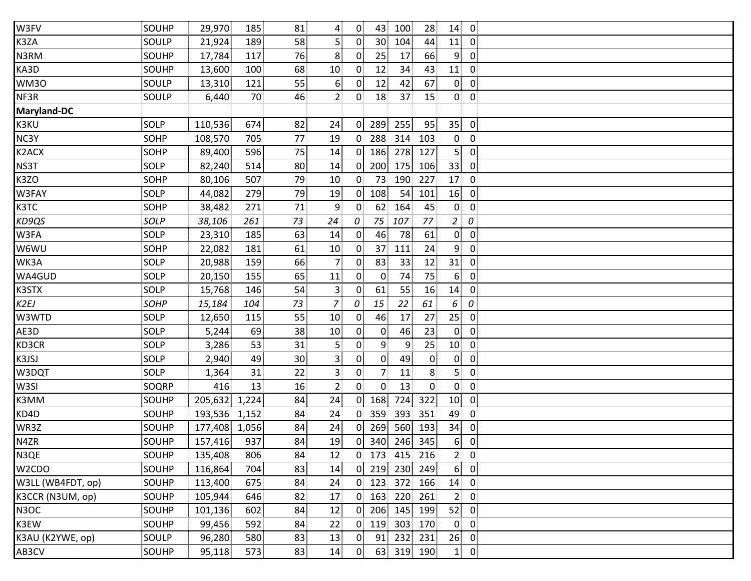| SOUHP       | 29,970  | 185   | 81                                  | $\overline{4}$  | $\overline{0}$ | 43                     | 28                                                              | 14                                                       | $\overline{0}$                                    |                                   |
|-------------|---------|-------|-------------------------------------|-----------------|----------------|------------------------|-----------------------------------------------------------------|----------------------------------------------------------|---------------------------------------------------|-----------------------------------|
| SOULP       | 21,924  | 189   | 58                                  | 5 <sub>1</sub>  | 0 <sup>1</sup> | 30 <sup>1</sup><br>104 | 44                                                              | 11                                                       | $\mathbf 0$                                       |                                   |
| SOUHP       | 17,784  | 117   | 76                                  | 8               | $\overline{0}$ | 25<br>17               | 66                                                              | 9 <sub>1</sub>                                           | $\mathbf 0$                                       |                                   |
| SOUHP       | 13,600  | 100   | 68                                  | 10 <sup>1</sup> | $\mathbf{0}$   | 12<br>34               | 43                                                              | 11                                                       | $\mathbf 0$                                       |                                   |
| SOULP       | 13,310  | 121   | 55                                  | 6               | $\mathbf{0}$   | 12                     | 67                                                              | $\overline{0}$                                           | $\mathbf 0$                                       |                                   |
| SOULP       | 6,440   | 70    | 46                                  | $\overline{2}$  | $\overline{0}$ | 18<br>37               | 15                                                              | $\overline{0}$                                           | $\mathbf 0$                                       |                                   |
|             |         |       |                                     |                 |                |                        |                                                                 |                                                          |                                                   |                                   |
| SOLP        | 110,536 | 674   | 82                                  | 24              | $\overline{0}$ | 289<br>255             | 95                                                              |                                                          | $\mathbf 0$                                       |                                   |
| <b>SOHP</b> | 108,570 | 705   | 77                                  | 19              | $\overline{0}$ | 288<br>314             | 103                                                             |                                                          | $\overline{0}$                                    |                                   |
| <b>SOHP</b> | 89,400  | 596   | 75                                  | 14              | 0 <sup>1</sup> | 186                    | 127                                                             | 5 <sup>1</sup>                                           | $\mathbf 0$                                       |                                   |
| SOLP        | 82,240  | 514   | 80                                  | 14              | $\overline{0}$ | 200<br>175             | 106                                                             | 33                                                       | $\mathbf 0$                                       |                                   |
| <b>SOHP</b> | 80,106  | 507   | 79                                  | 10 <sub>1</sub> | 0              | 73                     | 227                                                             | 17                                                       | $\mathbf 0$                                       |                                   |
| SOLP        | 44,082  | 279   | 79                                  | 19              | 0 <sup>1</sup> | 108<br>54              | 101                                                             | 16                                                       | $\mathbf 0$                                       |                                   |
| SOHP        | 38,482  | 271   | 71                                  | $\overline{9}$  | 0 <sup>1</sup> | 164<br>62 <sup>1</sup> | 45                                                              | $\mathbf{0}$                                             | $\overline{0}$                                    |                                   |
| SOLP        | 38,106  | 261   | 73                                  | 24              |                | 75<br>107              | 77                                                              | $\overline{2}$                                           |                                                   |                                   |
| SOLP        | 23,310  | 185   | 63                                  | 14              | $\overline{0}$ | 78<br>46               | 61                                                              | 0                                                        | $\boldsymbol{0}$                                  |                                   |
| <b>SOHP</b> | 22,082  | 181   | 61                                  | 10              | $\mathbf{0}$   | 37<br>111              | 24                                                              | 9                                                        | $\mathbf 0$                                       |                                   |
| SOLP        | 20,988  | 159   | 66                                  | $\overline{7}$  | $\mathbf{0}$   | 83<br>33               | 12                                                              | 31                                                       | $\mathbf 0$                                       |                                   |
| SOLP        | 20,150  | 155   | 65                                  | 11              | $\mathbf{0}$   | 74<br>$\mathbf{0}$     | 75                                                              | $6^{\frac{1}{3}}$                                        | $\mathbf 0$                                       |                                   |
| SOLP        | 15,768  | 146   | 54                                  | 3               | $\mathbf{0}$   | 61<br>55               | 16                                                              | 14                                                       | $\overline{0}$                                    |                                   |
| SOHP        | 15,184  | 104   | 73                                  | $\overline{z}$  |                | 15<br>22               | 61                                                              | 6                                                        |                                                   |                                   |
| SOLP        | 12,650  | 115   | 55                                  | 10              | $\mathbf{0}$   | 17<br>46               | 27                                                              | 25 <sub>1</sub>                                          | $\mathbf 0$                                       |                                   |
| SOLP        | 5,244   | 69    | 38                                  | 10 <sup>1</sup> | $\mathbf{0}$   | $\overline{0}$<br>46   | 23                                                              | $\overline{0}$                                           | $\mathbf 0$                                       |                                   |
| SOLP        | 3,286   | 53    | 31                                  | 5 <sub>1</sub>  | 0              | 9<br>9                 | 25                                                              | 10                                                       | $\mathbf 0$                                       |                                   |
| SOLP        | 2,940   | 49    | 30                                  | 3               | 0 <sup>1</sup> | $\overline{0}$<br>49   | $\overline{0}$                                                  | $\mathbf{0}$                                             | $\overline{0}$                                    |                                   |
| SOLP        | 1,364   | 31    | 22                                  | $\overline{3}$  | $\overline{0}$ | 7<br>11                | 8                                                               | 5.                                                       | $\mathbf 0$                                       |                                   |
| SOQRP       | 416     | 13    | 16                                  | 2 <sup>1</sup>  | 0              | $\overline{0}$<br>13   | $\mathbf{0}$                                                    |                                                          | $\overline{0}$                                    |                                   |
| SOUHP       |         | 1,224 | 84                                  | 24              | 0 <sup>1</sup> | 168<br>724             | 322                                                             | 10 <sup>1</sup>                                          | $\overline{0}$                                    |                                   |
| SOUHP       |         | 1,152 | 84                                  | 24              | $\overline{0}$ | 359<br>393             | 351                                                             | 49                                                       | 0                                                 |                                   |
| SOUHP       |         |       | 84                                  | 24              | 0 <sup>1</sup> | 269                    | 193                                                             | 34                                                       | $\mathbf 0$                                       |                                   |
| SOUHP       | 157,416 | 937   | 84                                  | 19              | $\overline{0}$ | 340                    | 345                                                             | 6 <sup>1</sup>                                           | $\mathbf 0$                                       |                                   |
| SOUHP       | 135,408 | 806   | 84                                  | 12              |                |                        | 216                                                             | 2 <sub>1</sub>                                           | $\overline{0}$                                    |                                   |
| SOUHP       | 116,864 | 704   | 83                                  | 14              |                |                        | 249                                                             | 6 <sup>1</sup>                                           | $\overline{0}$                                    |                                   |
| SOUHP       | 113,400 | 675   | 84                                  | 24              |                |                        | 166                                                             | 14                                                       | $\mathbf 0$                                       |                                   |
| SOUHP       | 105,944 | 646   | 82                                  | 17              | 0 <sup>1</sup> | 163                    | 261                                                             | 2 <sub>i</sub>                                           | $\mathbf 0$                                       |                                   |
| SOUHP       | 101,136 | 602   | 84                                  | 12              | $\mathbf{0}$   | 206                    | 199                                                             | 52                                                       | $\mathbf 0$                                       |                                   |
| SOUHP       | 99,456  | 592   | 84                                  | 22              | 0 <sup>1</sup> | 119<br>303             | 170                                                             | $\mathbf{0}$                                             | $\mathbf 0$                                       |                                   |
| SOULP       | 96,280  | 580   | 83                                  | 13              | 0 <sup>1</sup> | 91                     | 231                                                             | 26                                                       | $\mathbf 0$                                       |                                   |
| SOUHP       | 95,118  | 573   | 83                                  | 14              | 0 <sub>1</sub> | 63                     |                                                                 |                                                          |                                                   |                                   |
|             |         |       | 205,632<br>193,536<br>177,408 1,056 |                 |                | 0<br>0                 | 100<br>42<br>190<br>560<br>$0$ 173<br>$0$ 219<br>$0$ 123<br>232 | 278<br>246<br>415<br>230<br>372<br>220<br>145<br>319 190 | 35 <sub>1</sub><br>$\overline{0}$<br>$\mathbf{0}$ | ${\cal O}$<br>$\cal O$<br>$1 \ 0$ |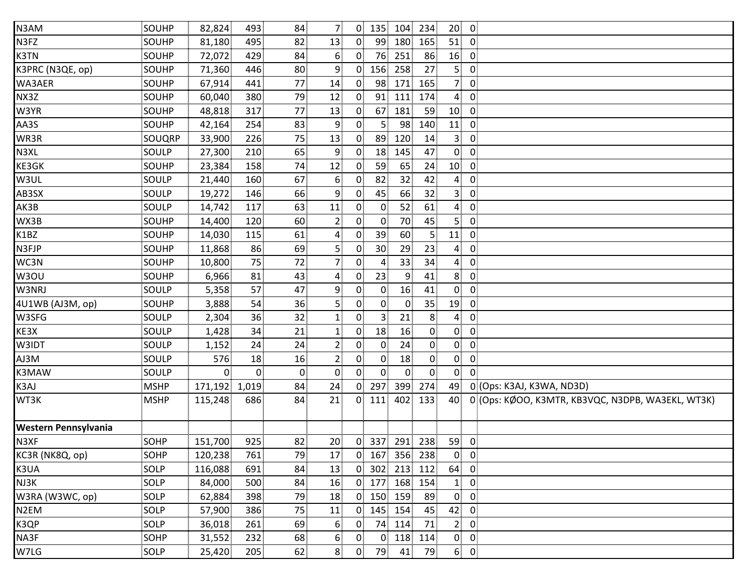| N3AM                 | SOUHP       | 82,824  | 493          | 84             | $\overline{7}$   | $\overline{0}$ | 135             | 104            | 234             | 20 <sub>1</sub> | $\overline{\mathbf{0}}$ |                                                   |
|----------------------|-------------|---------|--------------|----------------|------------------|----------------|-----------------|----------------|-----------------|-----------------|-------------------------|---------------------------------------------------|
| N3FZ                 | SOUHP       | 81,180  | 495          | 82             | 13               | $\overline{0}$ | 99              | 180            | 165             | 51              | $\overline{0}$          |                                                   |
| K3TN                 | SOUHP       | 72,072  | 429          | 84             | 6                | $\overline{0}$ | 76              | 251            | 86              | 16              | $\overline{\mathbf{0}}$ |                                                   |
| K3PRC (N3QE, op)     | SOUHP       | 71,360  | 446          | 80             | 9                | $\mathbf{0}$   | 156             | 258            | 27              | 5               | $\mathbf{0}$            |                                                   |
| WA3AER               | SOUHP       | 67,914  | 441          | 77             | 14               | $\overline{0}$ | 98              | 171            | 165             | 7 <sup>1</sup>  | $\overline{0}$          |                                                   |
| NX3Z                 | SOUHP       | 60,040  | 380          | 79             | 12               | 0 <sup>1</sup> | 91              | 111            | 174             | $\overline{4}$  | $\overline{0}$          |                                                   |
| W3YR                 | SOUHP       | 48,818  | 317          | 77             | 13               | $\mathbf{0}$   | 67              | 181            | 59              | 10 <sub>1</sub> | $\overline{0}$          |                                                   |
| AA3S                 | SOUHP       | 42,164  | 254          | 83             | 9                | $\overline{0}$ | 5 <sub>1</sub>  | 98             | 140             | 11              | $\overline{0}$          |                                                   |
| WR3R                 | SOUQRP      | 33,900  | 226          | 75             | 13               | $\mathbf{0}$   | 89              | 120            | 14              | 3 <sup>1</sup>  | $\overline{0}$          |                                                   |
| N3XL                 | SOULP       | 27,300  | 210          | 65             | 9                | $\mathbf{0}$   | 18              | 145            | 47              | $\overline{0}$  | $\mathbf 0$             |                                                   |
| KE3GK                | SOUHP       | 23,384  | 158          | 74             | 12               | $\mathbf{0}$   | 59              | 65             | 24              | 10              | $\overline{0}$          |                                                   |
| W3UL                 | SOULP       | 21,440  | 160          | 67             | $6 \overline{6}$ | $\mathbf{0}$   | 82              | 32             | 42              | $\overline{4}$  | $\mathbf 0$             |                                                   |
| AB3SX                | SOULP       | 19,272  | 146          | 66             | 9                | $\mathbf{0}$   | 45              | 66             | 32 <sub>1</sub> | 3 <sup>1</sup>  | $\overline{0}$          |                                                   |
| AK3B                 | SOULP       | 14,742  | 117          | 63             | 11               | 0 <sup>1</sup> | $\overline{0}$  | 52             | 61              | $\overline{4}$  | $\overline{0}$          |                                                   |
| WX3B                 | SOUHP       | 14,400  | 120          | 60             | $\overline{2}$   | 0              | $\overline{0}$  | 70             | 45              | 5 <sup>1</sup>  | $\overline{0}$          |                                                   |
| K1BZ                 | SOUHP       | 14,030  | 115          | 61             | 4                | $\mathbf{0}$   | 39              | 60             | $\overline{5}$  | 11              | $\overline{0}$          |                                                   |
| N3FJP                | SOUHP       | 11,868  | 86           | 69             | 5 <sub>1</sub>   | $\mathbf{0}$   | 30 <sub>1</sub> | 29             | 23              | $\overline{4}$  | $\mathbf{0}$            |                                                   |
| WC3N                 | SOUHP       | 10,800  | 75           | 72             | $\overline{7}$   | $\mathbf{0}$   | $\overline{4}$  | 33             | 34              | $\overline{4}$  | $\overline{0}$          |                                                   |
| W3OU                 | SOUHP       | 6,966   | 81           | 43             | 4                | $\mathbf{0}$   | 23              | 9              | 41              | 8 <sup>1</sup>  | $\overline{0}$          |                                                   |
| W3NRJ                | SOULP       | 5,358   | 57           | 47             | 9                | $\overline{0}$ | $\overline{0}$  | 16             | 41              | $\overline{0}$  | $\overline{0}$          |                                                   |
| 4U1WB (AJ3M, op)     | SOUHP       | 3,888   | 54           | 36             | 5                | $\mathbf{0}$   | $\overline{0}$  | $\overline{0}$ | 35              | 19              | $\overline{0}$          |                                                   |
| W3SFG                | SOULP       | 2,304   | 36           | 32             | $\mathbf{1}$     | 0.             | 3               | 21             | 8 <sup>1</sup>  | 4               | $\mathbf{0}$            |                                                   |
| KE3X                 | SOULP       | 1,428   | 34           | 21             | $\mathbf{1}$     | $\mathbf{0}$   | 18              | 16             | $\overline{0}$  | $\overline{0}$  | $\overline{0}$          |                                                   |
| W3IDT                | SOULP       | 1,152   | 24           | 24             | $\overline{2}$   | $\mathbf{0}$   | $\overline{0}$  | 24             | $\overline{0}$  | $\overline{0}$  | $\overline{0}$          |                                                   |
| AJ3M                 | SOULP       | 576     | 18           | 16             | $\overline{2}$   | 0 <sup>1</sup> | $\overline{0}$  | 18             | $\overline{0}$  | $\overline{0}$  | $\overline{0}$          |                                                   |
| K3MAW                | SOULP       | 0       | $\mathbf{0}$ | $\overline{0}$ | $\overline{0}$   | 0              | $\overline{0}$  | $\overline{0}$ | $\overline{0}$  | $\overline{0}$  | $\mathbf 0$             |                                                   |
| K3AJ                 | <b>MSHP</b> | 171,192 | 1,019        | 84             | 24               | $\overline{0}$ | 297             | 399            | 274             | 49              |                         | 0 (Ops: K3AJ, K3WA, ND3D)                         |
| WT3K                 | <b>MSHP</b> | 115,248 | 686          | 84             | 21               |                | $0$ 111         | 402            | 133             | 40              |                         | 0 (Ops: KØOO, K3MTR, KB3VQC, N3DPB, WA3EKL, WT3K) |
| Western Pennsylvania |             |         |              |                |                  |                |                 |                |                 |                 |                         |                                                   |
| N3XF                 | SOHP        | 151,700 | 925          | 82             | 20 <sub>1</sub>  | $\mathbf{0}$   | 337             | 291            | 238             | 59              | $\overline{0}$          |                                                   |
| KC3R (NK8Q, op)      | SOHP        | 120,238 | 761          | 79             | 17               | $\overline{0}$ | 167             | 356            | 238             | $\mathbf{0}$    | $\overline{\mathbf{0}}$ |                                                   |
| K3UA                 | SOLP        | 116,088 | 691          | 84             | 13               | $\overline{0}$ | 302             | 213            | 112             | 64              | $\overline{0}$          |                                                   |
| NJ3K                 | SOLP        | 84,000  | 500          | 84             | 16               | $\overline{0}$ | 177             | 168            | 154             | 1 <sub>1</sub>  | $\overline{0}$          |                                                   |
| W3RA (W3WC, op)      | SOLP        | 62,884  | 398          | 79             | 18               | $\overline{0}$ | 150             | 159            | 89              | $\overline{0}$  | $\overline{0}$          |                                                   |
| N <sub>2</sub> EM    | SOLP        | 57,900  | 386          | 75             | 11               | $\overline{0}$ | 145             | 154            | 45              | 42              | $\mathbf{0}$            |                                                   |
| K3QP                 | SOLP        | 36,018  | 261          | 69             | 6                | $\overline{0}$ | 74              | 114            | 71              | 2 <sup>1</sup>  | $\overline{0}$          |                                                   |
| NA3F                 | SOHP        | 31,552  | 232          | 68             | $6 \overline{6}$ | $\mathbf{0}$   | $\overline{0}$  | 118            | 114             | $\overline{0}$  | $\overline{0}$          |                                                   |
| W7LG                 | SOLP        | 25,420  | 205          | 62             | 8 <sup>3</sup>   | $\overline{0}$ | 79              | 41             | 79              |                 | $6$ 0                   |                                                   |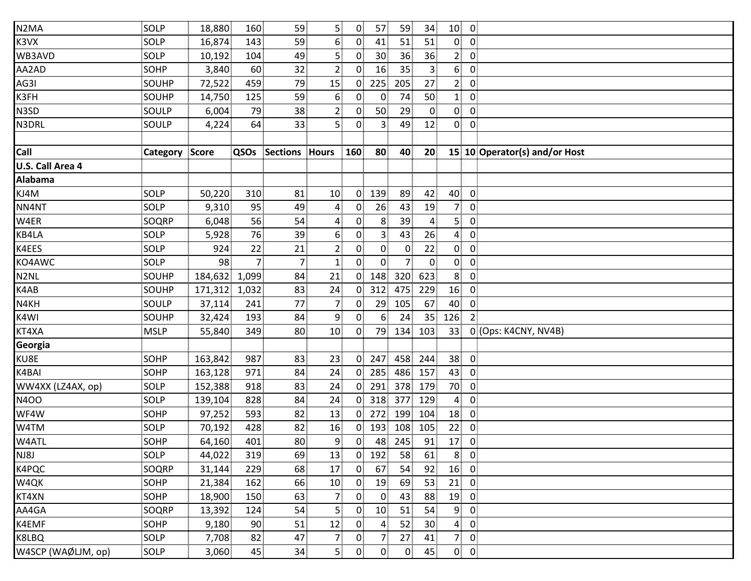| N <sub>2</sub> MA  | SOLP           | 18,880  | 160   | 59              | 5                | 0              | 57              | 59             | 34              | 10 <sub>0</sub> |                         |                               |
|--------------------|----------------|---------|-------|-----------------|------------------|----------------|-----------------|----------------|-----------------|-----------------|-------------------------|-------------------------------|
| K3VX               | SOLP           | 16,874  | 143   | 59              | $6 \overline{6}$ | $\overline{0}$ | 41              | 51             | 51              | $\mathbf{0}$    | $\overline{0}$          |                               |
| WB3AVD             | SOLP           | 10,192  | 104   | 49              | 5 <sub>5</sub>   | 0              | 30 <sup>1</sup> | 36             | 36              | 2 <sup>1</sup>  | $\overline{0}$          |                               |
| AA2AD              | SOHP           | 3,840   | 60    | 32              | $\overline{2}$   | $\mathbf{0}$   | 16              | 35             | 3 <sup>3</sup>  | 6 <sup>1</sup>  | $\overline{0}$          |                               |
| AG3I               | SOUHP          | 72,522  | 459   | 79              | 15               | $\overline{0}$ | 225             | 205            | 27              | 2 <sup>1</sup>  | $\mathbf 0$             |                               |
| K3FH               | SOUHP          | 14,750  | 125   | 59              | $6 \overline{6}$ | 0              | $\overline{0}$  | 74             | 50              | 1 <sup>1</sup>  | $\overline{0}$          |                               |
| N3SD               | SOULP          | 6,004   | 79    | 38              | $\mathbf{2}$     | 0              | 50              | 29             | $\overline{0}$  | $\overline{0}$  | $\overline{0}$          |                               |
| N3DRL              | SOULP          | 4,224   | 64    | 33              | $\overline{5}$   | $\mathbf{0}$   | 3 <sup>3</sup>  | 49             | 12              |                 | $0\quad 0$              |                               |
|                    |                |         |       |                 |                  |                |                 |                |                 |                 |                         |                               |
| Call               | Category Score |         | QSOs  | Sections        | <b>Hours</b>     | 160            | 80              | 40             | 20              |                 |                         | 15 10 Operator(s) and/or Host |
| U.S. Call Area 4   |                |         |       |                 |                  |                |                 |                |                 |                 |                         |                               |
| <b>Alabama</b>     |                |         |       |                 |                  |                |                 |                |                 |                 |                         |                               |
| KJ4M               | SOLP           | 50,220  | 310   | 81              | 10               | 0 <sup>1</sup> | 139             | 89             | 42              | 40              | $\overline{0}$          |                               |
| NN4NT              | SOLP           | 9,310   | 95    | 49              | $\overline{a}$   | $\mathbf{0}$   | 26              | 43             | 19              | 7 <sup>1</sup>  | $\overline{0}$          |                               |
| W4ER               | SOQRP          | 6,048   | 56    | 54              | 4                | $\mathbf{0}$   | 8               | 39             | $\overline{4}$  | 5 <sup>1</sup>  | $\overline{0}$          |                               |
| KB4LA              | SOLP           | 5,928   | 76    | 39              | 6                | 0              | 3               | 43             | 26              | $\overline{4}$  | $\overline{0}$          |                               |
| K4EES              | SOLP           | 924     | 22    | 21              | $\overline{2}$   | 0              | 0               | $\mathbf{0}$   | 22              | $\mathbf{0}$    | $\mathbf 0$             |                               |
| KO4AWC             | SOLP           | 98      | 7     | $\overline{7}$  | $\mathbf{1}$     | $\overline{0}$ | 0               | 7 <sup>1</sup> | $\mathbf 0$     | $\overline{0}$  | $\mathbf 0$             |                               |
| N2NL               | SOUHP          | 184,632 | 1,099 | 84              | 21               | $\mathbf{0}$   | 148             | 320            | 623             | 8 <sup>1</sup>  | $\mathbf 0$             |                               |
| K4AB               | SOUHP          | 171,312 | 1,032 | 83              | 24               | 0              | 312             | 475            | 229             | 16              | $\overline{0}$          |                               |
| N4KH               | SOULP          | 37,114  | 241   | 77              | $\overline{7}$   | 0              | 29              | 105            | 67              | 40              | $\overline{0}$          |                               |
| K4WI               | SOUHP          | 32,424  | 193   | 84              | 9                | 0              | 6               | 24             | 35 <sub>1</sub> | 126             | $\overline{2}$          |                               |
| KT4XA              | <b>MSLP</b>    | 55,840  | 349   | 80 <sup>3</sup> | 10 <sup>1</sup>  | 0              | 79              | 134            | 103             | 33              |                         | 0 (Ops: K4CNY, NV4B)          |
| Georgia            |                |         |       |                 |                  |                |                 |                |                 |                 |                         |                               |
| KU8E               | SOHP           | 163,842 | 987   | 83              | 23               | $\mathbf{0}$   | 247             | 458            | 244             | 38              | $\overline{0}$          |                               |
| K4BAI              | SOHP           | 163,128 | 971   | 84              | 24               | $\mathbf{0}$   | 285             | 486            | 157             | 43              | $\overline{0}$          |                               |
| WW4XX (LZ4AX, op)  | SOLP           | 152,388 | 918   | 83              | 24               | 0              | 291             | 378            | 179             | 70              | $\overline{0}$          |                               |
| <b>N4OO</b>        | SOLP           | 139,104 | 828   | 84              | 24               | $\overline{0}$ | 318             | 377            | 129             | $\overline{4}$  | $\overline{\mathbf{0}}$ |                               |
| WF4W               | SOHP           | 97,252  | 593   | 82              | 13               | $\overline{0}$ | 272             | 199            | 104             | 18              | $\mathbf 0$             |                               |
| W4TM               | SOLP           | 70,192  | 428   | 82              | 16               | 0              | 193             | 108            | 105             | 22              | $\mathbf 0$             |                               |
| W4ATL              | <b>SOHP</b>    | 64,160  | 401   | 80 <sup>1</sup> | 9                | $\overline{0}$ | 48              | 245            | 91              | 17              | $\overline{0}$          |                               |
| NJ8J               | SOLP           | 44,022  | 319   | 69              | 13               | $\overline{0}$ | 192             | 58             | 61              | 8 <sup>1</sup>  | $\overline{0}$          |                               |
| K4PQC              | SOQRP          | 31,144  | 229   | 68              | 17               | $\overline{0}$ | 67              | 54             | 92              | 16              | $\overline{0}$          |                               |
| W4QK               | SOHP           | 21,384  | 162   | 66              | 10               | $\overline{0}$ | 19              | 69             | 53              | 21              | $\overline{0}$          |                               |
| KT4XN              | SOHP           | 18,900  | 150   | 63              | 7 <sup>1</sup>   | 0              | $\overline{0}$  | 43             | 88              | 19              | $\mathbf 0$             |                               |
| AA4GA              | SOQRP          | 13,392  | 124   | 54              | 5                | 0              | 10 <sup>1</sup> | 51             | 54              | 9 <sub>1</sub>  | $\mathbf 0$             |                               |
| K4EMF              | SOHP           | 9,180   | 90    | 51              | 12               | 0              | $\overline{4}$  | 52             | 30              | $\overline{4}$  | $\mathbf 0$             |                               |
| K8LBQ              | SOLP           | 7,708   | 82    | 47              | $\overline{7}$   | 0              | 7               | 27             | 41              | 7               | $\mathbf 0$             |                               |
| W4SCP (WAØLJM, op) | SOLP           | 3,060   | 45    | 34              | 5 <sup>1</sup>   | 0              | 0               | $\overline{0}$ | 45              |                 | $0 \quad 0$             |                               |
|                    |                |         |       |                 |                  |                |                 |                |                 |                 |                         |                               |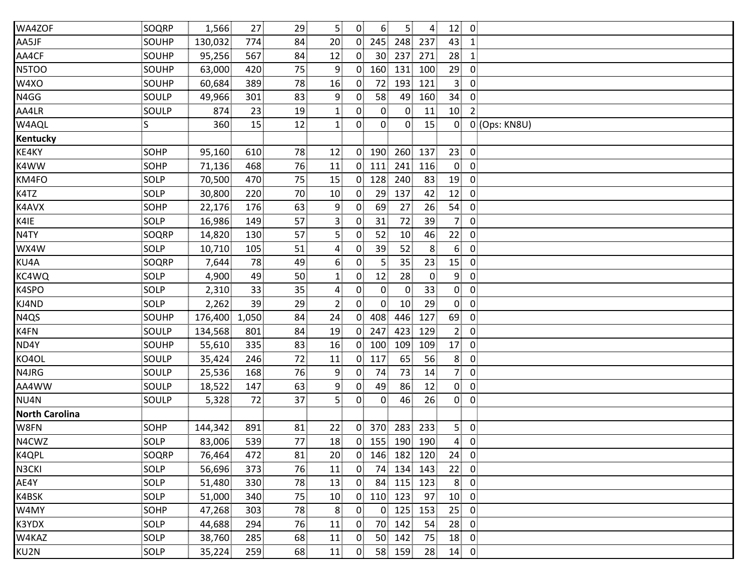| WA4ZOF                | SOQRP | 1,566   | 27    | 29 | 5 <sup>5</sup>   | $\overline{0}$ | 6 <sup>1</sup>   | 5 <sup>1</sup> | $\overline{4}$ | 12 <sub>1</sub> | $\overline{0}$          |               |
|-----------------------|-------|---------|-------|----|------------------|----------------|------------------|----------------|----------------|-----------------|-------------------------|---------------|
| AA5JF                 | SOUHP | 130,032 | 774   | 84 | 20 <sup>2</sup>  | $\overline{0}$ | 245              | 248            | 237            | 43              | $\mathbf{1}$            |               |
| AA4CF                 | SOUHP | 95,256  | 567   | 84 | 12               | $\mathbf{0}$   | 30 <sup>1</sup>  | 237            | 271            | 28              | $\mathbf{1}$            |               |
| N5TOO                 | SOUHP | 63,000  | 420   | 75 | 9                | 0              | 160              | 131            | 100            | 29              | $\overline{0}$          |               |
| W4XO                  | SOUHP | 60,684  | 389   | 78 | 16               | 0              | 72               | 193            | 121            | 3 <sup>1</sup>  | $\mathbf 0$             |               |
| N4GG                  | SOULP | 49,966  | 301   | 83 | 9                | 0              | 58               | 49             | 160            | 34              | $\overline{0}$          |               |
| AA4LR                 | SOULP | 874     | 23    | 19 | $\mathbf{1}$     | 0              | $\mathbf{0}$     | $\overline{0}$ | 11             | 10 <sup>1</sup> | $\overline{2}$          |               |
| W4AQL                 | S     | 360     | 15    | 12 | $\mathbf{1}$     | $\overline{0}$ | $\overline{0}$   | $\overline{0}$ | 15             | $\overline{0}$  |                         | 0 (Ops: KN8U) |
| Kentucky              |       |         |       |    |                  |                |                  |                |                |                 |                         |               |
| KE4KY                 | SOHP  | 95,160  | 610   | 78 | 12               | $\overline{0}$ | 190 <sub>1</sub> | 260 137        |                | 23              | $\overline{0}$          |               |
| K4WW                  | SOHP  | 71,136  | 468   | 76 | 11               | 0              | 111              | 241            | 116            | $\overline{0}$  | $\mathbf 0$             |               |
| KM4FO                 | SOLP  | 70,500  | 470   | 75 | 15               | $\overline{0}$ | 128              | 240            | 83             | 19              | $\mathbf 0$             |               |
| K4TZ                  | SOLP  | 30,800  | 220   | 70 | 10               | 0              | 29               | 137            | 42             | 12              | $\overline{0}$          |               |
| K4AVX                 | SOHP  | 22,176  | 176   | 63 | 9                | $\mathbf{0}$   | 69               | 27             | 26             | 54              | $\overline{0}$          |               |
| K4IE                  | SOLP  | 16,986  | 149   | 57 | 3                | $\mathbf{0}$   | 31               | 72             | 39             | 7 <sup>1</sup>  | $\mathbf 0$             |               |
| N4TY                  | SOQRP | 14,820  | 130   | 57 | 5 <sup>1</sup>   | $\mathbf{0}$   | 52               | 10             | 46             | 22              | $\overline{0}$          |               |
| WX4W                  | SOLP  | 10,710  | 105   | 51 | 4                | $\mathbf{0}$   | 39               | 52             | 8              | 6 <sup>1</sup>  | 0                       |               |
| KU4A                  | SOQRP | 7,644   | 78    | 49 | $6 \overline{6}$ | 0              | $\overline{5}$   | 35             | 23             | 15              | $\overline{0}$          |               |
| KC4WQ                 | SOLP  | 4,900   | 49    | 50 | $\mathbf{1}$     | 0              | 12               | 28             | $\mathbf{0}$   | 9 <sup>1</sup>  | $\overline{0}$          |               |
| K4SPO                 | SOLP  | 2,310   | 33    | 35 | $\overline{a}$   | $\mathbf{0}$   | $\overline{0}$   | $\mathbf{0}$   | 33             | $\overline{0}$  | $\overline{0}$          |               |
| KJ4ND                 | SOLP  | 2,262   | 39    | 29 | $\overline{2}$   | $\overline{0}$ | $0^{\circ}$      | 10             | 29             | $\overline{0}$  | $\overline{\mathbf{0}}$ |               |
| N <sub>4</sub> QS     | SOUHP | 176,400 | 1,050 | 84 | 24               | $\overline{0}$ | 408              | 446            | 127            | 69              | $\mathbf 0$             |               |
| K4FN                  | SOULP | 134,568 | 801   | 84 | 19               | $\mathbf{0}$   | 247              | 423            | 129            | 2 <sub>1</sub>  | $\overline{0}$          |               |
| ND4Y                  | SOUHP | 55,610  | 335   | 83 | 16               | $\mathbf{0}$   | 100              | 109            | 109            | 17              | $\mathbf 0$             |               |
| KO4OL                 | SOULP | 35,424  | 246   | 72 | 11               | $0^{\circ}$    | 117              | 65             | 56             | 8 <sub>1</sub>  | $\overline{0}$          |               |
| N4JRG                 | SOULP | 25,536  | 168   | 76 | 9                | $\overline{0}$ | 74               | 73             | 14             | 7 <sup>1</sup>  | $\overline{0}$          |               |
| AA4WW                 | SOULP | 18,522  | 147   | 63 | 9                | 0              | 49               | 86             | 12             | $\overline{0}$  | $\overline{0}$          |               |
| NU4N                  | SOULP | 5,328   | 72    | 37 | 5 <sup>1</sup>   | 0              | $\overline{0}$   | 46             | 26             | $\overline{0}$  | $\overline{0}$          |               |
| <b>North Carolina</b> |       |         |       |    |                  |                |                  |                |                |                 |                         |               |
| W8FN                  | SOHP  | 144,342 | 891   | 81 | 22               | $\overline{0}$ | 370              | 283            | 233            | 5 <sup>1</sup>  | $\overline{0}$          |               |
| N4CWZ                 | SOLP  | 83,006  | 539   | 77 | 18               |                | 0 155 190 190    |                |                | $\overline{4}$  | $\overline{0}$          |               |
| K4QPL                 | SOQRP | 76,464  | 472   | 81 | 20               | $\mathbf{0}$   | 146              | 182            | 120            | 24              | $\overline{0}$          |               |
| N3CKI                 | SOLP  | 56,696  | 373   | 76 | 11               | 0              | 74.              | 134            | 143            | 22              | $\overline{0}$          |               |
| AE4Y                  | SOLP  | 51,480  | 330   | 78 | 13               | 0              | 84               | 115            | 123            | 8 <sup>1</sup>  | $\mathbf 0$             |               |
| K4BSK                 | SOLP  | 51,000  | 340   | 75 | 10               | 0              | 110              | 123            | 97             | 10              | $\mathbf 0$             |               |
| W4MY                  | SOHP  | 47,268  | 303   | 78 | 8 <sup>1</sup>   | 0              | 0.               | 125            | 153            | 25              | 0                       |               |
| K3YDX                 | SOLP  | 44,688  | 294   | 76 | 11               | 0              | 70               | 142            | 54             | 28              | $\mathbf 0$             |               |
| W4KAZ                 | SOLP  | 38,760  | 285   | 68 | 11               | $\mathbf{0}$   | 50               | 142            | 75             | 18              | $\mathbf 0$             |               |
| KU2N                  | SOLP  | 35,224  | 259   | 68 | 11               | 0              | 58 159           |                | 28             | $14$ 0          |                         |               |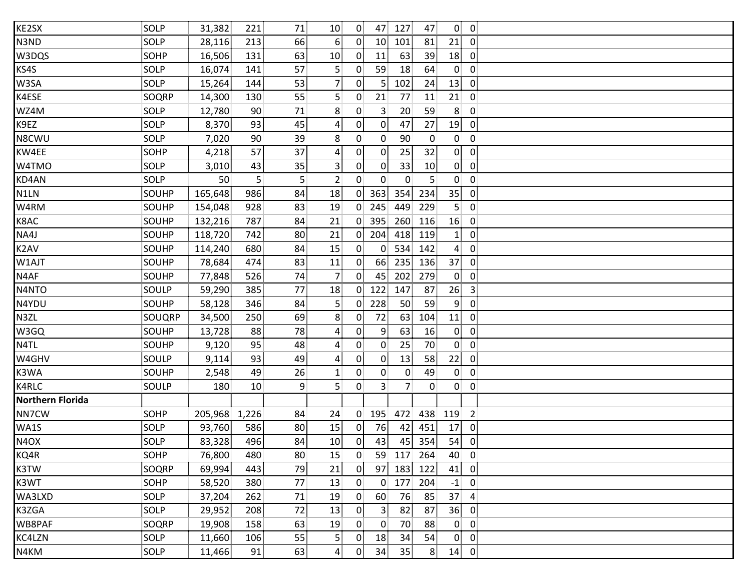| KE2SX                   | SOLP   | 31,382  | 221             | 71             | 10                      | $\overline{0}$ | 47              | 127            | 47             | $\overline{0}$  | $\overline{0}$          |  |
|-------------------------|--------|---------|-----------------|----------------|-------------------------|----------------|-----------------|----------------|----------------|-----------------|-------------------------|--|
| N3ND                    | SOLP   | 28,116  | 213             | 66             | 6 <sup>1</sup>          | $\mathbf{0}$   | 10 <sup>1</sup> | 101            | 81             | 21              | $\overline{0}$          |  |
| W3DQS                   | SOHP   | 16,506  | 131             | 63             | 10                      | $\mathbf{0}$   | 11              | 63             | 39             | 18              | $\overline{0}$          |  |
| KS4S                    | SOLP   | 16,074  | 141             | 57             | 5 <sub>5</sub>          | $\mathbf{0}$   | 59              | 18             | 64             | $\mathbf{0}$    | $\overline{0}$          |  |
| W3SA                    | SOLP   | 15,264  | 144             | 53             | $\overline{7}$          | $\mathbf{0}$   | 5               | 102            | 24             | 13              | $\mathbf 0$             |  |
| K4ESE                   | SOQRP  | 14,300  | 130             | 55             | 5 <sup>1</sup>          | $\overline{0}$ | 21              | 77             | 11             | 21              | $\overline{0}$          |  |
| WZ4M                    | SOLP   | 12,780  | 90              | 71             | 8                       | $\mathbf{0}$   | 3 <sup>1</sup>  | 20             | 59             | 8               | $\overline{0}$          |  |
| K9EZ                    | SOLP   | 8,370   | 93              | 45             | $\boldsymbol{A}$        | 0              | $\overline{0}$  | 47             | 27             | 19              | $\overline{0}$          |  |
| N8CWU                   | SOLP   | 7,020   | 90 <sup>1</sup> | 39             | 8 <sup>1</sup>          | 0              | $\overline{0}$  | 90             | $\overline{0}$ | $\overline{0}$  | $\overline{0}$          |  |
| KW4EE                   | SOHP   | 4,218   | 57              | 37             | $\overline{4}$          | $\overline{0}$ | $\overline{0}$  | 25             | 32             | $\overline{0}$  | $\overline{0}$          |  |
| W4TMO                   | SOLP   | 3,010   | 43              | 35             | $\overline{3}$          | $\mathbf{0}$   | $\overline{0}$  | 33             | 10             | $\overline{0}$  | $\mathbf 0$             |  |
| KD4AN                   | SOLP   | 50      | 5 <sup>1</sup>  | 5 <sup>1</sup> | $\overline{2}$          | 0 <sup>1</sup> | $\overline{0}$  | $\mathbf{0}$   | 5 <sup>1</sup> | $\overline{0}$  | $\mathbf 0$             |  |
| N1LN                    | SOUHP  | 165,648 | 986             | 84             | 18                      | $\overline{0}$ | 363             | 354            | 234            | 35 <sub>1</sub> | $\overline{0}$          |  |
| W4RM                    | SOUHP  | 154,048 | 928             | 83             | 19                      | $\overline{0}$ | 245             | 449            | 229            | 5 <sup>1</sup>  | $\overline{0}$          |  |
| K8AC                    | SOUHP  | 132,216 | 787             | 84             | 21                      | $\overline{0}$ | 395             | 260            | 116            | 16              | $\overline{0}$          |  |
| NA4J                    | SOUHP  | 118,720 | 742             | 80             | 21                      | $\overline{0}$ | 204             | 418            | 119            | 1 <sub>1</sub>  | $\overline{0}$          |  |
| K2AV                    | SOUHP  | 114,240 | 680             | 84             | 15                      | $\overline{0}$ | $\overline{0}$  | 534            | 142            | $\overline{4}$  | $\overline{0}$          |  |
| W1AJT                   | SOUHP  | 78,684  | 474             | 83             | 11                      | $\overline{0}$ | 66              | 235            | 136            | 37              | $\overline{0}$          |  |
| N4AF                    | SOUHP  | 77,848  | 526             | 74             | $\overline{7}$          | $\overline{0}$ | 45              | 202            | 279            | $\overline{0}$  | $\mathbf 0$             |  |
| N4NTO                   | SOULP  | 59,290  | 385             | 77             | 18                      | $\overline{0}$ | 122             | 147            | 87             | 26              | $\overline{\mathbf{3}}$ |  |
| N4YDU                   | SOUHP  | 58,128  | 346             | 84             | 5                       | $\mathbf{0}$   | 228             | 50             | 59             | 9 <sub>1</sub>  | $\overline{0}$          |  |
| N3ZL                    | SOUQRP | 34,500  | 250             | 69             | 8                       | $\mathbf{0}$   | 72              | 63             | 104            | 11              | $\mathbf 0$             |  |
| W3GQ                    | SOUHP  | 13,728  | 88              | 78             | $\overline{4}$          | $\overline{0}$ | $\overline{9}$  | 63             | 16             | $\overline{0}$  | $\overline{0}$          |  |
| N4TL                    | SOUHP  | 9,120   | 95              | 48             | $\boldsymbol{4}$        | 0              | $\overline{0}$  | 25             | 70             | $\overline{0}$  | $\overline{0}$          |  |
| W4GHV                   | SOULP  | 9,114   | 93              | 49             | $\overline{\mathbf{r}}$ | $\overline{0}$ | $\overline{0}$  | 13             | 58             | 22              | $\overline{0}$          |  |
| K3WA                    | SOUHP  | 2,548   | 49              | 26             | $\mathbf{1}$            | 0 <sup>1</sup> | $\overline{0}$  | $\overline{0}$ | 49             | $\overline{0}$  | $\overline{0}$          |  |
| K4RLC                   | SOULP  | 180     | 10              | 9              | 5 <sup>1</sup>          | 0 <sup>1</sup> | 3 <sup>3</sup>  | 7.             | $\overline{0}$ | $\mathbf{0}$    | $\overline{0}$          |  |
| <b>Northern Florida</b> |        |         |                 |                |                         |                |                 |                |                |                 |                         |  |
| NN7CW                   | SOHP   | 205,968 | 1,226           | 84             | 24                      | $\overline{0}$ | 195             | 472            | 438            | 119             | $\overline{2}$          |  |
| WA1S                    | SOLP   | 93,760  | 586             | 80             | 15                      | $\mathbf{0}$   | 76              | 42             | 451            | 17              | $\mathbf{0}$            |  |
| N <sub>4</sub> OX       | SOLP   | 83,328  | 496             | 84             | 10 <sup>1</sup>         | $\overline{0}$ | 43              | 45             | 354            | 54              | $\overline{0}$          |  |
| KQ4R                    | SOHP   | 76,800  | 480             | 80             | 15                      | $\overline{0}$ | 59              | 117            | 264            | 40              | $\overline{0}$          |  |
| K3TW                    | SOQRP  | 69,994  | 443             | 79             | 21                      | $\mathbf{0}$   | 97              | 183            | 122            | 41              | $\overline{0}$          |  |
| K3WT                    | SOHP   | 58,520  | 380             | 77             | 13                      | $\mathbf{0}$   | $\overline{0}$  | 177            | 204            | $-1$            | $\mathbf 0$             |  |
| WA3LXD                  | SOLP   | 37,204  | 262             | 71             | 19                      | 0 <sup>1</sup> | 60              | 76             | 85             | 37              | $\pmb{4}$               |  |
| K3ZGA                   | SOLP   | 29,952  | 208             | 72             | 13                      | $\mathbf{0}$   | 3 <sup>1</sup>  | 82             | 87             | 36              | $\mathbf{0}$            |  |
| WB8PAF                  | SOQRP  | 19,908  | 158             | 63             | 19                      | 0              | $\mathbf{0}$    | 70             | 88             | $\overline{0}$  | $\overline{0}$          |  |
| KC4LZN                  | SOLP   | 11,660  | 106             | 55             | $\overline{5}$          | $\mathbf{0}$   | 18              | 34             | 54             | $\overline{0}$  | $\mathbf 0$             |  |
| N4KM                    | SOLP   | 11,466  | 91              | 63             | $\overline{4}$          | $\overline{0}$ | 34              | 35             | 8 <sub>1</sub> | 14              | $\overline{0}$          |  |
|                         |        |         |                 |                |                         |                |                 |                |                |                 |                         |  |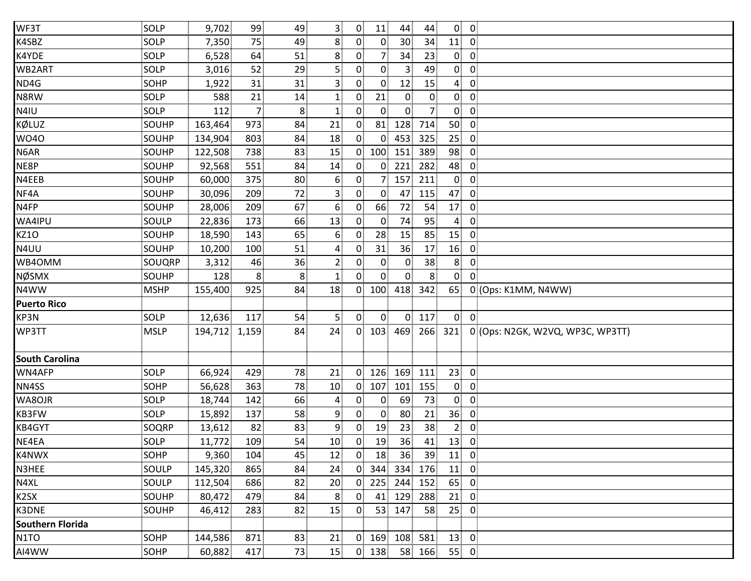| WF3T                    | SOLP        | 9,702         | 99             | 49              | 3                | $\overline{0}$ | 11             | 44              | 44              | $\overline{0}$  | $\overline{0}$ |                                  |  |
|-------------------------|-------------|---------------|----------------|-----------------|------------------|----------------|----------------|-----------------|-----------------|-----------------|----------------|----------------------------------|--|
| K4SBZ                   | SOLP        | 7,350         | 75             | 49              | 8 <sup>1</sup>   | $\overline{0}$ | $\overline{0}$ | 30 <sub>1</sub> | 34              | 11              | $\overline{0}$ |                                  |  |
| K4YDE                   | SOLP        | 6,528         | 64             | 51              | 8                | 0              | 7              | 34              | 23              | $\mathbf{0}$    | $\overline{0}$ |                                  |  |
| WB2ART                  | SOLP        | 3,016         | 52             | 29              | 5 <sup>1</sup>   | 0 <sup>1</sup> | $\overline{0}$ | 3.              | 49              | $\overline{0}$  | $\overline{0}$ |                                  |  |
| ND4G                    | SOHP        | 1,922         | 31             | 31              | $\mathbf{3}$     | $\mathbf{0}$   | $\overline{0}$ | 12              | 15              | 4               | $\mathbf 0$    |                                  |  |
| N8RW                    | SOLP        | 588           | 21             | 14              | $\mathbf{1}$     | 0 <sup>1</sup> | 21             | $\mathbf{0}$    | $\overline{0}$  | $\mathbf{0}$    | $\mathbf 0$    |                                  |  |
| N4IU                    | SOLP        | 112           | $\overline{7}$ | 8 <sup>3</sup>  | $\mathbf{1}$     | $\overline{0}$ | $\overline{0}$ | $\overline{0}$  | 7               | $\overline{0}$  | $\overline{0}$ |                                  |  |
| KØLUZ                   | SOUHP       | 163,464       | 973            | 84              | 21               | $\overline{0}$ | 81             | 128             | 714             | 50              | $\overline{0}$ |                                  |  |
| <b>WO40</b>             | SOUHP       | 134,904       | 803            | 84              | 18               | $\overline{0}$ | $\overline{0}$ | 453             | 325             | 25 <sub>1</sub> | $\overline{0}$ |                                  |  |
| N6AR                    | SOUHP       | 122,508       | 738            | 83              | 15               | $\overline{0}$ | 100            | 151             | 389             | 98              | $\overline{0}$ |                                  |  |
| NE8P                    | SOUHP       | 92,568        | 551            | 84              | 14               | $\overline{0}$ | $\overline{0}$ | 221             | 282             | 48              | $\overline{0}$ |                                  |  |
| N4EEB                   | SOUHP       | 60,000        | 375            | 80 <sub>3</sub> | 6 <sup>5</sup>   | $\mathbf{0}$   | 7              | 157             | 211             | $\overline{0}$  | $\mathbf 0$    |                                  |  |
| NF4A                    | SOUHP       | 30,096        | 209            | 72              | $\overline{3}$   | $\overline{0}$ | $\overline{0}$ | 47              | 115             | 47              | $\overline{0}$ |                                  |  |
| N4FP                    | SOUHP       | 28,006        | 209            | 67              | $6 \overline{6}$ | $\overline{0}$ | 66             | 72              | 54              | 17              | $\overline{0}$ |                                  |  |
| WA4IPU                  | SOULP       | 22,836        | 173            | 66              | 13               | 0 <sup>1</sup> | $\overline{0}$ | 74              | 95              | $\overline{4}$  | $\overline{0}$ |                                  |  |
| <b>KZ10</b>             | SOUHP       | 18,590        | 143            | 65              | 6                | $\overline{0}$ | 28             | 15              | 85              | 15              | $\overline{0}$ |                                  |  |
| N4UU                    | SOUHP       | 10,200        | 100            | 51              | 4                | $\mathbf{0}$   | 31             | 36              | 17              | 16              | $\overline{0}$ |                                  |  |
| WB4OMM                  | SOUQRP      | 3,312         | 46             | 36              | $\overline{2}$   | $\mathbf{0}$   | $\overline{0}$ | $\mathbf{0}$    | 38              | 8 <sup>1</sup>  | $\overline{0}$ |                                  |  |
| NØSMX                   | SOUHP       | 128           | 8              | 8               | $\mathbf{1}$     | $\overline{0}$ | $\Omega$       | $\mathbf{0}$    | 8               | $\mathbf{0}$    | $\mathbf{0}$   |                                  |  |
| N4WW                    | <b>MSHP</b> | 155,400       | 925            | 84              | 18               | $\overline{0}$ | 100            | 418             | 342             | 65              |                | 0 (Ops: K1MM, N4WW)              |  |
| <b>Puerto Rico</b>      |             |               |                |                 |                  |                |                |                 |                 |                 |                |                                  |  |
| KP3N                    | SOLP        | 12,636        | 117            | 54              | 5 <sub>1</sub>   | $\overline{0}$ | $\overline{0}$ | $\overline{0}$  | 117             | $\overline{0}$  | $\overline{0}$ |                                  |  |
| WP3TT                   | <b>MSLP</b> | 194,712 1,159 |                | 84              | 24               |                | $0$ 103        | 469             | 266             | 321             |                | 0 (Ops: N2GK, W2VQ, WP3C, WP3TT) |  |
| <b>South Carolina</b>   |             |               |                |                 |                  |                |                |                 |                 |                 |                |                                  |  |
| WN4AFP                  | SOLP        | 66,924        | 429            | 78              | 21               | $\overline{0}$ | 126            | 169             | 111             | 23              | $\overline{0}$ |                                  |  |
| NN4SS                   | SOHP        | 56,628        | 363            | 78              | 10               |                | $0$ 107        | 101             | 155             | $\mathbf{0}$    | $\overline{0}$ |                                  |  |
| WA8OJR                  | SOLP        | 18,744        | 142            | 66              | $\overline{4}$   | $\mathbf{0}$   | $\overline{0}$ | 69              | 73              | $\overline{0}$  | $\overline{0}$ |                                  |  |
| KB3FW                   | SOLP        | 15,892        | 137            | 58              | 9                | 0              | $\mathbf{0}$   | 80              | 21              | 36              | $\overline{0}$ |                                  |  |
| KB4GYT                  | SOQRP       | 13,612        | 82             | 83              | 9                | 0              | 19             | 23              | 38 <sup>3</sup> | $\mathbf{2}$    | $\mathbf 0$    |                                  |  |
| NE4EA                   | SOLP        | 11,772        | 109            | 54              | 10 <sup>1</sup>  | $\overline{0}$ | 19             | 36              | 41              | 13              | $\overline{0}$ |                                  |  |
| K4NWX                   | <b>SOHP</b> | 9,360         | 104            | 45              | 12               | $\overline{0}$ | 18             | 36              | 39              | 11              | $\overline{0}$ |                                  |  |
| N3HEE                   | SOULP       | 145,320       | 865            | 84              | 24               | $\overline{0}$ | 344            | 334             | 176             | 11              | $\overline{0}$ |                                  |  |
| N4XL                    | SOULP       | 112,504       | 686            | 82              | 20               | $\overline{0}$ | 225            | 244             | 152             | 65              | $\overline{0}$ |                                  |  |
| K2SX                    | SOUHP       | 80,472        | 479            | 84              | 8                | 0 <sup>1</sup> | 41             | 129             | 288             | 21              | $\overline{0}$ |                                  |  |
| K3DNE                   | SOUHP       | 46,412        | 283            | 82              | 15               | $\overline{0}$ | 53             | 147             | 58              | 25 <sub>1</sub> | $\overline{0}$ |                                  |  |
| <b>Southern Florida</b> |             |               |                |                 |                  |                |                |                 |                 |                 |                |                                  |  |
| N <sub>1</sub> TO       | SOHP        | 144,586       | 871            | 83              | 21               | $\overline{0}$ | 169            | 108             | 581             | 13              | $\overline{0}$ |                                  |  |
| AI4WW                   | SOHP        | 60,882        | 417            | 73              | 15               |                | $0$ 138        | 58              | 166             | 55              | $\overline{0}$ |                                  |  |
|                         |             |               |                |                 |                  |                |                |                 |                 |                 |                |                                  |  |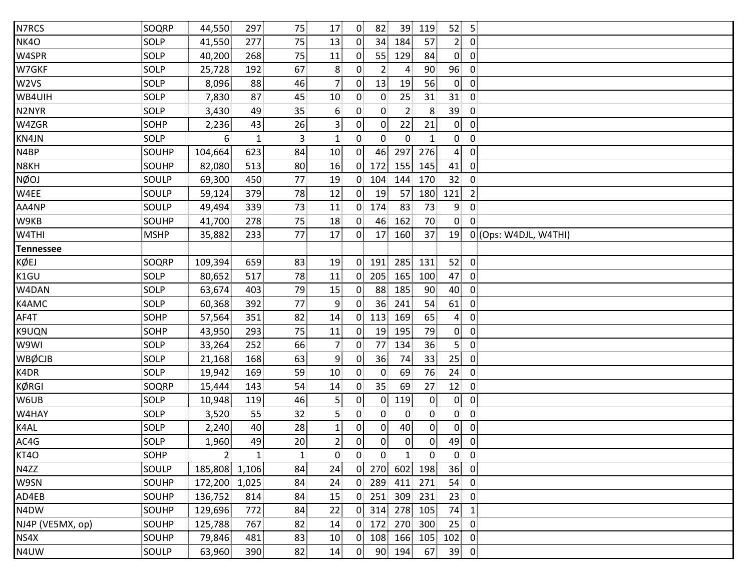| N7RCS            | SOQRP       | 44,550         | 297          | 75              | 17              | $\overline{0}$    | 82              | 39             | 119            | 52 <sub>1</sub> | $5\phantom{.0}$ |                       |
|------------------|-------------|----------------|--------------|-----------------|-----------------|-------------------|-----------------|----------------|----------------|-----------------|-----------------|-----------------------|
| NK4O             | SOLP        | 41,550         | 277          | 75              | 13              | $\overline{0}$    | 34              | 184            | 57             | 2 <sub>1</sub>  | $\overline{0}$  |                       |
| W4SPR            | SOLP        | 40,200         | 268          | 75              | 11              | $\mathbf{0}$      | 55              | 129            | 84             | $\mathbf{0}$    | $\overline{0}$  |                       |
| W7GKF            | SOLP        | 25,728         | 192          | 67              | 8               | $\mathbf{0}$      | 2 <sup>5</sup>  | 4              | 90             | 96              | $\mathbf 0$     |                       |
| W <sub>2VS</sub> | SOLP        | 8,096          | 88           | 46              | 7 <sub>1</sub>  | $\mathbf{0}$      | 13 <sup>1</sup> | 19             | 56             | $\overline{0}$  | $\mathbf 0$     |                       |
| WB4UIH           | SOLP        | 7,830          | 87           | 45              | 10 <sup>1</sup> | $\overline{0}$    | $\overline{0}$  | 25             | 31             | 31              | $\overline{0}$  |                       |
| N2NYR            | SOLP        | 3,430          | 49           | 35              | 6               | 0                 | $\overline{0}$  | $\overline{2}$ | 8              | 39              | $\overline{0}$  |                       |
| W4ZGR            | SOHP        | 2,236          | 43           | 26              | $\mathbf{3}$    | $\mathbf{0}$      | $\mathbf{0}$    | 22             | 21             | $\overline{0}$  | $\overline{0}$  |                       |
| KN4JN            | SOLP        | 6              | $\mathbf{1}$ | 3 <sup>1</sup>  | $\mathbf{1}$    | $\overline{0}$    | $\overline{0}$  | $\overline{0}$ | $\mathbf{1}$   | $\overline{0}$  | $\overline{0}$  |                       |
| N4BP             | SOUHP       | 104,664        | 623          | 84              | 10 <sup>1</sup> | $\overline{0}$    | 46              | 297            | 276            | $\overline{4}$  | $\mathbf 0$     |                       |
| N8KH             | SOUHP       | 82,080         | 513          | 80              | 16              | $\overline{0}$    | 172             | 155            | 145            | 41              | $\overline{0}$  |                       |
| <b>NØOJ</b>      | SOULP       | 69,300         | 450          | 77              | 19              | $\overline{0}$    | 104             | 144            | 170            | 32              | $\mathbf 0$     |                       |
| W4EE             | SOULP       | 59,124         | 379          | 78              | 12              | $\overline{0}$    | 19              | 57             | 180            | 121             | $\overline{2}$  |                       |
| AA4NP            | SOULP       | 49,494         | 339          | 73              | 11              | 0 <sup>1</sup>    | 174             | 83             | 73             | 9 <sub>1</sub>  | $\overline{0}$  |                       |
| W9KB             | SOUHP       | 41,700         | 278          | 75              | 18              | $\mathbf{0}$      | 46              | 162            | 70             | $\overline{0}$  | $\overline{0}$  |                       |
| W4THI            | <b>MSHP</b> | 35,882         | 233          | 77              | 17              | $\overline{0}$    | 17              | 160            | 37             | 19              |                 | 0 (Ops: W4DJL, W4THI) |
| <b>Tennessee</b> |             |                |              |                 |                 |                   |                 |                |                |                 |                 |                       |
| KØEJ             | SOQRP       | 109,394        | 659          | 83              | 19              | $\overline{0}$    | 191             | 285            | 131            | 52              | $\overline{0}$  |                       |
| K1GU             | SOLP        | 80,652         | 517          | 78              | 11              | $\mathbf{0}$      | 205             | 165            | 100            | 47              | $\overline{0}$  |                       |
| W4DAN            | SOLP        | 63,674         | 403          | 79              | 15              | $\overline{0}$    | 88              | 185            | 90             | 40              | $\overline{0}$  |                       |
| K4AMC            | SOLP        | 60,368         | 392          | 77              | 9               | $\mathbf{0}$      | 36 <sup>3</sup> | 241            | 54             | 61              | $\overline{0}$  |                       |
| AF4T             | SOHP        | 57,564         | 351          | 82              | 14              | $\overline{0}$    | 113             | 169            | 65             | $\mathbf{4}$    | $\mathbf 0$     |                       |
| K9UQN            | SOHP        | 43,950         | 293          | 75              | 11              | $\mathbf{0}$      | 19              | 195            | 79             | $\overline{0}$  | $\overline{0}$  |                       |
| W9WI             | SOLP        | 33,264         | 252          | 66              | $\overline{7}$  | $\overline{0}$    | 77              | 134            | 36             | 5               | $\overline{0}$  |                       |
| <b>WBØCJB</b>    | SOLP        | 21,168         | 168          | 63              | 9               | $\mathbf{0}$      | 36              | 74             | 33             | 25              | $\overline{0}$  |                       |
| K4DR             | SOLP        | 19,942         | 169          | 59              | 10              | $\mathbf{0}$      | $\overline{0}$  | 69             | 76             | 24              | $\overline{0}$  |                       |
| <b>KØRGI</b>     | SOQRP       | 15,444         | 143          | 54              | 14              | $\mathbf{0}$      | 35 <sup>3</sup> | 69             | 27             | 12              | $\overline{0}$  |                       |
| W6UB             | SOLP        | 10,948         | 119          | 46              | 5 <sub>1</sub>  | $\mathbf{0}$      | $\overline{0}$  | 119            | $\mathbf{0}$   | $\overline{0}$  | $\overline{0}$  |                       |
| W4HAY            | SOLP        | 3,520          | 55           | 32              | 5 <sub>1</sub>  | $\mathbf{0}$      | 0               | $\mathbf 0$    | $\mathbf{0}$   | $\mathbf{0}$    | $\mathbf 0$     |                       |
| K4AL             | <b>SOLP</b> | 2,240          | 40           | 28              | $\mathbf{1}$    | $\mathbf{0}$      | $\overline{0}$  | 40             | $\overline{0}$ | $\overline{0}$  | $\mathbf 0$     |                       |
| AC4G             | SOLP        | 1,960          | 49           | 20 <sup>1</sup> | $\overline{2}$  | $0^{\frac{1}{2}}$ | 0               | $\overline{0}$ | 0              | 49              | $\overline{0}$  |                       |
| KT4O             | SOHP        | 2 <sup>1</sup> | $\mathbf{1}$ | 1 <sup>1</sup>  | $\overline{0}$  | $\overline{0}$    | 0               | $\mathbf{1}$   | $\overline{0}$ | $\overline{0}$  | $\overline{0}$  |                       |
| N4ZZ             | SOULP       | 185,808        | 1,106        | 84              | 24              | $\overline{0}$    | 270             | 602            | 198            | 36              | $\overline{0}$  |                       |
| W9SN             | SOUHP       | 172,200        | 1,025        | 84              | 24              | $\mathbf{0}$      | 289             | 411            | 271            | 54              | $\overline{0}$  |                       |
| AD4EB            | SOUHP       | 136,752        | 814          | 84              | 15              | $\mathbf{0}$      | 251             | 309            | 231            | 23              | $\overline{0}$  |                       |
| N4DW             | SOUHP       | 129,696        | 772          | 84              | 22              | 0.                | 314             | 278            | 105            | 74              | $\mathbf{1}$    |                       |
| NJ4P (VE5MX, op) | SOUHP       | 125,788        | 767          | 82              | 14              | $\overline{0}$    | 172             | 270            | 300            | 25              | $\mathbf 0$     |                       |
| NS4X             | SOUHP       | 79,846         | 481          | 83              | 10              | $\overline{0}$    | 108             | 166            | 105            | 102             | $\overline{0}$  |                       |
| N4UW             | SOULP       | 63,960         | 390          | 82              | 14              | $\overline{0}$    | 90              | 194            | 67             | 39              | $\overline{0}$  |                       |
|                  |             |                |              |                 |                 |                   |                 |                |                |                 |                 |                       |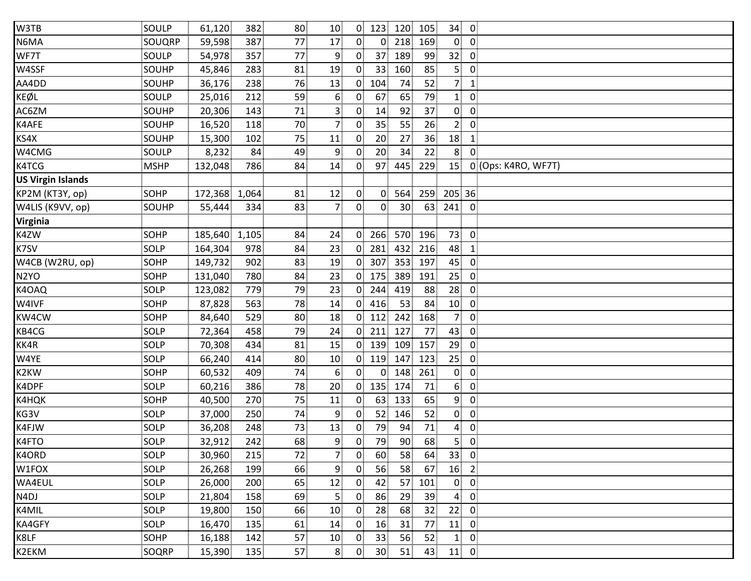| W3TB                     | SOULP       | 61,120  | 382   | 80 | 10 <sup>1</sup>         | 0 <sup>1</sup> | 123             | 120 105         |     | 34              | $\overline{0}$          |                     |
|--------------------------|-------------|---------|-------|----|-------------------------|----------------|-----------------|-----------------|-----|-----------------|-------------------------|---------------------|
| N6MA                     | SOUQRP      | 59,598  | 387   | 77 | 17                      | $\overline{0}$ | 0               | 218             | 169 | $\mathbf{0}$    | $\overline{0}$          |                     |
| WF7T                     | SOULP       | 54,978  | 357   | 77 | $\overline{9}$          | $\mathbf{0}$   | 37 <sup>1</sup> | 189             | 99  | 32 <sub>1</sub> | $\overline{0}$          |                     |
| W4SSF                    | SOUHP       | 45,846  | 283   | 81 | 19                      | $\mathbf{0}$   | 33 <sup>1</sup> | 160             | 85  | 5 <sup>1</sup>  | $\overline{0}$          |                     |
| AA4DD                    | SOUHP       | 36,176  | 238   | 76 | 13                      | $\overline{0}$ | 104             | 74              | 52  | 7 <sup>1</sup>  | $\mathbf{1}$            |                     |
| KEØL                     | SOULP       | 25,016  | 212   | 59 | 6                       | $\mathbf{0}$   | 67              | 65              | 79  | 1 <sup>1</sup>  | $\overline{0}$          |                     |
| AC6ZM                    | SOUHP       | 20,306  | 143   | 71 | $\overline{\mathbf{3}}$ | $\mathbf{0}$   | 14              | 92              | 37  | $\overline{0}$  | $\overline{0}$          |                     |
| K4AFE                    | SOUHP       | 16,520  | 118   | 70 | $\overline{7}$          | $\overline{0}$ | 35              | 55              | 26  | 2 <sub>1</sub>  | $\overline{0}$          |                     |
| KS4X                     | SOUHP       | 15,300  | 102   | 75 | 11                      | $\overline{0}$ | 20              | 27              | 36  | 18              | $\mathbf{1}$            |                     |
| W4CMG                    | SOULP       | 8,232   | 84    | 49 | 9                       | $\Omega$       | 20              | 34              | 22  | 8               | $\mathbf{0}$            |                     |
| K4TCG                    | <b>MSHP</b> | 132,048 | 786   | 84 | 14                      | $\overline{0}$ | 97              | 445             | 229 | 15              |                         | 0 (Ops: K4RO, WF7T) |
| <b>US Virgin Islands</b> |             |         |       |    |                         |                |                 |                 |     |                 |                         |                     |
| <b>KP2M (KT3Y, op)</b>   | <b>SOHP</b> | 172,368 | 1,064 | 81 | 12                      | $\overline{0}$ | $\overline{0}$  | 564             | 259 | 205 36          |                         |                     |
| W4LIS (K9VV, op)         | SOUHP       | 55,444  | 334   | 83 | $\overline{7}$          | $\overline{0}$ | $\overline{0}$  | 30 <sub>1</sub> | 63  | 241             | $\overline{0}$          |                     |
| <b>Virginia</b>          |             |         |       |    |                         |                |                 |                 |     |                 |                         |                     |
| K4ZW                     | SOHP        | 185,640 | 1,105 | 84 | 24                      | $\overline{0}$ | 266             | 570 196         |     | 73              | $\overline{0}$          |                     |
| K7SV                     | <b>SOLP</b> | 164,304 | 978   | 84 | 23                      | $\overline{0}$ | 281             | 432             | 216 | 48              | $\mathbf{1}$            |                     |
| W4CB (W2RU, op)          | SOHP        | 149,732 | 902   | 83 | 19                      | $\overline{0}$ | 307             | 353             | 197 | 45              | $\overline{0}$          |                     |
| N <sub>2</sub> YO        | <b>SOHP</b> | 131,040 | 780   | 84 | 23                      | $\overline{0}$ | 175             | 389             | 191 | 25              | 0                       |                     |
| K4OAQ                    | SOLP        | 123,082 | 779   | 79 | 23                      | $\Omega$       | 244             | 419             | 88  | 28              | $\overline{0}$          |                     |
| W4IVF                    | SOHP        | 87,828  | 563   | 78 | 14                      | $\overline{0}$ | 416             | 53              | 84  | 10              | $\overline{0}$          |                     |
| KW4CW                    | <b>SOHP</b> | 84,640  | 529   | 80 | 18                      | $\overline{0}$ | 112             | 242             | 168 | 7 <sub>1</sub>  | $\overline{0}$          |                     |
| KB4CG                    | SOLP        | 72,364  | 458   | 79 | 24                      | $\overline{0}$ | 211             | 127             | 77  | 43              | $\overline{0}$          |                     |
| KK4R                     | SOLP        | 70,308  | 434   | 81 | 15                      | $\overline{0}$ | 139             | 109             | 157 | 29              | $\mathbf{0}$            |                     |
| W4YE                     | SOLP        | 66,240  | 414   | 80 | 10                      | 0 <sup>1</sup> | 119             | 147             | 123 | 25              | $\overline{0}$          |                     |
| K2KW                     | <b>SOHP</b> | 60,532  | 409   | 74 | 6                       | $\overline{0}$ | 0               | 148             | 261 | $\overline{0}$  | $\overline{0}$          |                     |
| K4DPF                    | SOLP        | 60,216  | 386   | 78 | 20                      | 0 <sup>1</sup> | 135             | 174             | 71  | 6 <sup>1</sup>  | $\overline{0}$          |                     |
| K4HQK                    | <b>SOHP</b> | 40,500  | 270   | 75 | 11                      | $\overline{0}$ | 63              | 133             | 65  | 9 <sub>1</sub>  | $\overline{0}$          |                     |
| KG3V                     | SOLP        | 37,000  | 250   | 74 | 9                       | $\Omega$       | 52              | 146             | 52  | $\overline{0}$  | $\mathbf 0$             |                     |
| K4FJW                    | SOLP        | 36,208  | 248   | 73 | 13                      | 0              | 79              | 94              | 71  | $\overline{4}$  | $\pmb{0}$               |                     |
| K4FTO                    | SOLP        | 32,912  | 242   | 68 | 9                       | $\overline{0}$ | 79              | $90^{\circ}$    | 68  | 5 <sup>1</sup>  | $\overline{0}$          |                     |
| K4ORD                    | SOLP        | 30,960  | 215   | 72 | $\overline{7}$          | $\overline{0}$ | 60              | 58              | 64  | 33 <sup>1</sup> | $\overline{\mathbf{0}}$ |                     |
| W1FOX                    | SOLP        | 26,268  | 199   | 66 | 9                       | $\mathbf{0}$   | 56              | 58              | 67  | 16              | $\overline{2}$          |                     |
| WA4EUL                   | SOLP        | 26,000  | 200   | 65 | 12                      | $\mathbf{0}$   | 42              | 57              | 101 | $\mathbf{0}$    | $\overline{0}$          |                     |
| N4DJ                     | SOLP        | 21,804  | 158   | 69 | $\overline{5}$          | $\mathbf{0}$   | 86              | 29              | 39  | $\overline{4}$  | $\mathbf 0$             |                     |
| K4MIL                    | SOLP        | 19,800  | 150   | 66 | 10                      | $\mathbf{0}$   | 28              | 68              | 32  | 22              | 0                       |                     |
| KA4GFY                   | SOLP        | 16,470  | 135   | 61 | 14                      | $\mathbf{0}$   | 16              | 31              | 77  | 11              | $\overline{0}$          |                     |
| K8LF                     | <b>SOHP</b> | 16,188  | 142   | 57 | 10                      | $\mathbf{0}$   | 33              | 56              | 52  | $\mathbf{1}$    | 0                       |                     |
| K2EKM                    | SOQRP       | 15,390  | 135   | 57 | 8                       | $\mathbf{0}$   | 30 <sup>1</sup> | 51              | 43  | 11              | $\overline{0}$          |                     |
|                          |             |         |       |    |                         |                |                 |                 |     |                 |                         |                     |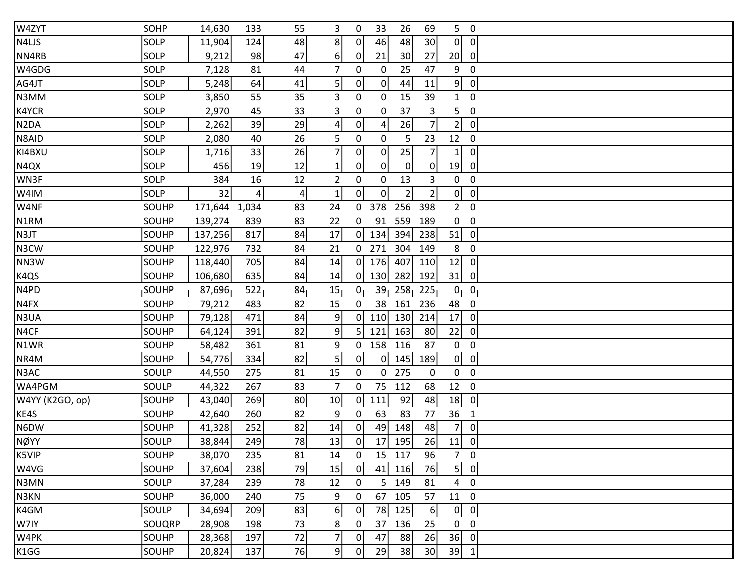| W4ZYT             | SOHP         | 14,630  | 133            | 55 | 3              | $\overline{0}$ | 33<br>26                         |              | 69              | 50              |                         |  |
|-------------------|--------------|---------|----------------|----|----------------|----------------|----------------------------------|--------------|-----------------|-----------------|-------------------------|--|
| N4LJS             | SOLP         | 11,904  | 124            | 48 | 8 <sup>3</sup> | $\overline{0}$ | 48<br>46                         |              | 30              | $\overline{0}$  | $\overline{\mathbf{0}}$ |  |
| NN4RB             | SOLP         | 9,212   | 98             | 47 | 6              | $\overline{0}$ | 21<br>30                         |              | 27              | 20 <sup>1</sup> | $\overline{0}$          |  |
| W4GDG             | SOLP         | 7,128   | 81             | 44 | 7 <sup>1</sup> | 0 <sup>1</sup> | 25<br>$\overline{0}$             | 47           |                 | 9 <sub>1</sub>  | $\overline{0}$          |  |
| AG4JT             | SOLP         | 5,248   | 64             | 41 | 5              | 0              | $\overline{0}$<br>44             |              | 11              | 9 <sub>1</sub>  | $\mathbf 0$             |  |
| N3MM              | SOLP         | 3,850   | 55             | 35 | $\overline{3}$ | $\mathbf{0}$   | $\overline{0}$<br>15             |              | 39              | 1 <sub>1</sub>  | $\mathbf 0$             |  |
| K4YCR             | SOLP         | 2,970   | 45             | 33 | 3 <sup>3</sup> | $\mathbf{0}$   | 37<br>$\overline{0}$             |              | 3 <sup>1</sup>  | 5 <sup>1</sup>  | $\mathbf 0$             |  |
| N <sub>2</sub> DA | SOLP         | 2,262   | 39             | 29 | 4              | $\overline{0}$ | 26<br>$\mathbf{A}$               |              | 7 <sup>1</sup>  | 2 <sup>1</sup>  | $\mathbf 0$             |  |
| N8AID             | SOLP         | 2,080   | 40             | 26 | $\overline{5}$ | 0 <sup>1</sup> | $\overline{0}$<br>$\mathsf{5}$   |              | 23              | 12              | $\mathbf 0$             |  |
| KI4BXU            | SOLP         | 1,716   | 33             | 26 | $\overline{7}$ | $\mathbf{0}$   | $\overline{0}$<br>25             |              | 7 <sup>1</sup>  | 1 <sub>1</sub>  | $\mathbf 0$             |  |
| N4QX              | SOLP         | 456     | 19             | 12 | 1 <sup>3</sup> | $\overline{0}$ | $\overline{0}$                   | $\mathbf{0}$ | $\overline{0}$  | 19              | $\overline{0}$          |  |
| WN3F              | SOLP         | 384     | 16             | 12 | $\overline{2}$ | $\mathbf{0}$   | 13<br>$\mathbf{0}$               |              | 3 <sup>1</sup>  | 0               | $\mathbf 0$             |  |
| W4IM              | SOLP         | 32      | $\overline{4}$ | 4  | $\mathbf{1}$   | 0 <sup>1</sup> | $\overline{0}$<br>$\overline{2}$ |              | 2 <sup>1</sup>  | $\overline{0}$  | $\mathbf 0$             |  |
| W4NF              | SOUHP        | 171,644 | 1,034          | 83 | 24             | 0 <sup>1</sup> | 378<br>256                       | 398          |                 | 2 <sub>1</sub>  | $\mathbf 0$             |  |
| N1RM              | SOUHP        | 139,274 | 839            | 83 | 22             | 0 <sup>1</sup> | 91<br>559                        | 189          |                 | $\overline{0}$  | $\overline{\mathbf{0}}$ |  |
| N3JT              | SOUHP        | 137,256 | 817            | 84 | 17             | 0 <sup>1</sup> | 134<br>394                       | 238          |                 | 51              | $\overline{0}$          |  |
| N3CW              | SOUHP        | 122,976 | 732            | 84 | 21             |                | $0$ 271<br>304                   | 149          |                 | 8 <sub>1</sub>  | $\mathbf 0$             |  |
| NN3W              | SOUHP        | 118,440 | 705            | 84 | 14             | $\overline{0}$ | 407<br>176                       | 110          |                 | 12              | $\mathbf 0$             |  |
| K4QS              | SOUHP        | 106,680 | 635            | 84 | 14             | $\overline{0}$ | 130<br>282                       | 192          |                 | 31              | $\mathbf 0$             |  |
| N4PD              | <b>SOUHP</b> | 87,696  | 522            | 84 | 15             | $\mathbf{0}$   | 258<br>39                        | 225          |                 | $\overline{0}$  | $\mathbf 0$             |  |
| N4FX              | SOUHP        | 79,212  | 483            | 82 | 15             | 0              | 38 <sub>1</sub><br>161           | 236          |                 | 48              | $\overline{0}$          |  |
| N3UA              | SOUHP        | 79,128  | 471            | 84 | 9              | $\overline{0}$ | 130<br>110                       | 214          |                 | 17              | $\mathbf 0$             |  |
| N4CF              | SOUHP        | 64,124  | 391            | 82 | $\overline{9}$ | 5              | 163<br>121                       |              | 80              | 22              | $\mathbf 0$             |  |
| N1WR              | SOUHP        | 58,482  | 361            | 81 | 9              | 0              | 158<br>116                       |              | 87              | $\overline{0}$  | $\mathbf 0$             |  |
| NR4M              | SOUHP        | 54,776  | 334            | 82 | 5 <sup>1</sup> | 0 <sup>1</sup> | 145<br>$\overline{0}$            | 189          |                 | $\overline{0}$  | $\mathbf 0$             |  |
| N3AC              | SOULP        | 44,550  | 275            | 81 | 15             | 0 <sup>1</sup> | 275<br>$\overline{0}$            |              | $\overline{0}$  | $\overline{0}$  | $\mathbf 0$             |  |
| WA4PGM            | SOULP        | 44,322  | 267            | 83 | 7 <sub>1</sub> | 0              | 75<br>112                        |              | 68              | 12              | $\mathbf 0$             |  |
| W4YY (K2GO, op)   | SOUHP        | 43,040  | 269            | 80 | 10             | 0 <sup>1</sup> | 111<br>92                        |              | 48              | 18              | $\overline{0}$          |  |
| KE4S              | SOUHP        | 42,640  | 260            | 82 | 9              | $\overline{0}$ | 63<br>83                         |              | 77              | 36              | $\mathbf{1}$            |  |
| N6DW              | SOUHP        | 41,328  | 252            | 82 | 14             | $\mathbf{0}$   | 49<br>148                        |              | 48              | 7               | $\mathbf 0$             |  |
| <b>NØYY</b>       | SOULP        | 38,844  | 249            | 78 | 13             | $\overline{0}$ | 17 195                           |              | 26              | 11              | $\mathbf 0$             |  |
| K5VIP             | SOUHP        | 38,070  | 235            | 81 | 14             | $\mathbf{0}$   | 15<br>117                        |              | 96              | 7               | $\mathbf 0$             |  |
| W4VG              | SOUHP        | 37,604  | 238            | 79 | 15             | $\mathbf{0}$   | 41<br>116                        |              | 76              | 5.              | $\mathbf 0$             |  |
| N3MN              | SOULP        | 37,284  | 239            | 78 | 12             | $\mathbf{0}$   | 5 <sup>1</sup><br>149            |              | 81              | $\overline{4}$  | $\mathbf 0$             |  |
| N3KN              | SOUHP        | 36,000  | 240            | 75 | 9              | $\mathbf{0}$   | 67<br>105                        |              | 57              | 11              | $\mathbf 0$             |  |
| K4GM              | SOULP        | 34,694  | 209            | 83 | 6 <sup>1</sup> | 0              | 78<br>125                        |              | 6 <sup>1</sup>  | 0               | $\mathbf 0$             |  |
| W7IY              | SOUQRP       | 28,908  | 198            | 73 | 8              | $\mathbf{0}$   | 37<br>136                        |              | 25              | $\overline{0}$  | $\mathbf 0$             |  |
| W4PK              | SOUHP        | 28,368  | 197            | 72 | $\overline{7}$ | $\mathbf{0}$   | 88<br>47                         |              | 26              | 36              | $\mathbf 0$             |  |
| K1GG              | SOUHP        | 20,824  | 137            | 76 | 9 <sub>1</sub> | $\mathbf{0}$   | 29<br>38                         |              | 30 <sub>2</sub> | 39              | $\mathbf{1}$            |  |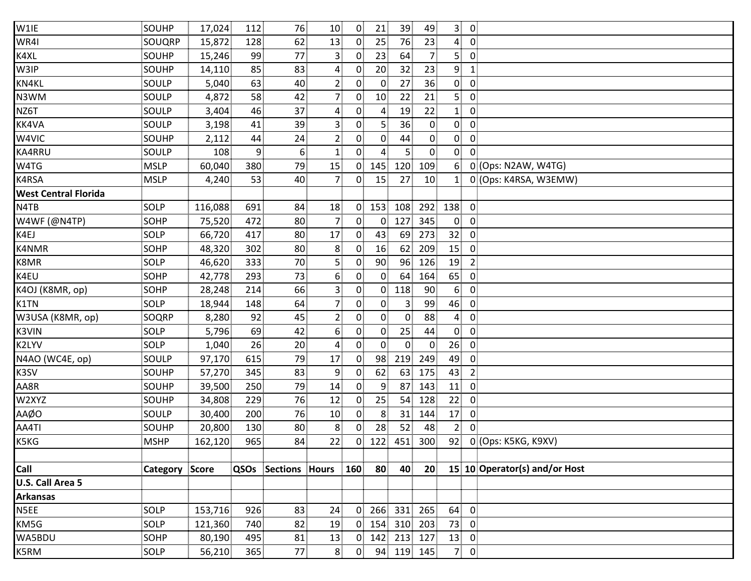| W1IE                        | SOUHP                 | 17,024  | 112            | 76                  | 10 <sup>1</sup> | $\overline{0}$ | 21              | 39             | 49              | 3<br>$\overline{0}$                       |                               |
|-----------------------------|-----------------------|---------|----------------|---------------------|-----------------|----------------|-----------------|----------------|-----------------|-------------------------------------------|-------------------------------|
| WR4I                        | SOUQRP                | 15,872  | 128            | 62                  | 13              | 0 <sup>1</sup> | 25              | 76             | 23              | $\overline{4}$<br>$\overline{\mathbf{0}}$ |                               |
| K4XL                        | <b>SOUHP</b>          | 15,246  | 99             | 77                  | 3               | $\overline{0}$ | 23              | 64             | 7 <sub>1</sub>  | 5 <sup>1</sup><br>$\mathbf 0$             |                               |
| W3IP                        | <b>SOUHP</b>          | 14,110  | 85             | 83                  | 4               | $\mathbf{0}$   | 20              | 32             | 23              | 9 <sup>1</sup><br>$\mathbf{1}$            |                               |
| KN4KL                       | SOULP                 | 5,040   | 63             | 40                  | $\overline{2}$  | $\Omega$       | $\mathbf{0}$    | 27             | 36              | $\mathbf{0}$<br>0                         |                               |
| N3WM                        | SOULP                 | 4,872   | 58             | 42                  | $\overline{7}$  | $\overline{0}$ | 10 <sub>1</sub> | 22             | 21              | 5<br>$\overline{0}$                       |                               |
| NZ6T                        | SOULP                 | 3,404   | 46             | 37                  | 4               | $\overline{0}$ | $\overline{4}$  | 19             | 22              | 1<br>$\overline{0}$                       |                               |
| KK4VA                       | SOULP                 | 3,198   | 41             | 39                  | 3               | 0              | 5 <sub>1</sub>  | 36             | $\overline{0}$  | $\overline{0}$<br>$\overline{0}$          |                               |
| W4VIC                       | SOUHP                 | 2,112   | 44             | 24                  | $\overline{2}$  | 0              | 0               | 44             | $\overline{0}$  | $\overline{0}$<br>$\overline{0}$          |                               |
| KA4RRU                      | SOULP                 | 108     | $\overline{9}$ | $6^{\circ}$         | 1               | $\overline{0}$ | 4               | 5.             | $\mathbf 0$     | $\overline{0}$<br>$\Omega$                |                               |
| W4TG                        | <b>MSLP</b>           | 60,040  | 380            | 79                  | 15              | $\overline{0}$ | 145             | 120            | 109             | 6                                         | 0 (Ops: N2AW, W4TG)           |
| K4RSA                       | <b>MSLP</b>           | 4,240   | 53             | 40                  | $\overline{7}$  | $\overline{0}$ | 15              | 27             | 10              | $\mathbf{1}$                              | 0 (Ops: K4RSA, W3EMW)         |
| <b>West Central Florida</b> |                       |         |                |                     |                 |                |                 |                |                 |                                           |                               |
| N4TB                        | SOLP                  | 116,088 | 691            | 84                  | 18              | $\mathbf{0}$   | 153             | 108            | 292             | $\overline{0}$<br>138                     |                               |
| W4WF (@N4TP)                | <b>SOHP</b>           | 75,520  | 472            | 80                  | 7               | $\overline{0}$ | 0 <sup>1</sup>  | 127            | 345             | $\mathbf{0}$<br>$\mathbf 0$               |                               |
| K4EJ                        | SOLP                  | 66,720  | 417            | 80                  | 17              | $\overline{0}$ | 43              | 69             | 273             | 32<br>$\overline{0}$                      |                               |
| K4NMR                       | <b>SOHP</b>           | 48,320  | 302            | 80 <sup>1</sup>     | 8               | $\mathbf{0}$   | 16              | 62             | 209             | 15<br>$\mathbf 0$                         |                               |
| K8MR                        | SOLP                  | 46,620  | 333            | 70                  | 5               | $\mathbf 0$    | 90              | 96             | 126             | 19<br>$\overline{2}$                      |                               |
| K4EU                        | <b>SOHP</b>           | 42,778  | 293            | 73                  | 6               | 0              | $\overline{0}$  | 64             | 164             | 65<br>$\overline{0}$                      |                               |
| K4OJ (K8MR, op)             | SOHP                  | 28,248  | 214            | 66                  | 3               | 0              | 0 <sup>1</sup>  | 118            | 90              | 6 <sup>1</sup><br>$\overline{0}$          |                               |
| K1TN                        | SOLP                  | 18,944  | 148            | 64                  | $\overline{7}$  | $\overline{0}$ | $\overline{0}$  | 3              | 99              | 46<br>$\overline{0}$                      |                               |
| W3USA (K8MR, op)            | <b>SOQRP</b>          | 8,280   | 92             | 45                  | $\overline{2}$  | 0              | $\overline{0}$  | $\overline{0}$ | 88              | $\overline{4}$<br>$\mathbf 0$             |                               |
| <b>K3VIN</b>                | SOLP                  | 5,796   | 69             | 42                  | 6               | 0              | $\overline{0}$  | 25             | 44              | $\overline{0}$<br>$\overline{0}$          |                               |
| K2LYV                       | SOLP                  | 1,040   | 26             | 20 <sup>1</sup>     | 4               | $\overline{0}$ | 0               | $\overline{0}$ | 0               | 26<br>$\overline{0}$                      |                               |
| N4AO (WC4E, op)             | SOULP                 | 97,170  | 615            | 79                  | 17              | 0              | 98              | 219            | 249             | 49<br>$\overline{0}$                      |                               |
| K3SV                        | SOUHP                 | 57,270  | 345            | 83                  | 9               | 0              | 62              | 63             | 175             | 43<br>$\overline{2}$                      |                               |
| AA8R                        | SOUHP                 | 39,500  | 250            | 79                  | 14              | $\overline{0}$ | 9               | 87             | 143             | 11<br>$\overline{0}$                      |                               |
| W2XYZ                       | <b>SOUHP</b>          | 34,808  | 229            | 76                  | 12              | $\overline{0}$ | 25              | 54             | 128             | 22<br>$\overline{0}$                      |                               |
| AAØO                        | SOULP                 | 30,400  | 200            | 76                  | 10              | 0              | 8               | 31             | 144             | 17<br>$\boldsymbol{0}$                    |                               |
| AA4TI                       | SOUHP                 | 20,800  | 130            | 80 <sup>1</sup>     | 8               | 0              | 28              | 52             | 48              | 2 <sup>1</sup><br>$\overline{0}$          |                               |
| K5KG                        | <b>MSHP</b>           | 162,120 | 965            | 84                  | 22              | 0.             | 122             | 451            | 300             | 92                                        | 0 (Ops: K5KG, K9XV)           |
|                             |                       |         |                |                     |                 |                |                 |                |                 |                                           |                               |
| Call                        | <b>Category Score</b> |         |                | QSOs Sections Hours |                 | 160            | 80              | 40             | 20 <sub>2</sub> |                                           | 15 10 Operator(s) and/or Host |
| U.S. Call Area 5            |                       |         |                |                     |                 |                |                 |                |                 |                                           |                               |
| <b>Arkansas</b>             |                       |         |                |                     |                 |                |                 |                |                 |                                           |                               |
| N5EE                        | SOLP                  | 153,716 | 926            | 83                  | 24              | $\mathbf 0$    | 266             | 331            | 265             | 64<br>$\overline{0}$                      |                               |
| KM5G                        | SOLP                  | 121,360 | 740            | 82                  | 19              | $\overline{0}$ | 154             | 310            | 203             | 73<br>$\overline{0}$                      |                               |
| WA5BDU                      | SOHP                  | 80,190  | 495            | 81                  | 13              | 0 <sup>1</sup> | 142             | 213            | 127             | 13<br>$\mathbf 0$                         |                               |
| K5RM                        | SOLP                  | 56,210  | 365            | 77                  | 8 <sup>1</sup>  | 0              | 94              |                | 119 145         | 70                                        |                               |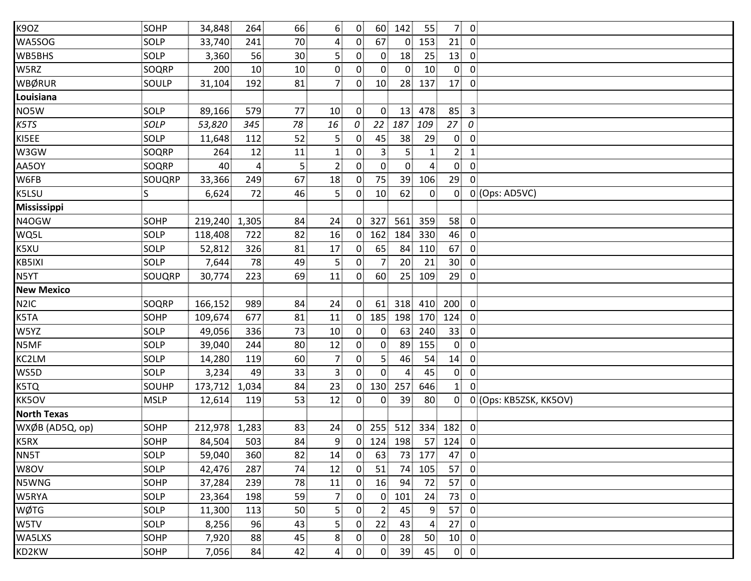| K9OZ               | SOHP        | 34,848        | 264             | 66              | 6 <sup>1</sup> | 0 <sup>1</sup> | 60             | 142            | 55              | 7 <sup>1</sup> | $\overline{0}$          |                        |
|--------------------|-------------|---------------|-----------------|-----------------|----------------|----------------|----------------|----------------|-----------------|----------------|-------------------------|------------------------|
| WA5SOG             | SOLP        | 33,740        | 241             | 70              | $\overline{4}$ | $\overline{0}$ | 67             | $\overline{0}$ | 153             | 21             | $\overline{0}$          |                        |
| WB5BHS             | SOLP        | 3,360         | 56              | 30 <sup>1</sup> | 5              | 0              | $\overline{0}$ | 18             | 25              | 13             | $\mathbf 0$             |                        |
| W5RZ               | SOQRP       | 200           | 10 <sup>1</sup> | 10              | $\mathbf{0}$   | 0 <sup>1</sup> | $\overline{0}$ | $\overline{0}$ | 10 <sup>1</sup> | $\overline{0}$ | $\mathbf 0$             |                        |
| WBØRUR             | SOULP       | 31,104        | 192             | 81              | 7 <sub>1</sub> | $\mathbf{0}$   | 10             | 28             | 137             | 17             | $\mathbf 0$             |                        |
| Louisiana          |             |               |                 |                 |                |                |                |                |                 |                |                         |                        |
| NO5W               | SOLP        | 89,166        | 579             | 77              | 10             | $\overline{0}$ | $\overline{0}$ | 13             | 478             | 85             | $\overline{\mathbf{3}}$ |                        |
| K5TS               | SOLP        | 53,820        | 345             | 78              | 16             | 0              |                | 22 187         | 109             | 27             | 0                       |                        |
| KI5EE              | SOLP        | 11,648        | 112             | 52              | $\overline{5}$ | $\mathbf{0}$   | 45             | 38             | 29              | 0              | $\boldsymbol{0}$        |                        |
| W3GW               | SOQRP       | 264           | 12              | 11              | 1              | $\mathbf{0}$   | 3 <sup>1</sup> | 5.             | $\mathbf{1}$    | $\overline{2}$ | $\mathbf{1}$            |                        |
| AA5OY              | SOQRP       | 40            | $\overline{4}$  | 5 <sup>1</sup>  | $\overline{2}$ | 0              | $\overline{0}$ | $\overline{0}$ | $\overline{4}$  | $\overline{0}$ | $\mathbf 0$             |                        |
| W6FB               | SOUQRP      | 33,366        | 249             | 67              | 18             | $\mathbf{0}$   | 75             | 39             | 106             | 29             | 0                       |                        |
| K5LSU              | S           | 6,624         | 72              | 46              | 5              | $\overline{0}$ | 10             | 62             | $\overline{0}$  | 0              |                         | 0 (Ops: AD5VC)         |
| <b>Mississippi</b> |             |               |                 |                 |                |                |                |                |                 |                |                         |                        |
| N4OGW              | <b>SOHP</b> | 219,240       | 1,305           | 84              | 24             | $\mathbf{0}$   | 327            | 561            | 359             | 58             | $\overline{0}$          |                        |
| WQ5L               | SOLP        | 118,408       | 722             | 82              | 16             | 0 <sup>1</sup> | 162            | 184            | 330             | 46             | $\mathbf 0$             |                        |
| K5XU               | SOLP        | 52,812        | 326             | 81              | 17             | 0 <sup>1</sup> | 65             | 84             | 110             | 67             | $\mathbf 0$             |                        |
| KB5IXI             | SOLP        | 7,644         | 78              | 49              | 5 <sub>1</sub> | $\mathbf{0}$   | 7 <sup>1</sup> | 20             | 21              | 30             | $\mathbf 0$             |                        |
| N5YT               | SOUQRP      | 30,774        | 223             | 69              | 11             | $\mathbf{0}$   | 60             | 25             | 109             | 29             | $\mathbf 0$             |                        |
| <b>New Mexico</b>  |             |               |                 |                 |                |                |                |                |                 |                |                         |                        |
| N <sub>2</sub> IC  | SOQRP       | 166,152       | 989             | 84              | 24             | $\overline{0}$ | 61             | 318            | 410             | 200            | $\overline{0}$          |                        |
| K5TA               | SOHP        | 109,674       | 677             | 81              | 11             | $\mathbf{0}$   | 185            | 198            | 170             | 124            | $\mathbf 0$             |                        |
| W5YZ               | SOLP        | 49,056        | 336             | 73              | 10             | $\mathbf{0}$   | $\overline{0}$ | 63             | 240             | 33             | $\mathbf 0$             |                        |
| N5MF               | SOLP        | 39,040        | 244             | 80              | 12             | $\mathbf{0}$   | $\overline{0}$ | 89             | 155             | $\overline{0}$ | 0                       |                        |
| KC2LM              | SOLP        | 14,280        | 119             | 60              | $\overline{7}$ | 0 <sup>1</sup> | 5 <sub>1</sub> | 46             | 54              | 14             | $\mathbf 0$             |                        |
| WS5D               | SOLP        | 3,234         | 49              | 33              | $\overline{3}$ | 0 <sup>1</sup> | $\overline{0}$ | 4              | 45              | $\overline{0}$ | $\overline{0}$          |                        |
| K5TQ               | SOUHP       | 173,712       | 1,034           | 84              | 23             | 0 <sup>1</sup> | 130            | 257            | 646             | 1 <sup>1</sup> | $\mathbf 0$             |                        |
| KK5OV              | <b>MSLP</b> | 12,614        | 119             | 53              | 12             | $\mathbf{0}$   | $\mathbf{0}$   | 39             | 80              | $\overline{0}$ |                         | 0 (Ops: KB5ZSK, KK5OV) |
| <b>North Texas</b> |             |               |                 |                 |                |                |                |                |                 |                |                         |                        |
| WXØB (AD5Q, op)    | SOHP        | 212,978 1,283 |                 | 83              | 24             | $\overline{0}$ | 255            | 512            | 334             | 182            | $\overline{0}$          |                        |
| K5RX               | <b>SOHP</b> | 84,504        | 503             | 84              | 9              |                | $0$ 124 198    |                |                 | $57$ 124       | 0                       |                        |
| NN5T               | SOLP        | 59,040        | 360             | 82              | 14             | $\overline{0}$ | 63             | 73             | 177             | 47             | $\mathbf 0$             |                        |
| W8OV               | SOLP        | 42,476        | 287             | 74              | 12             | $\mathbf{0}$   | 51             | 74             | 105             | 57             | $\mathbf 0$             |                        |
| N5WNG              | SOHP        | 37,284        | 239             | 78              | 11             | $\overline{0}$ | 16             | 94             | 72              | 57             | $\mathbf 0$             |                        |
| W5RYA              | SOLP        | 23,364        | 198             | 59              | $\overline{7}$ | 0 <sup>1</sup> | $\overline{0}$ | 101            | 24              | 73             | $\pmb{0}$               |                        |
| WØTG               | SOLP        | 11,300        | 113             | 50              | $\overline{5}$ | 0              | $\overline{2}$ | 45             | 9               | 57             | $\mathbf 0$             |                        |
| W5TV               | SOLP        | 8,256         | 96              | 43              | 5              | $\overline{0}$ | 22             | 43             | $\overline{4}$  | 27             | $\mathbf 0$             |                        |
| WA5LXS             | SOHP        | 7,920         | 88              | 45              | 8              | $\mathbf{0}$   | $\overline{0}$ | 28             | 50              | 10             | $\mathbf 0$             |                        |
| KD2KW              | SOHP        | 7,056         | 84              | 42              | $\overline{4}$ | 0 <sub>1</sub> | $\overline{0}$ | 39             | 45              |                | $0 \quad 0$             |                        |
|                    |             |               |                 |                 |                |                |                |                |                 |                |                         |                        |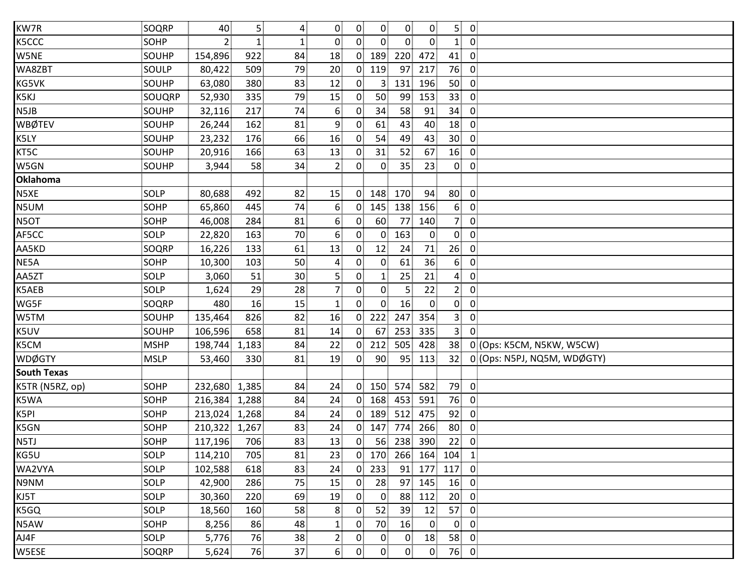| KW7R               | SOQRP       | 40            | 5 <sub>1</sub> | 4               | $\overline{0}$   | $\overline{0}$    | $\overline{0}$  | $\mathbf{0}$   | $\mathbf{0}$   | 5 <sub>1</sub>  | $\overline{\mathbf{0}}$ |                             |
|--------------------|-------------|---------------|----------------|-----------------|------------------|-------------------|-----------------|----------------|----------------|-----------------|-------------------------|-----------------------------|
| K5CCC              | <b>SOHP</b> | $\mathbf{2}$  | 1              | $\mathbf{1}$    | $\mathbf{0}$     | $0^{\frac{1}{2}}$ | $\overline{0}$  | $\overline{0}$ | $\mathbf{0}$   | $\mathbf{1}$    | $\mathbf 0$             |                             |
| W5NE               | SOUHP       | 154,896       | 922            | 84              | 18               |                   | $0$ 189         | 220            | 472            | 41              | $\mathbf 0$             |                             |
| WA8ZBT             | SOULP       | 80,422        | 509            | 79              | 20 <sup>2</sup>  |                   | $0$ 119         | 97             | 217            | 76              | $\mathbf 0$             |                             |
| KG5VK              | SOUHP       | 63,080        | 380            | 83              | 12               | 0                 | 3               | 131            | 196            | 50              | $\mathbf 0$             |                             |
| K5KJ               | SOUQRP      | 52,930        | 335            | 79              | 15               | 0 <sup>1</sup>    | 50              | 99             | 153            | 33 <sup>3</sup> | $\mathbf 0$             |                             |
| N5JB               | SOUHP       | 32,116        | 217            | 74              | $6 \overline{6}$ | $\mathbf{0}$      | 34              | 58             | 91             | 34              | $\mathbf 0$             |                             |
| <b>WBØTEV</b>      | SOUHP       | 26,244        | 162            | 81              | 9                | $\overline{0}$    | 61              | 43             | 40             | 18              | $\mathbf 0$             |                             |
| K5LY               | SOUHP       | 23,232        | 176            | 66              | 16               | $\overline{0}$    | 54              | 49             | 43             | 30              | $\mathbf 0$             |                             |
| KT5C               | SOUHP       | 20,916        | 166            | 63              | 13               | $\mathbf{0}$      | 31              | 52             | 67             | 16              | $\mathbf 0$             |                             |
| W5GN               | SOUHP       | 3,944         | 58             | 34              | $\overline{2}$   | $\overline{0}$    | $\overline{0}$  | 35             | 23             | $\mathbf{0}$    | $\mathbf 0$             |                             |
| Oklahoma           |             |               |                |                 |                  |                   |                 |                |                |                 |                         |                             |
| N5XE               | SOLP        | 80,688        | 492            | 82              | 15               | $\mathbf{0}$      | 148             | 170            | 94             | 80              | $\mathbf 0$             |                             |
| N5UM               | <b>SOHP</b> | 65,860        | 445            | 74              | 6                | $\overline{0}$    | 145             | 138            | 156            | 6 <sub>1</sub>  | $\mathbf 0$             |                             |
| N5OT               | SOHP        | 46,008        | 284            | 81              | 6                | 0 <sup>1</sup>    | 60              | 77             | 140            | 7 <sup>1</sup>  | $\mathbf 0$             |                             |
| AF5CC              | SOLP        | 22,820        | 163            | 70              | 6 <sup>1</sup>   | 0 <sup>1</sup>    | 0 <sup>1</sup>  | 163            | $\overline{0}$ | $\overline{0}$  | $\overline{0}$          |                             |
| AA5KD              | SOQRP       | 16,226        | 133            | 61              | 13               | $\mathbf{0}$      | 12              | 24             | 71             | 26              | $\mathbf 0$             |                             |
| NE5A               | <b>SOHP</b> | 10,300        | 103            | 50              | 4                | $\mathbf{0}$      | $\overline{0}$  | 61             | 36             | 6 <sub>1</sub>  | $\mathbf 0$             |                             |
| AA5ZT              | SOLP        | 3,060         | 51             | 30 <sub>1</sub> | 5.               | $\mathbf{0}$      | $\mathbf{1}$    | 25             | 21             | $\overline{4}$  | $\mathbf 0$             |                             |
| K5AEB              | SOLP        | 1,624         | 29             | 28              | $\overline{7}$   | $\mathbf{0}$      | $\overline{0}$  | 5              | 22             | 2 <sub>1</sub>  | $\mathbf 0$             |                             |
| WG5F               | SOQRP       | 480           | 16             | 15              | $\mathbf{1}$     | 0 <sup>1</sup>    | $\overline{0}$  | 16             | $\overline{0}$ | 0               | $\overline{0}$          |                             |
| W5TM               | SOUHP       | 135,464       | 826            | 82              | 16               | $\overline{0}$    | 222             | 247            | 354            | 3 <sup>1</sup>  | $\mathbf 0$             |                             |
| K5UV               | SOUHP       | 106,596       | 658            | 81              | 14               | $\overline{0}$    | 67              | 253            | 335            | 3 <sup>1</sup>  | $\mathbf 0$             |                             |
| K5CM               | <b>MSHP</b> | 198,744       | 1,183          | 84              | 22               | 0                 | 212             | 505            | 428            | 38              |                         | 0 (Ops: K5CM, N5KW, W5CW)   |
| <b>WDØGTY</b>      | <b>MSLP</b> | 53,460        | 330            | 81              | 19               | 0 <sup>1</sup>    | 90 <sup>1</sup> | 95             | 113            | 32              |                         | 0 (Ops: N5PJ, NQ5M, WDØGTY) |
| <b>South Texas</b> |             |               |                |                 |                  |                   |                 |                |                |                 |                         |                             |
| K5TR (N5RZ, op)    | SOHP        | 232,680       | 1,385          | 84              | 24               | $\overline{0}$    | 150             | 574            | 582            | 79              | $\overline{0}$          |                             |
| K5WA               | SOHP        | 216,384 1,288 |                | 84              | 24               |                   | $0$ 168         | 453            | 591            | 76              | $\overline{0}$          |                             |
| K5PI               | <b>SOHP</b> | 213,024 1,268 |                | 84              | 24               | $\overline{0}$    | 189             | 512            | 475            | 92              | $\mathbf 0$             |                             |
| K5GN               | <b>SOHP</b> | 210,322 1,267 |                | 83              | 24               | 0                 | 147             | 774            | 266            | 80              | $\mathbf 0$             |                             |
| N5TJ               | <b>SOHP</b> | 117,196       | 706            | 83              | 13               | 0 <sup>1</sup>    |                 | 56 238         | 390            | 22              | $\mathbf 0$             |                             |
| KG5U               | SOLP        | 114,210       | 705            | 81              | 23               |                   | $0$ 170         | 266            | 164            | 104             | $\mathbf{1}$            |                             |
| WA2VYA             | SOLP        | 102,588       | 618            | 83              | 24               | $\overline{0}$    | 233             | 91             | 177            | 117             | $\mathbf 0$             |                             |
| N9NM               | <b>SOLP</b> | 42,900        | 286            | 75              | 15               | $\mathbf{0}$      | 28              | 97             | 145            | 16              | $\mathbf 0$             |                             |
| KJ5T               | SOLP        | 30,360        | 220            | 69              | 19               | $\overline{0}$    | $\overline{0}$  | 88             | 112            | 20 <sub>1</sub> | $\mathbf 0$             |                             |
| K5GQ               | SOLP        | 18,560        | 160            | 58              | 8                | 0.                | 52              | 39             | 12             | 57              | $\mathbf 0$             |                             |
| N5AW               | SOHP        | 8,256         | 86             | 48              | $\mathbf{1}$     | $\mathbf{0}$      | 70              | 16             | $\overline{0}$ | $\overline{0}$  | $\mathbf 0$             |                             |
| AJ4F               | SOLP        | 5,776         | 76             | 38              | $\overline{2}$   | $\mathbf{0}$      | $\overline{0}$  | $\overline{0}$ | 18             | 58              | $\mathbf 0$             |                             |
| W5ESE              | SOQRP       | 5,624         | 76             | 37              | 6 <sup>1</sup>   | 0 <sup>1</sup>    | $\overline{0}$  | $\mathbf{0}$   | $\overline{0}$ | 76              | $\overline{0}$          |                             |
|                    |             |               |                |                 |                  |                   |                 |                |                |                 |                         |                             |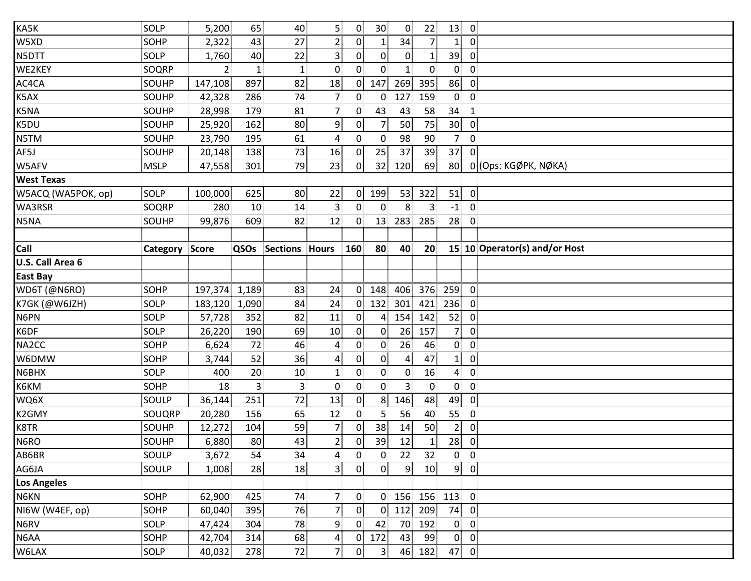| SOLP        |        | 65                    |                                                                                                                                                                                                                                                    | 5                                                                                            |                                              | 30 <sub>1</sub>                                                                                                                                                                                                                                                                                        |                                                                                                                                                                                                                                                                                    | 22                                                 | 13                                                             |                   |                                           |
|-------------|--------|-----------------------|----------------------------------------------------------------------------------------------------------------------------------------------------------------------------------------------------------------------------------------------------|----------------------------------------------------------------------------------------------|----------------------------------------------|--------------------------------------------------------------------------------------------------------------------------------------------------------------------------------------------------------------------------------------------------------------------------------------------------------|------------------------------------------------------------------------------------------------------------------------------------------------------------------------------------------------------------------------------------------------------------------------------------|----------------------------------------------------|----------------------------------------------------------------|-------------------|-------------------------------------------|
| SOHP        | 2,322  | 43                    | 27                                                                                                                                                                                                                                                 | 2 <sub>1</sub>                                                                               |                                              | 1 <sup>1</sup>                                                                                                                                                                                                                                                                                         | 34                                                                                                                                                                                                                                                                                 | 7 <sup>1</sup>                                     | 1 <sub>1</sub>                                                 | $\overline{0}$    |                                           |
| SOLP        |        | 40                    | 22                                                                                                                                                                                                                                                 | 3                                                                                            |                                              | $\overline{0}$                                                                                                                                                                                                                                                                                         | $\overline{0}$                                                                                                                                                                                                                                                                     | $\mathbf{1}$                                       | 39                                                             | $\overline{0}$    |                                           |
| SOQRP       |        | $\mathbf{1}$          |                                                                                                                                                                                                                                                    | $\mathbf{0}$                                                                                 |                                              | $\overline{0}$                                                                                                                                                                                                                                                                                         |                                                                                                                                                                                                                                                                                    | $\overline{0}$                                     | $\mathbf{0}$                                                   | $\overline{0}$    |                                           |
| SOUHP       |        | 897                   |                                                                                                                                                                                                                                                    | 18                                                                                           |                                              | 147                                                                                                                                                                                                                                                                                                    | 269                                                                                                                                                                                                                                                                                | 395                                                | 86                                                             | $\overline{0}$    |                                           |
| SOUHP       | 42,328 | 286                   | 74                                                                                                                                                                                                                                                 | $\overline{7}$                                                                               |                                              | $\overline{0}$                                                                                                                                                                                                                                                                                         | 127                                                                                                                                                                                                                                                                                | 159                                                | $\overline{0}$                                                 | $\overline{0}$    |                                           |
| SOUHP       | 28,998 | 179                   | 81                                                                                                                                                                                                                                                 | $\overline{7}$                                                                               |                                              | 43                                                                                                                                                                                                                                                                                                     | 43                                                                                                                                                                                                                                                                                 | 58                                                 | 34                                                             | $\mathbf{1}$      |                                           |
| SOUHP       | 25,920 | 162                   |                                                                                                                                                                                                                                                    | 9                                                                                            |                                              | 7 <sub>1</sub>                                                                                                                                                                                                                                                                                         | 50                                                                                                                                                                                                                                                                                 | 75                                                 | 30 <sup>2</sup>                                                | $\overline{0}$    |                                           |
| SOUHP       |        | 195                   | 61                                                                                                                                                                                                                                                 | $\overline{4}$                                                                               |                                              | $\overline{0}$                                                                                                                                                                                                                                                                                         | 98                                                                                                                                                                                                                                                                                 | 90 <sup>1</sup>                                    | 7 <sup>1</sup>                                                 | $\overline{0}$    |                                           |
| SOUHP       |        | 138                   |                                                                                                                                                                                                                                                    | 16                                                                                           | $\overline{0}$                               | 25                                                                                                                                                                                                                                                                                                     | 37                                                                                                                                                                                                                                                                                 | 39                                                 | 37                                                             | $\Omega$          |                                           |
| <b>MSLP</b> |        | 301                   | 79                                                                                                                                                                                                                                                 | 23                                                                                           |                                              |                                                                                                                                                                                                                                                                                                        | 120                                                                                                                                                                                                                                                                                | 69                                                 | 80                                                             |                   | 0 (Ops: KGØPK, NØKA)                      |
|             |        |                       |                                                                                                                                                                                                                                                    |                                                                                              |                                              |                                                                                                                                                                                                                                                                                                        |                                                                                                                                                                                                                                                                                    |                                                    |                                                                |                   |                                           |
| SOLP        |        | 625                   |                                                                                                                                                                                                                                                    | 22                                                                                           |                                              | 199                                                                                                                                                                                                                                                                                                    |                                                                                                                                                                                                                                                                                    | 322                                                | 51                                                             | $\overline{0}$    |                                           |
| SOQRP       |        | 10 <sup>1</sup>       |                                                                                                                                                                                                                                                    | $\overline{3}$                                                                               |                                              | $\overline{0}$                                                                                                                                                                                                                                                                                         | 8                                                                                                                                                                                                                                                                                  | 3 <sup>1</sup>                                     | $-1$                                                           | $\overline{0}$    |                                           |
| SOUHP       |        | 609                   |                                                                                                                                                                                                                                                    | 12                                                                                           |                                              |                                                                                                                                                                                                                                                                                                        |                                                                                                                                                                                                                                                                                    | 285                                                | 28                                                             | $\overline{0}$    |                                           |
|             |        |                       |                                                                                                                                                                                                                                                    |                                                                                              |                                              |                                                                                                                                                                                                                                                                                                        |                                                                                                                                                                                                                                                                                    |                                                    |                                                                |                   |                                           |
|             |        | QSOs                  |                                                                                                                                                                                                                                                    |                                                                                              |                                              | 80                                                                                                                                                                                                                                                                                                     | 40                                                                                                                                                                                                                                                                                 | 20                                                 |                                                                |                   | 15 10 Operator(s) and/or Host             |
|             |        |                       |                                                                                                                                                                                                                                                    |                                                                                              |                                              |                                                                                                                                                                                                                                                                                                        |                                                                                                                                                                                                                                                                                    |                                                    |                                                                |                   |                                           |
|             |        |                       |                                                                                                                                                                                                                                                    |                                                                                              |                                              |                                                                                                                                                                                                                                                                                                        |                                                                                                                                                                                                                                                                                    |                                                    |                                                                |                   |                                           |
| SOHP        |        |                       | 83                                                                                                                                                                                                                                                 | 24                                                                                           |                                              |                                                                                                                                                                                                                                                                                                        | 406                                                                                                                                                                                                                                                                                |                                                    | 259                                                            | $\overline{0}$    |                                           |
| SOLP        |        |                       | 84                                                                                                                                                                                                                                                 | 24                                                                                           |                                              |                                                                                                                                                                                                                                                                                                        | 301                                                                                                                                                                                                                                                                                |                                                    | 236                                                            | $\overline{0}$    |                                           |
| SOLP        |        | 352                   | 82                                                                                                                                                                                                                                                 | 11                                                                                           |                                              |                                                                                                                                                                                                                                                                                                        | 154                                                                                                                                                                                                                                                                                | 142                                                | 52                                                             | $\overline{0}$    |                                           |
| SOLP        |        | 190                   | 69                                                                                                                                                                                                                                                 | 10                                                                                           |                                              | $\overline{0}$                                                                                                                                                                                                                                                                                         | 26                                                                                                                                                                                                                                                                                 | 157                                                | 7 <sup>1</sup>                                                 | $\overline{0}$    |                                           |
| SOHP        | 6,624  | 72                    |                                                                                                                                                                                                                                                    | $\overline{4}$                                                                               |                                              | $\overline{0}$                                                                                                                                                                                                                                                                                         | 26                                                                                                                                                                                                                                                                                 | 46                                                 | $\overline{0}$                                                 | $\overline{0}$    |                                           |
| SOHP        | 3,744  | 52                    | 36                                                                                                                                                                                                                                                 | $\overline{4}$                                                                               |                                              | $\overline{0}$                                                                                                                                                                                                                                                                                         | $\overline{4}$                                                                                                                                                                                                                                                                     | 47                                                 | $\mathbf{1}$                                                   | $\overline{0}$    |                                           |
| SOLP        | 400    | 20                    | 10                                                                                                                                                                                                                                                 | $\mathbf{1}$                                                                                 |                                              | $\overline{0}$                                                                                                                                                                                                                                                                                         | $\overline{0}$                                                                                                                                                                                                                                                                     | 16                                                 | $\overline{4}$                                                 | $\overline{0}$    |                                           |
| <b>SOHP</b> |        | 3                     |                                                                                                                                                                                                                                                    | $\overline{0}$                                                                               |                                              | 0                                                                                                                                                                                                                                                                                                      | 3                                                                                                                                                                                                                                                                                  | $\mathbf{0}$                                       | $\overline{0}$                                                 | $\overline{0}$    |                                           |
| SOULP       |        | 251                   | 72                                                                                                                                                                                                                                                 | 13                                                                                           |                                              |                                                                                                                                                                                                                                                                                                        | 146                                                                                                                                                                                                                                                                                | 48                                                 | 49                                                             | $\overline{0}$    |                                           |
| SOUQRP      |        | 156                   | 65                                                                                                                                                                                                                                                 | 12                                                                                           |                                              | 5                                                                                                                                                                                                                                                                                                      | 56                                                                                                                                                                                                                                                                                 | 40                                                 | 55                                                             | $\mathbf{0}$      |                                           |
| SOUHP       | 12,272 | 104                   | 59                                                                                                                                                                                                                                                 | $\overline{7}$                                                                               |                                              | 38                                                                                                                                                                                                                                                                                                     | 14                                                                                                                                                                                                                                                                                 | 50                                                 | $\overline{2}$                                                 | $\overline{0}$    |                                           |
| SOUHP       |        | 80                    |                                                                                                                                                                                                                                                    | $\overline{a}$                                                                               |                                              | 39                                                                                                                                                                                                                                                                                                     | 12                                                                                                                                                                                                                                                                                 | $\mathbf{1}$                                       | 28                                                             | $\overline{0}$    |                                           |
| SOULP       | 3,672  | 54                    |                                                                                                                                                                                                                                                    | $\overline{4}$                                                                               |                                              | $\overline{0}$                                                                                                                                                                                                                                                                                         | 22                                                                                                                                                                                                                                                                                 | 32                                                 | $\overline{0}$                                                 | $\overline{0}$    |                                           |
| SOULP       |        | 28                    |                                                                                                                                                                                                                                                    | $3^{\frac{1}{3}}$                                                                            |                                              | 0                                                                                                                                                                                                                                                                                                      |                                                                                                                                                                                                                                                                                    | 10                                                 | 9 <sup>1</sup>                                                 |                   |                                           |
|             |        |                       |                                                                                                                                                                                                                                                    |                                                                                              |                                              |                                                                                                                                                                                                                                                                                                        |                                                                                                                                                                                                                                                                                    |                                                    |                                                                |                   |                                           |
| SOHP        |        | 425                   |                                                                                                                                                                                                                                                    | 7 <sup>1</sup>                                                                               |                                              |                                                                                                                                                                                                                                                                                                        |                                                                                                                                                                                                                                                                                    |                                                    | 113                                                            | $\overline{0}$    |                                           |
| <b>SOHP</b> |        | 395                   |                                                                                                                                                                                                                                                    | 7 <sub>1</sub>                                                                               |                                              |                                                                                                                                                                                                                                                                                                        | 112                                                                                                                                                                                                                                                                                | 209                                                | 74                                                             | $\overline{0}$    |                                           |
| SOLP        |        | 304                   |                                                                                                                                                                                                                                                    | $\boldsymbol{9}$                                                                             |                                              | 42                                                                                                                                                                                                                                                                                                     | 70                                                                                                                                                                                                                                                                                 | 192                                                | $\overline{0}$                                                 | $\overline{0}$    |                                           |
| SOHP        |        | 314                   |                                                                                                                                                                                                                                                    | $\overline{\mathbf{r}}$                                                                      |                                              | 172                                                                                                                                                                                                                                                                                                    | 43                                                                                                                                                                                                                                                                                 | 99                                                 | $\overline{0}$                                                 | $\overline{0}$    |                                           |
| SOLP        | 40,032 | 278                   | 72                                                                                                                                                                                                                                                 | 7 <sup>1</sup>                                                                               | 0 <sup>1</sup>                               | 3 <sup>1</sup>                                                                                                                                                                                                                                                                                         |                                                                                                                                                                                                                                                                                    |                                                    | 47                                                             | $\overline{0}$    |                                           |
|             |        | <b>Category Score</b> | 5,200<br>1,760<br>$2^{\frac{1}{2}}$<br>147,108<br>23,790<br>20,148<br>47,558<br>100,000<br>280<br>99,876<br>197,374 1,189<br>183,120 1,090<br>57,728<br>26,220<br>18<br>36,144<br>20,280<br>6,880<br>1,008<br>62,900<br>60,040<br>47,424<br>42,704 | 1<br>82<br>80 <sup>3</sup><br>73<br>14<br>82<br>46<br>3 <sup>3</sup><br>34<br>18<br>78<br>68 | 40<br>80<br>Sections Hours<br>43<br>74<br>76 | $\overline{0}$<br>$\overline{0}$<br>$0^{\circ}$<br>$\overline{0}$<br>$\overline{0}$<br>$\overline{0}$<br>$\overline{0}$<br>0<br>$\mathbf{0}$<br>160<br>0<br>$\mathbf{0}$<br>$\overline{0}$<br>$\overline{0}$<br>$\overline{0}$<br>$\overline{0}$<br>$\overline{0}$<br>$\overline{0}$<br>$\overline{0}$ | $\overline{0}$<br>0 <sup>1</sup><br>$\overline{0}$<br>32 <sub>1</sub><br>$\overline{0}$<br>$\overline{0}$<br>148<br>0 <sup>1</sup><br>$\overline{0}$<br>0 <sup>1</sup><br>8 <sup>1</sup><br>$\overline{0}$<br>$\overline{0}$<br>$\overline{0}$<br>$\overline{0}$<br>$\overline{0}$ | 13<br>132<br>4 <sub>1</sub><br>$\overline{0}$<br>0 | $\overline{0}$<br>53<br>283<br>9 <sup>1</sup><br>156<br>46 182 | 376<br>421<br>156 | $\overline{0}$<br>$\overline{\mathbf{0}}$ |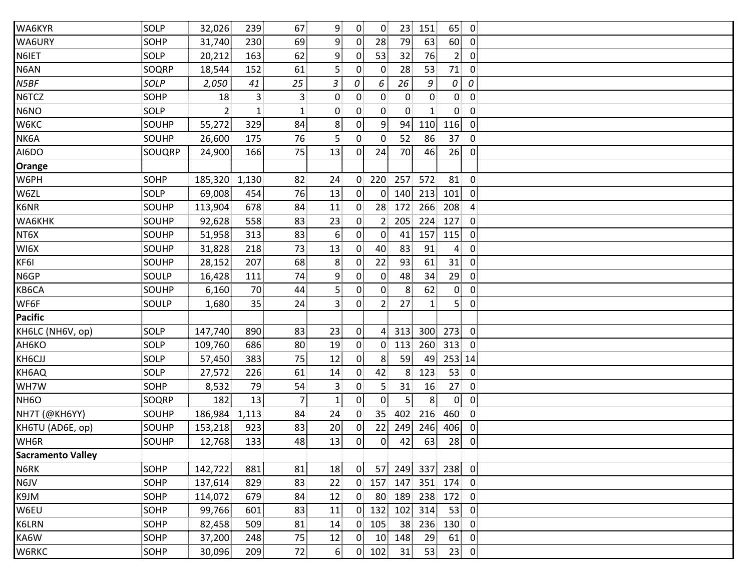| WA6KYR                   | SOLP        | 32,026         | 239            | 67             | 9              | $\overline{0}$ | $\overline{0}$          | 23 <sup>1</sup> | 151            | 65                               | $\overline{0}$ |
|--------------------------|-------------|----------------|----------------|----------------|----------------|----------------|-------------------------|-----------------|----------------|----------------------------------|----------------|
| WA6URY                   | SOHP        | 31,740         | 230            | 69             | 9              | $\overline{0}$ | 28                      | 79              | 63             | 60                               | $\overline{0}$ |
| N6IET                    | <b>SOLP</b> | 20,212         | 163            | 62             | 9              | $\mathbf{0}$   | 53                      | 32              | 76             | 2 <sub>1</sub>                   | $\overline{0}$ |
| N6AN                     | SOQRP       | 18,544         | 152            | 61             | 5 <sup>1</sup> | $\mathbf{0}$   | $\overline{0}$          | 28              | 53             | 71                               | $\overline{0}$ |
| N5BF                     | SOLP        | 2,050          | 41             | 25             | 3              | 0              | 6                       | 26              | 9              | 0<br>0                           |                |
| N6TCZ                    | <b>SOHP</b> | 18             | 3 <sup>3</sup> | $\overline{3}$ | $\mathbf{0}$   | $\overline{0}$ | $\overline{0}$          | $\mathbf{0}$    | $\overline{0}$ | $\mathbf{0}$                     | $\overline{0}$ |
| N6NO                     | SOLP        | 2 <sub>1</sub> | $\mathbf{1}$   |                | $\overline{0}$ | 0              | 0                       | $\overline{0}$  | $\mathbf{1}$   | $\overline{0}$                   | $\overline{0}$ |
| W6KC                     | SOUHP       | 55,272         | 329            | 84             | 8              | $\overline{0}$ | 9 <sub>1</sub>          | 94              | 110            | 116                              | $\overline{0}$ |
| NK6A                     | SOUHP       | 26,600         | 175            | 76             | $\overline{5}$ | $\overline{0}$ | $\overline{0}$          | 52              | 86             | 37                               | $\overline{0}$ |
| AI6DO                    | SOUQRP      | 24,900         | 166            | 75             | 13             | $\overline{0}$ | 24                      | 70              | 46             | 26                               | $\overline{0}$ |
| Orange                   |             |                |                |                |                |                |                         |                 |                |                                  |                |
| W6PH                     | SOHP        | 185,320        | 1,130          | 82             | 24             | $\overline{0}$ | 220                     | 257             | 572            | 81                               | $\overline{0}$ |
| W6ZL                     | SOLP        | 69,008         | 454            | 76             | 13             | $\overline{0}$ | $\overline{0}$          | 140             | 213            | 101                              | $\overline{0}$ |
| K6NR                     | SOUHP       | 113,904        | 678            | 84             | 11             | $\overline{0}$ | 28                      | 172             | 266            | 208                              | $\overline{4}$ |
| WA6KHK                   | SOUHP       | 92,628         | 558            | 83             | 23             | $\overline{0}$ | 2 <sub>1</sub>          | 205             | 224            | 127                              | $\overline{0}$ |
| NT6X                     | SOUHP       | 51,958         | 313            | 83             | 6              | $\overline{0}$ | $\overline{0}$          | 41              | 157            | 115                              | $\overline{0}$ |
| WI6X                     | SOUHP       | 31,828         | 218            | 73             | 13             | $\overline{0}$ | 40                      | 83              | 91             | 4                                | $\overline{0}$ |
| KF6I                     | SOUHP       | 28,152         | 207            | 68             | 8              | $\overline{0}$ | 22                      | 93              | 61             | 31                               | $\overline{0}$ |
| N6GP                     | SOULP       | 16,428         | 111            | 74             | 9              | $\mathbf{0}$   | $\mathbf{0}$            | 48              | 34             | 29                               | $\overline{0}$ |
| KB6CA                    | SOUHP       | 6,160          | 70             | 44             | 5              | 0              | 0                       | 8               | 62             | $\overline{0}$                   | $\overline{0}$ |
| WF6F                     | SOULP       | 1,680          | 35             | 24             | $\overline{3}$ | $\overline{0}$ | $\overline{2}$          | 27              | $\mathbf{1}$   | 5 <sup>1</sup>                   | $\overline{0}$ |
| <b>Pacific</b>           |             |                |                |                |                |                |                         |                 |                |                                  |                |
| KH6LC (NH6V, op)         | SOLP        | 147,740        | 890            | 83             | 23             | $\overline{0}$ | 4 <sup>1</sup>          | 313             | 300            | 273                              | $\overline{0}$ |
| АН6КО                    | SOLP        | 109,760        | 686            | 80             | 19             | $\overline{0}$ | $\mathbf{0}$            | 113             | 260            | 313                              | $\overline{0}$ |
| KH6CJJ                   | SOLP        | 57,450         | 383            | 75             | 12             | $\overline{0}$ | 8 <sup>1</sup>          | 59              | 49             | 253 14                           |                |
| KH6AQ                    | SOLP        | 27,572         | 226            | 61             | 14             | $\overline{0}$ | 42                      | 8               | 123            | 53                               | $\overline{0}$ |
| WH7W                     | <b>SOHP</b> | 8,532          | 79             | 54             | $\overline{3}$ | $\overline{0}$ | $\overline{\mathbf{5}}$ | 31              | 16             | 27                               | $\overline{0}$ |
| NH <sub>6</sub> O        | SOQRP       | 182            | 13             | 7              | $\mathbf{1}$   | $\overline{0}$ | 0                       | 5 <sup>1</sup>  | 8 <sup>1</sup> | $\overline{0}$<br>$\overline{0}$ |                |
| NH7T (@KH6YY)            | SOUHP       | 186,984        | 1,113          | 84             | 24             | $\Omega$       | 35 <sub>1</sub>         | 402             | 216            | 460                              | $\overline{0}$ |
| KH6TU (AD6E, op)         | SOUHP       | 153,218        | 923            | 83             | 20             | $\mathbf{0}$   | 22                      | 249             | 246            | 406                              | $\mathbf{0}$   |
| WH6R                     | SOUHP       | 12,768         | 133            | 48             | 13             | $\overline{0}$ | 0                       | 42              | 63             | 28                               | $\overline{0}$ |
| <b>Sacramento Valley</b> |             |                |                |                |                |                |                         |                 |                |                                  |                |
| N6RK                     | SOHP        | 142,722        | 881            | 81             | 18             | $\overline{0}$ | 57                      | 249             | 337            | 238                              | $\overline{0}$ |
| N6JV                     | <b>SOHP</b> | 137,614        | 829            | 83             | 22             | $\overline{0}$ | 157                     | 147             | 351            | 174                              | $\overline{0}$ |
| K9JM                     | SOHP        | 114,072        | 679            | 84             | 12             | $\overline{0}$ | 80                      | 189             | 238            | 172                              | $\overline{0}$ |
| W6EU                     | SOHP        | 99,766         | 601            | 83             | 11             | $\mathbf{0}$   | 132                     | 102             | 314            | 53                               | $\overline{0}$ |
| K6LRN                    | SOHP        | 82,458         | 509            | 81             | 14             | $\overline{0}$ | 105                     | 38              | 236            | 130                              | $\overline{0}$ |
| KA6W                     | SOHP        | 37,200         | 248            | 75             | 12             | $\mathbf{0}$   | 10 <sup>1</sup>         | 148             | 29             | 61                               | $\overline{0}$ |
| W6RKC                    | <b>SOHP</b> | 30,096         | 209            | 72             | 6              |                | $0$ 102                 | 31              | 53             | 23                               | $\overline{0}$ |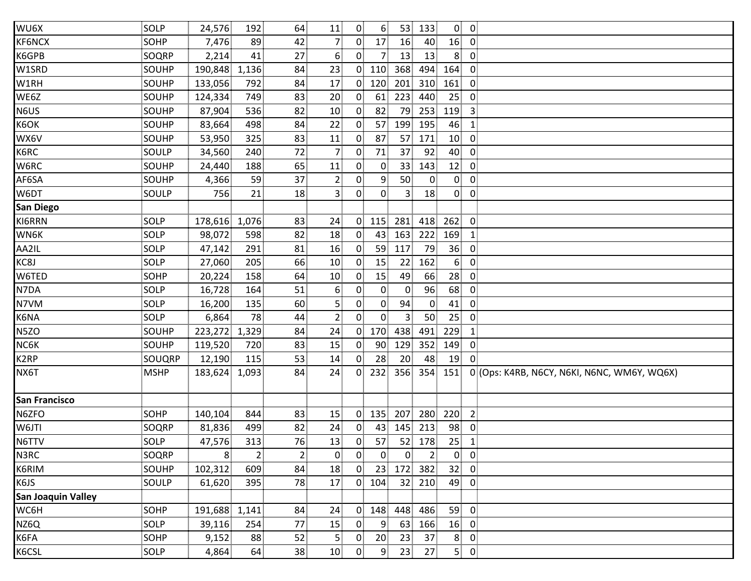| WU6X                 | <b>SOLP</b> | 24,576        | 192            | 64              | 11              | 0 <sup>1</sup> | 6 <sup>1</sup>  | 53 <sup>1</sup> | 133            |                 | $0 \quad 0$             |                                             |
|----------------------|-------------|---------------|----------------|-----------------|-----------------|----------------|-----------------|-----------------|----------------|-----------------|-------------------------|---------------------------------------------|
| KF6NCX               | SOHP        | 7,476         | 89             | 42              | 7               | $\overline{0}$ | 17              | 16              | 40             | 16              | $\overline{\mathbf{0}}$ |                                             |
| K6GPB                | SOQRP       | 2,214         | 41             | 27              | 6.              | 0              | 7               | 13              | 13             | 8               | $\overline{0}$          |                                             |
| W1SRD                | SOUHP       | 190,848 1,136 |                | 84              | 23              | $\mathbf{0}$   | 110             | 368             | 494            | 164             | $\mathbf 0$             |                                             |
| W1RH                 | SOUHP       | 133,056       | 792            | 84              | 17              | $\mathbf{0}$   | 120             | 201             | 310            | 161             | 0                       |                                             |
| WE6Z                 | SOUHP       | 124,334       | 749            | 83              | 20              | 0 <sup>1</sup> | 61              | 223             | 440            | 25              | $\overline{0}$          |                                             |
| N6US                 | SOUHP       | 87,904        | 536            | 82              | 10 <sub>1</sub> | 0 <sub>1</sub> | 82              | 79              | 253            | 119             | $\overline{\mathbf{3}}$ |                                             |
| K6OK                 | SOUHP       | 83,664        | 498            | 84              | 22              | 0              | 57              | 199             | 195            | 46              | $\mathbf{1}$            |                                             |
| WX6V                 | SOUHP       | 53,950        | 325            | 83              | 11              | $\overline{0}$ | 87              | 57              | 171            | 10 <sup>1</sup> | $\overline{\mathbf{0}}$ |                                             |
| K6RC                 | SOULP       | 34,560        | 240            | 72              | 7.              | $\mathbf{0}$   | 71              | 37              | 92             | 40              | 0                       |                                             |
| W6RC                 | SOUHP       | 24,440        | 188            | 65              | 11              | 0              | $\overline{0}$  | 33              | 143            | 12              | $\overline{0}$          |                                             |
| AF6SA                | SOUHP       | 4,366         | 59             | 37              | $\overline{2}$  | 0              | 9               | 50              | $\mathbf{0}$   | 0               | $\mathbf 0$             |                                             |
| W6DT                 | SOULP       | 756           | 21             | 18              | $\overline{3}$  | 0              | 0 <sup>1</sup>  | 3 <sup>1</sup>  | 18             | $\overline{0}$  | $\overline{0}$          |                                             |
| San Diego            |             |               |                |                 |                 |                |                 |                 |                |                 |                         |                                             |
| KI6RRN               | SOLP        | 178,616       | 1,076          | 83              | 24              | 0 <sup>1</sup> | 115             | 281             | 418            | 262             | $\mathbf 0$             |                                             |
| WN6K                 | SOLP        | 98,072        | 598            | 82              | 18              | 0              | 43              | 163             | 222            | 169             | $\mathbf{1}$            |                                             |
| AA2IL                | SOLP        | 47,142        | 291            | 81              | 16              | $\mathbf{0}$   | 59              | 117             | 79             | 36              | $\mathbf 0$             |                                             |
| KC8J                 | <b>SOLP</b> | 27,060        | 205            | 66              | 10              | $\mathbf{0}$   | 15              | 22              | 162            | 6 <sup>1</sup>  | $\overline{0}$          |                                             |
| W6TED                | SOHP        | 20,224        | 158            | 64              | 10 <sub>1</sub> | $\mathbf{0}$   | 15              | 49              | 66             | 28              | $\mathbf 0$             |                                             |
| N7DA                 | <b>SOLP</b> | 16,728        | 164            | 51              | 6               | 0              | $\overline{0}$  | 0               | 96             | 68              | $\overline{0}$          |                                             |
| N7VM                 | SOLP        | 16,200        | 135            | 60              | 5 <sub>1</sub>  | 0              | $\overline{0}$  | 94              | $\overline{0}$ | 41              | $\mathbf 0$             |                                             |
| K6NA                 | <b>SOLP</b> | 6,864         | 78             | 44              | 2 <sub>1</sub>  | 0 <sup>1</sup> | 0               | 3               | 50             | 25              | 0                       |                                             |
| N5ZO                 | SOUHP       | 223,272       | 1,329          | 84              | 24              | 0 <sub>1</sub> | 170             | 438             | 491            | 229             | $\mathbf{1}$            |                                             |
| NC6K                 | SOUHP       | 119,520       | 720            | 83              | 15              | 0.             | $90^{\circ}$    | 129             | 352            | 149             | $\mathbf 0$             |                                             |
| K <sub>2</sub> RP    | SOUQRP      | 12,190        | 115            | 53              | 14              | 0 <sup>1</sup> | 28              | 20 <sub>2</sub> | 48             | 19              | $\mathbf 0$             |                                             |
| NX6T                 | <b>MSHP</b> | 183,624       | 1,093          | 84              | 24              | 0 <sup>1</sup> | 232             | 356             |                | 354 151         |                         | 0 (Ops: K4RB, N6CY, N6KI, N6NC, WM6Y, WQ6X) |
| <b>San Francisco</b> |             |               |                |                 |                 |                |                 |                 |                |                 |                         |                                             |
| N6ZFO                | <b>SOHP</b> | 140,104       | 844            | 83              | 15 <sup>2</sup> | 0 <sup>1</sup> | 135             | 207             | 280            | 220             | $\overline{2}$          |                                             |
| W6JTI                | SOQRP       | 81,836        | 499            | 82              | 24              | 0 <sub>1</sub> | 43              | 145             | 213            | 98              | $\overline{0}$          |                                             |
| N6TTV                | SOLP        | 47,576        | 313            | 76              | 13              | $\overline{0}$ | 57              | 52              | 178            | 25              | $\mathbf{1}$            |                                             |
| N3RC                 | SOQRP       | 8             | 2 <sub>1</sub> | $\overline{2}$  | $\overline{0}$  | 0 <sup>1</sup> | 0 <sup>1</sup>  | $\mathbf{0}$    | $\overline{2}$ | $\overline{0}$  | $\overline{0}$          |                                             |
| K6RIM                | SOUHP       | 102,312       | 609            | 84              | 18              | $\overline{0}$ | 23              | 172             | 382            | 32              | $\overline{0}$          |                                             |
| K6JS                 | SOULP       | 61,620        | 395            | 78              | 17              |                | $0$ 104         |                 | 32 210         | 49              | $\overline{\mathbf{0}}$ |                                             |
| San Joaquin Valley   |             |               |                |                 |                 |                |                 |                 |                |                 |                         |                                             |
| WC6H                 | <b>SOHP</b> | 191,688 1,141 |                | 84              | 24              | $\mathbf{0}$   | 148             | 448             | 486            | 59              | $\mathbf 0$             |                                             |
| NZ6Q                 | SOLP        | 39,116        | 254            | 77              | 15              | 0              | 9               | 63              | 166            | 16              | $\overline{0}$          |                                             |
| K6FA                 | SOHP        | 9,152         | 88             | 52              | 5 <sub>1</sub>  | 0              | 20 <sup>1</sup> | 23              | 37             | 8               | $\mathbf 0$             |                                             |
| K6CSL                | SOLP        | 4,864         | 64             | 38 <sub>1</sub> | 10 <sub>1</sub> | 0 <sup>1</sup> | 9 <sub>1</sub>  | 23              | 27             |                 | $5$ 0                   |                                             |
|                      |             |               |                |                 |                 |                |                 |                 |                |                 |                         |                                             |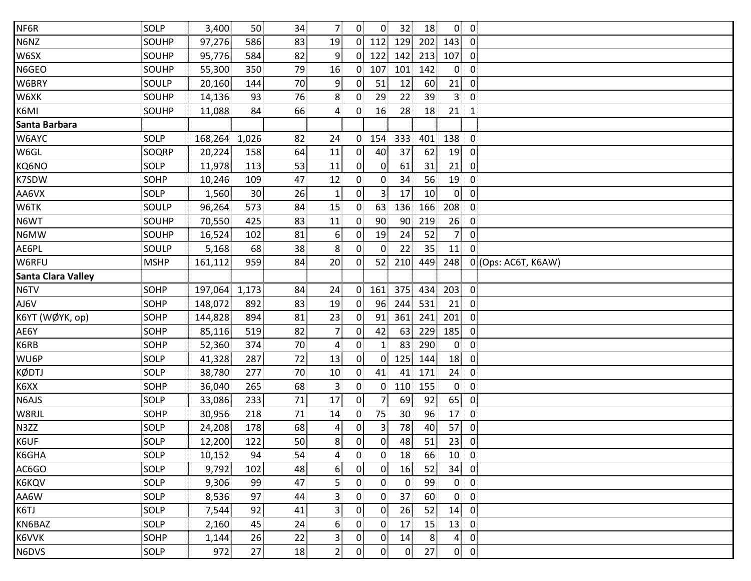| NF6R                      | <b>SOLP</b> | 3,400   | 50              | 34              | 7 <sub>1</sub>   | $\overline{0}$ | $\mathbf{0}$    | 32 <sup>2</sup> | 18              |                 | $0\quad 0$     |                     |
|---------------------------|-------------|---------|-----------------|-----------------|------------------|----------------|-----------------|-----------------|-----------------|-----------------|----------------|---------------------|
| N6NZ                      | SOUHP       | 97,276  | 586             | 83              | 19               | $\overline{0}$ | 112             | 129             | 202             | 143             | $\overline{0}$ |                     |
| W6SX                      | SOUHP       | 95,776  | 584             | 82              | 9                | $\overline{0}$ | 122             | 142             | 213             | 107             | $\mathbf 0$    |                     |
| N6GEO                     | SOUHP       | 55,300  | 350             | 79              | 16               | 0 <sup>1</sup> | 107             | 101             | 142             | $\overline{0}$  | $\overline{0}$ |                     |
| W6BRY                     | SOULP       | 20,160  | 144             | 70              | 9                | $\mathbf{0}$   | 51              | 12              | 60              | 21              | $\mathbf 0$    |                     |
| W6XK                      | SOUHP       | 14,136  | 93              | 76              | 8                | $\mathbf{0}$   | 29              | 22              | 39              | 3 <sup>1</sup>  | $\overline{0}$ |                     |
| K6MI                      | SOUHP       | 11,088  | 84              | 66              | $\overline{4}$   | $\overline{0}$ | 16              | 28              | 18              | 21              | $\mathbf{1}$   |                     |
| Santa Barbara             |             |         |                 |                 |                  |                |                 |                 |                 |                 |                |                     |
| W6AYC                     | SOLP        | 168,264 | 1,026           | 82              | 24               | $\overline{0}$ | 154             | 333             | 401             | 138             | $\overline{0}$ |                     |
| W6GL                      | SOQRP       | 20,224  | 158             | 64              | 11               | $\overline{0}$ | 40              | 37              | 62              | 19              | $\mathbf 0$    |                     |
| KQ6NO                     | SOLP        | 11,978  | 113             | 53              | 11               | $\overline{0}$ | $\overline{0}$  | 61              | 31              | 21              | $\overline{0}$ |                     |
| K7SDW                     | <b>SOHP</b> | 10,246  | 109             | 47              | 12               | $\mathbf{0}$   | $\mathbf{0}$    | 34              | 56              | 19              | $\overline{0}$ |                     |
| AA6VX                     | <b>SOLP</b> | 1,560   | 30 <sup>2</sup> | 26              | $\mathbf{1}$     | 0 <sup>1</sup> | 3 <sup>1</sup>  | 17              | 10              | $\mathbf{0}$    | $\overline{0}$ |                     |
| W6TK                      | SOULP       | 96,264  | 573             | 84              | 15               | $\overline{0}$ | 63              | 136             | 166             | 208             | $\overline{0}$ |                     |
| N6WT                      | SOUHP       | 70,550  | 425             | 83              | 11               | $\Omega$       | 90 <sup>3</sup> | 90              | 219             | 26              | 0              |                     |
| N6MW                      | SOUHP       | 16,524  | 102             | 81              | 6                | $\mathbf{0}$   | 19              | 24              | 52              | 7 <sup>1</sup>  | $\mathbf 0$    |                     |
| AE6PL                     | SOULP       | 5,168   | 68              | 38              | 8 <sup>1</sup>   | $\overline{0}$ | $\mathbf{0}$    | 22              | 35 <sub>1</sub> | 11              | $\Omega$       |                     |
| W6RFU                     | <b>MSHP</b> | 161,112 | 959             | 84              | 20               | $\mathbf{0}$   | 52              | 210             | 449             | 248             |                | 0 (Ops: AC6T, K6AW) |
| <b>Santa Clara Valley</b> |             |         |                 |                 |                  |                |                 |                 |                 |                 |                |                     |
| N6TV                      | SOHP        | 197,064 | 1,173           | 84              | 24 <sup>3</sup>  | $\overline{0}$ | 161             | 375             | 434             | 203             | $\overline{0}$ |                     |
| AJ6V                      | SOHP        | 148,072 | 892             | 83              | 19               | $\mathbf{0}$   | 96              | 244             | 531             | 21              | $\overline{0}$ |                     |
| K6YT (WØYK, op)           | <b>SOHP</b> | 144,828 | 894             | 81              | 23               | 0.             | 91              | 361             | 241             | 201             | $\overline{0}$ |                     |
| AE6Y                      | SOHP        | 85,116  | 519             | 82              | $\overline{7}$   | $\overline{0}$ | 42              | 63              | 229             | 185             | $\overline{0}$ |                     |
| K6RB                      | <b>SOHP</b> | 52,360  | 374             | 70              | $\boldsymbol{4}$ | $\overline{0}$ | $\mathbf{1}$    | 83              | 290             | $\mathbf{0}$    | $\mathbf 0$    |                     |
| WU6P                      | SOLP        | 41,328  | 287             | 72              | 13               | $\overline{0}$ | 0 <sup>1</sup>  | 125             | 144             | 18              | $\overline{0}$ |                     |
| <b>KØDTJ</b>              | SOLP        | 38,780  | 277             | 70              | 10               | $\overline{0}$ | 41              | 41              | 171             | 24              | $\overline{0}$ |                     |
| K6XX                      | SOHP        | 36,040  | 265             | 68              | 3.               | $\mathbf{0}$   | $\overline{0}$  | 110 155         |                 | $\mathbf{0}$    | $\overline{0}$ |                     |
| N6AJS                     | SOLP        | 33,086  | 233             | 71              | 17               | $\overline{0}$ | 7 <sub>1</sub>  | 69              | 92              | 65              | $\mathbf 0$    |                     |
| W8RJL                     | SOHP        | 30,956  | 218             | 71              | 14               | $\mathbf{0}$   | 75              | 30 <sub>1</sub> | 96              | 17              | $\mathbf 0$    |                     |
| N3ZZ                      | SOLP        | 24,208  | 178             | 68              | 4                | $\mathbf{0}$   | 3 <sup>1</sup>  | 78              | 40              | 57              | $\mathbf 0$    |                     |
| K6UF                      | <b>SOLP</b> | 12,200  | 122             | 50 <sup>1</sup> | 8 <sup>1</sup>   | $\overline{0}$ | 0               | 48              | 51              | 23              | $\overline{0}$ |                     |
| K6GHA                     | SOLP        | 10,152  | 94              | 54              | 4                | $\overline{0}$ | $\mathbf{0}$    | 18              | 66              | 10 <sub>1</sub> | $\overline{0}$ |                     |
| AC6GO                     | SOLP        | 9,792   | 102             | 48              | 6                | $\mathbf{0}$   | $\overline{0}$  | 16              | 52              | 34              | $\overline{0}$ |                     |
| K6KQV                     | SOLP        | 9,306   | 99              | 47              | 5                | 0.             | $\overline{0}$  | $\overline{0}$  | 99              | $\mathbf{0}$    | $\mathbf 0$    |                     |
| AA6W                      | SOLP        | 8,536   | 97              | 44              | $\overline{3}$   | $\overline{0}$ | $\overline{0}$  | 37              | 60              | $\mathbf{0}$    | $\mathbf 0$    |                     |
| K6TJ                      | SOLP        | 7,544   | 92              | 41              | 3 <sup>1</sup>   | $\overline{0}$ | $\mathbf{0}$    | 26              | 52              | 14              | $\overline{0}$ |                     |
| KN6BAZ                    | SOLP        | 2,160   | 45              | 24              | 6                | $\mathbf{0}$   | $\mathbf{0}$    | 17              | 15              | 13              | $\overline{0}$ |                     |
| K6VVK                     | SOHP        | 1,144   | 26              | 22              | $\mathbf{3}$     | $\overline{0}$ | $\overline{0}$  | 14              | 8 <sup>1</sup>  | $\mathbf{4}$    | $\overline{0}$ |                     |
| N6DVS                     | <b>SOLP</b> | 972     | 27              | 18              | 2 <sub>1</sub>   | $\mathbf{0}$   | $\overline{0}$  | $\mathbf{0}$    | 27              |                 | $0 \quad 0$    |                     |
|                           |             |         |                 |                 |                  |                |                 |                 |                 |                 |                |                     |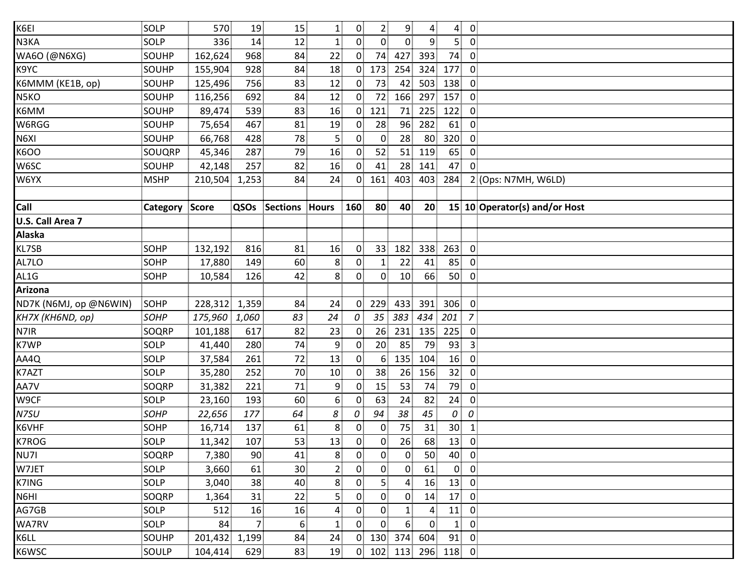| K6EI                    | SOLP           | 570           | 19             | 15              | $\mathbf{1}$   | 0              | 2 <sub>1</sub>    | 9 <sub>1</sub> | $\overline{4}$ | $\overline{4}$  | $\overline{0}$          |                               |
|-------------------------|----------------|---------------|----------------|-----------------|----------------|----------------|-------------------|----------------|----------------|-----------------|-------------------------|-------------------------------|
| N3KA                    | SOLP           | 336           | 14             | 12              | $\mathbf{1}$   | 0 <sup>1</sup> | 0 <sup>1</sup>    | $\overline{0}$ | 9              | 5 <sup>1</sup>  | $\overline{0}$          |                               |
| WA6O (@N6XG)            | SOUHP          | 162,624       | 968            | 84              | 22             | $\overline{0}$ | 74                | 427            | 393            | 74              | $\overline{0}$          |                               |
| K9YC                    | <b>SOUHP</b>   | 155,904       | 928            | 84              | 18             | $\mathbf{0}$   | 173               | 254            | 324            | 177             | $\overline{0}$          |                               |
| K6MMM (KE1B, op)        | SOUHP          | 125,496       | 756            | 83              | 12             | $\overline{0}$ | 73                | 42             | 503            | 138             | $\overline{0}$          |                               |
| N5KO                    | SOUHP          | 116,256       | 692            | 84              | 12             | $\overline{0}$ | 72                | 166            | 297            | 157             | $\overline{0}$          |                               |
| K6MM                    | SOUHP          | 89,474        | 539            | 83              | 16             | $\overline{0}$ | 121               | 71             | 225            | 122             | $\overline{0}$          |                               |
| W6RGG                   | SOUHP          | 75,654        | 467            | 81              | 19             | $\mathbf{0}$   | 28                | 96             | 282            | 61              | $\overline{0}$          |                               |
| N6XI                    | SOUHP          | 66,768        | 428            | 78              | 5              | $\overline{0}$ | $\overline{0}$    | 28             | 80             | 320             | $\overline{0}$          |                               |
| K6OO                    | SOUQRP         | 45,346        | 287            | 79              | 16             | $\overline{0}$ | 52                | 51             | 119            | 65              | $\boldsymbol{0}$        |                               |
| W6SC                    | SOUHP          | 42,148        | 257            | 82              | 16             | $\overline{0}$ | 41                | 28             | 141            | 47              | $\overline{0}$          |                               |
| W6YX                    | <b>MSHP</b>    | 210,504       | 1,253          | 84              | 24             | 0              | 161               | 403            | 403            | 284             |                         | 2 (Ops: N7MH, W6LD)           |
|                         |                |               |                |                 |                |                |                   |                |                |                 |                         |                               |
| Call                    | Category Score |               | QSOs           | Sections Hours  |                | 160            | 80                | 40             | 20             |                 |                         | 15 10 Operator(s) and/or Host |
| U.S. Call Area 7        |                |               |                |                 |                |                |                   |                |                |                 |                         |                               |
| <b>Alaska</b>           |                |               |                |                 |                |                |                   |                |                |                 |                         |                               |
| KL7SB                   | <b>SOHP</b>    | 132,192       | 816            | 81              | 16             | $\mathbf{0}$   | 33 <sup>1</sup>   | 182            | 338            | 263             | $\overline{0}$          |                               |
| AL7LO                   | <b>SOHP</b>    | 17,880        | 149            | 60              | 8              | $\overline{0}$ | 1 <sup>5</sup>    | 22             | 41             | 85              | $\overline{0}$          |                               |
| AL1G                    | SOHP           | 10,584        | 126            | 42              | 8              | 0              | 0                 | 10             | 66             | 50              | $\overline{0}$          |                               |
| <b>Arizona</b>          |                |               |                |                 |                |                |                   |                |                |                 |                         |                               |
| ND7K (N6MJ, op @N6WIN)  | SOHP           | 228,312 1,359 |                | 84              | 24             | $\overline{0}$ | 229               | 433            | 391            | 306             | $\overline{0}$          |                               |
| <b>КН7Х (КН6ND, op)</b> | SOHP           | 175,960       | 1,060          | 83              | 24             | 0              | 35                | 383            | 434            | 201             | $\overline{z}$          |                               |
| N7IR                    | SOQRP          | 101,188       | 617            | 82              | 23             | $\mathbf 0$    | 26                | 231            | 135            | 225             | $\overline{0}$          |                               |
| K7WP                    | SOLP           | 41,440        | 280            | 74              | 9              | $\overline{0}$ | 20 <sup>1</sup>   | 85             | 79             | 93              | $\overline{3}$          |                               |
| AA4Q                    | SOLP           | 37,584        | 261            | 72              | 13             | $\overline{0}$ | 6 <sup>1</sup>    | 135            | 104            | 16              | $\overline{0}$          |                               |
| K7AZT                   | SOLP           | 35,280        | 252            | 70 <sup>1</sup> | 10             | 0              | 38                | 26             | 156            | 32 <sub>1</sub> | $\overline{0}$          |                               |
| AA7V                    | SOQRP          | 31,382        | 221            | 71              | 9              | $\mathbf{0}$   | 15                | 53             | 74             | 79              | $\overline{0}$          |                               |
| W9CF                    | SOLP           | 23,160        | 193            | 60              | 6              | $\overline{0}$ | 63                | 24             | 82             | 24              | $\overline{0}$          |                               |
| N7SU                    | <b>SOHP</b>    | 22,656        | 177            | 64              | 8              | 0              | 94                | 38             | 45             | 0               | 0                       |                               |
| K6VHF                   | SOHP           | 16,714        | 137            | 61              | 8              | 0              | $\mathbf{0}$      | 75             | 31             | 30 <sub>1</sub> | $\mathbf{1}$            |                               |
| K7ROG                   | SOLP           | 11,342        | 107            | 53              | 13             | 0              | 0                 | 26             | 68             | 13              | $\overline{0}$          |                               |
| NU7I                    | <b>SOQRP</b>   | 7,380         | 90             | 41              | 8              | 0              | $\overline{0}$    | $\overline{0}$ | 50             | 40              | $\overline{0}$          |                               |
| W7JET                   | SOLP           | 3,660         | 61             | 30 <sub>1</sub> | $\overline{2}$ | 0              | $0^{\frac{1}{2}}$ | $\overline{0}$ | 61             | $\overline{0}$  | $\overline{0}$          |                               |
| K7ING                   | SOLP           | 3,040         | 38             | 40              | 8              | 0              | 5                 | 4              | 16             | 13              | $\overline{0}$          |                               |
| N6HI                    | SOQRP          | 1,364         | 31             | 22              | 5              | $\overline{0}$ | $\overline{0}$    | 0              | 14             | 17              | $\overline{0}$          |                               |
| AG7GB                   | SOLP           | 512           | 16             | 16              | 4              | 0              | 0 <sup>1</sup>    | $\mathbf{1}$   | $\overline{4}$ | 11              | 0                       |                               |
| WA7RV                   | SOLP           | 84            | $\overline{7}$ | 6 <sup>1</sup>  | 1              | 0              | 0                 | 6 <sup>1</sup> | $\mathbf{0}$   | $\mathbf{1}$    | $\mathbf 0$             |                               |
| K6LL                    | SOUHP          | 201,432 1,199 |                | 84              | 24             | $\mathbf{0}$   | 130               | 374            | 604            | 91              | $\mathbf 0$             |                               |
| K6WSC                   | SOULP          | 104,414       | 629            | 83              | 19             | 0 <sup>1</sup> | 102               | 113            | 296            | 118             | $\overline{\mathbf{0}}$ |                               |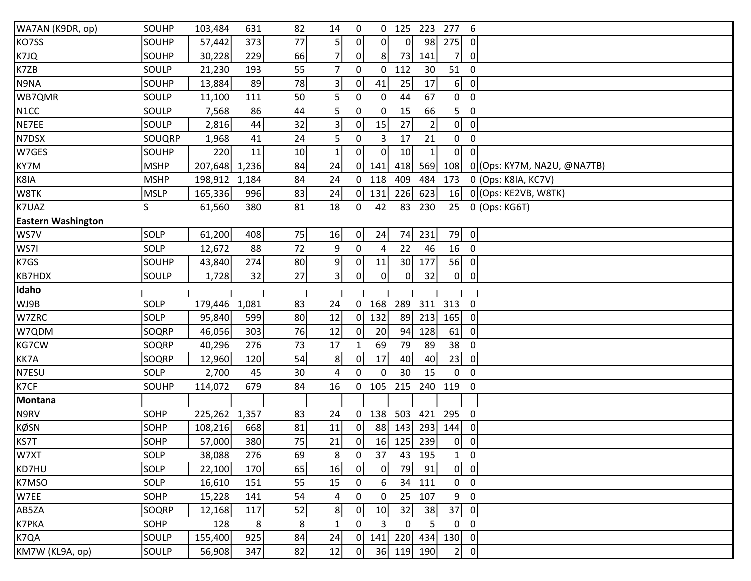| WA7AN (K9DR, op)          | SOUHP       | 103,484       | 631   | 82              | 14                      | $\overline{0}$ | $\overline{0}$  |                 | 125 223        | 277            | 6                       |                             |
|---------------------------|-------------|---------------|-------|-----------------|-------------------------|----------------|-----------------|-----------------|----------------|----------------|-------------------------|-----------------------------|
| KO7SS                     | SOUHP       | 57,442        | 373   | 77              | 5 <sup>1</sup>          | 0 <sup>1</sup> | 0 <sup>1</sup>  | $\overline{0}$  | 98             | 275            | $\overline{0}$          |                             |
| K7JQ                      | SOUHP       | 30,228        | 229   | 66              | 7 <sub>1</sub>          | 0              | 8 <sup>1</sup>  | 73              | 141            | 7 <sub>1</sub> | $\overline{0}$          |                             |
| K7ZB                      | SOULP       | 21,230        | 193   | 55              | $\overline{7}$          | 0              | $\overline{0}$  | 112             | 30             | 51             | $\overline{0}$          |                             |
| N9NA                      | SOUHP       | 13,884        | 89    | 78              | $\mathbf{3}$            | 0              | 41              | 25              | 17             | 6 <sup>1</sup> | $\mathbf 0$             |                             |
| WB7QMR                    | SOULP       | 11,100        | 111   | 50              | $\overline{5}$          | 0              | $\overline{0}$  | 44              | 67             | $\overline{0}$ | $\overline{0}$          |                             |
| N <sub>1</sub> CC         | SOULP       | 7,568         | 86    | 44              | $\overline{5}$          | $\overline{0}$ | $\overline{0}$  | 15              | 66             | 5.             | $\overline{0}$          |                             |
| NE7EE                     | SOULP       | 2,816         | 44    | 32              | $\overline{\mathbf{3}}$ | 0              | 15              | 27              | 2 <sub>1</sub> | $\overline{0}$ | $\overline{0}$          |                             |
| N7DSX                     | SOUQRP      | 1,968         | 41    | 24              | $\overline{5}$          | 0              | 3 <sup>1</sup>  | 17              | 21             | $\overline{0}$ | $\overline{\mathbf{0}}$ |                             |
| W7GES                     | SOUHP       | 220           | 11    | 10 <sup>1</sup> | 1                       | $\mathbf{0}$   | $\overline{0}$  | 10 <sup>3</sup> | $\mathbf{1}$   | $\overline{0}$ | $\mathbf{0}$            |                             |
| KY7M                      | <b>MSHP</b> | 207,648 1,236 |       | 84              | 24                      | 0 <sup>1</sup> | 141             | 418             | 569            | 108            |                         | 0 (Ops: KY7M, NA2U, @NA7TB) |
| K8IA                      | <b>MSHP</b> | 198,912       | 1,184 | 84              | 24                      | $\overline{0}$ | 118             | 409             | 484            | 173            |                         | 0 (Ops: K8IA, KC7V)         |
| W8TK                      | <b>MSLP</b> | 165,336       | 996   | 83              | 24                      | 0 <sup>1</sup> | 131             | 226             | 623            | 16             |                         | 0 (Ops: KE2VB, W8TK)        |
| K7UAZ                     | S           | 61,560        | 380   | 81              | 18                      | 0              | 42              | 83              | 230            | 25             |                         | 0 (Ops: KG6T)               |
| <b>Eastern Washington</b> |             |               |       |                 |                         |                |                 |                 |                |                |                         |                             |
| WS7V                      | SOLP        | 61,200        | 408   | 75              | 16                      | $\mathbf{0}$   | 24              | 74              | 231            | 79             | $\overline{0}$          |                             |
| WS7I                      | SOLP        | 12,672        | 88    | 72              | 9                       | $\overline{0}$ | $\mathbf{A}$    | 22              | 46             | 16             | $\overline{0}$          |                             |
| K7GS                      | SOUHP       | 43,840        | 274   | 80 <sub>3</sub> | 9                       | 0              | 11              | 30 <sub>1</sub> | 177            | 56             | $\overline{0}$          |                             |
| KB7HDX                    | SOULP       | 1,728         | 32    | 27              | $\overline{\mathbf{3}}$ | 0              | $\overline{0}$  | $\mathbf{0}$    | 32             | $\overline{0}$ | $\overline{0}$          |                             |
| Idaho                     |             |               |       |                 |                         |                |                 |                 |                |                |                         |                             |
| WJ9B                      | SOLP        | 179,446 1,081 |       | 83              | 24                      | 0 <sup>1</sup> | 168             | 289             | 311            | 313            | $\overline{0}$          |                             |
| W7ZRC                     | SOLP        | 95,840        | 599   | 80              | 12                      | $\mathbf{0}$   | 132             | 89              | 213            | 165            | $\overline{0}$          |                             |
| W7QDM                     | SOQRP       | 46,056        | 303   | 76              | 12                      | $\mathbf{0}$   | 20 <sub>2</sub> | 94              | 128            | 61             | $\overline{0}$          |                             |
| KG7CW                     | SOQRP       | 40,296        | 276   | 73              | 17                      | 1!             | 69              | 79              | 89             | 38             | $\overline{0}$          |                             |
| KK7A                      | SOQRP       | 12,960        | 120   | 54              | 8                       | $\overline{0}$ | 17              | 40              | 40             | 23             | $\overline{0}$          |                             |
| N7ESU                     | SOLP        | 2,700         | 45    | 30 <sub>1</sub> | $\overline{a}$          | 0              | $\overline{0}$  | 30 <sub>1</sub> | 15             | $\mathbf{0}$   | $\overline{0}$          |                             |
| K7CF                      | SOUHP       | 114,072       | 679   | 84              | 16                      | $\overline{0}$ | 105             | 215             | 240            | 119            | $\overline{0}$          |                             |
| <b>Montana</b>            |             |               |       |                 |                         |                |                 |                 |                |                |                         |                             |
| N9RV                      | SOHP        | 225,262       | 1,357 | 83              | 24                      | 0.             | 138             | 503             | 421            | 295            | $\overline{0}$          |                             |
| <b>KØSN</b>               | SOHP        | 108,216       | 668   | 81              | 11                      | 0              | 88 <sup>1</sup> | 143             | 293            | 144            | $\overline{0}$          |                             |
| KS7T                      | SOHP        | 57,000        | 380   | 75              | 21                      | $\overline{0}$ |                 | 16 125          | 239            | $\overline{0}$ | $\overline{0}$          |                             |
| W7XT                      | SOLP        | 38,088        | 276   | 69              | 8                       | 0              | 37              | 43              | 195            | $\mathbf{1}$   | $\overline{0}$          |                             |
| KD7HU                     | SOLP        | 22,100        | 170   | 65              | 16                      | 0              | $\overline{0}$  | 79              | 91             |                | $0\quad 0$              |                             |
| K7MSO                     | SOLP        | 16,610        | 151   | 55              | 15                      | 0.             | 6               | 34              | 111            | $\mathbf{0}$   | $\mathbf 0$             |                             |
| W7EE                      | SOHP        | 15,228        | 141   | 54              | 4                       | 0              | $\overline{0}$  | 25              | 107            | 9 <sub>1</sub> | $\mathbf 0$             |                             |
| AB5ZA                     | SOQRP       | 12,168        | 117   | 52              | 8                       | 0.             | 10 <sup>1</sup> | 32              | 38             | 37             | $\mathbf 0$             |                             |
| <b>K7PKA</b>              | SOHP        | 128           | 8     | 8               | $\mathbf{1}$            | $\mathbf{0}$   | 3 <sup>1</sup>  | $\overline{0}$  | 5 <sup>1</sup> | $\mathbf{0}$   | $\mathbf 0$             |                             |
| K7QA                      | SOULP       | 155,400       | 925   | 84              | 24                      | 0              | 141             | 220             | 434            | 130            | $\overline{0}$          |                             |
| KM7W (KL9A, op)           | SOULP       | 56,908        | 347   | 82              | 12                      | 0 <sub>1</sub> |                 | 36 119 190      |                |                | $2 \ 0$                 |                             |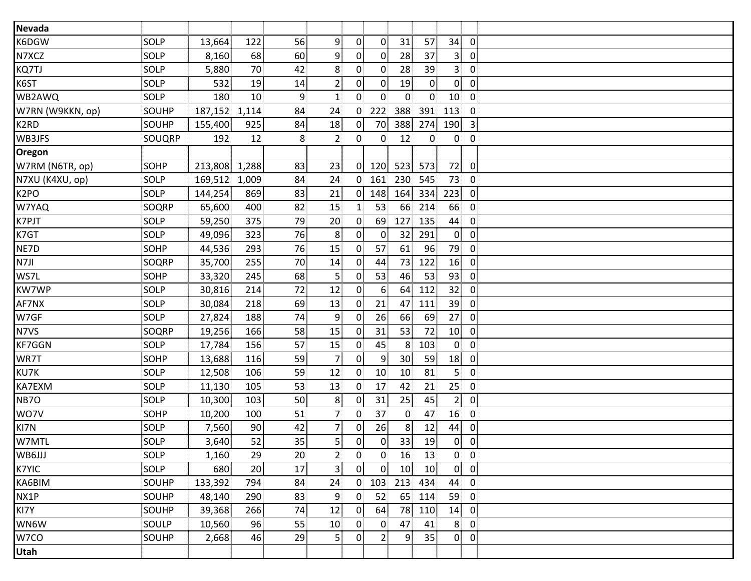| Nevada            |             |         |       |                 |                   |                |                |                 |                 |                 |                         |  |
|-------------------|-------------|---------|-------|-----------------|-------------------|----------------|----------------|-----------------|-----------------|-----------------|-------------------------|--|
| K6DGW             | SOLP        | 13,664  | 122   | 56              | 9 <sup>1</sup>    | $\overline{0}$ | $\overline{0}$ | 31              | 57              | 34              | 0                       |  |
| N7XCZ             | SOLP        | 8,160   | 68    | 60              | 9                 | 0 <sup>1</sup> | $\overline{0}$ | 28              | 37              | 3 <sup>1</sup>  | $\mathbf 0$             |  |
| KQ7TJ             | SOLP        | 5,880   | 70    | 42              | 8                 | 0 <sup>1</sup> | $\overline{0}$ | 28              | 39              | 3 <sup>1</sup>  | $\mathbf 0$             |  |
| K6ST              | SOLP        | 532     | 19    | 14              | $\overline{2}$    | $\mathbf{0}$   | $\overline{0}$ | 19              | $\mathbf{0}$    | $\mathbf{0}$    | $\overline{0}$          |  |
| WB2AWQ            | SOLP        | 180     | 10    | 9.              | $\mathbf{1}$      | 0              | $\overline{0}$ | $\mathbf{0}$    | $\overline{0}$  | 10 <sup>1</sup> | $\overline{0}$          |  |
| W7RN (W9KKN, op)  | SOUHP       | 187,152 | 1,114 | 84              | 24                | $\mathbf{0}$   | 222            | 388             | 391             | 113             | $\mathbf 0$             |  |
| K <sub>2</sub> RD | SOUHP       | 155,400 | 925   | 84              | 18                | $\overline{0}$ | 70             | 388             | 274             | 190             | $\overline{\mathbf{3}}$ |  |
| WB3JFS            | SOUQRP      | 192     | 12    | 8               | $\overline{2}$    | $\overline{0}$ | $\overline{0}$ | 12              | $\overline{0}$  | $\overline{0}$  | $\mathbf 0$             |  |
| Oregon            |             |         |       |                 |                   |                |                |                 |                 |                 |                         |  |
| W7RM (N6TR, op)   | SOHP        | 213,808 | 1,288 | 83              | 23                | $\overline{0}$ | 120            | 523             | 573             | 72              | $\mathbf 0$             |  |
| N7XU (K4XU, op)   | SOLP        | 169,512 | 1,009 | 84              | 24                |                | $0$ 161        | 230             | 545             | 73              | $\overline{\mathbf{0}}$ |  |
| K <sub>2</sub> PO | SOLP        | 144,254 | 869   | 83              | 21                | 0 <sup>1</sup> | 148            | 164             | 334             | 223             | $\mathbf 0$             |  |
| W7YAQ             | SOQRP       | 65,600  | 400   | 82              | 15                | 11             | 53             | 66              | 214             | 66              | $\mathbf 0$             |  |
| K7PJT             | SOLP        | 59,250  | 375   | 79              | 20                | $\overline{0}$ | 69             | 127             | 135             | 44              | $\mathbf 0$             |  |
| K7GT              | SOLP        | 49,096  | 323   | 76              | 8                 | 0 <sup>1</sup> | $\overline{0}$ | 32              | 291             | $\mathbf{0}$    | $\mathbf 0$             |  |
| NE7D              | SOHP        | 44,536  | 293   | 76              | 15                | 0 <sub>1</sub> | 57             | 61              | 96              | 79              | $\mathbf 0$             |  |
| N7JI              | SOQRP       | 35,700  | 255   | 70              | 14                | $\mathbf{0}$   | 44             | 73              | 122             | 16              | $\mathbf 0$             |  |
| WS7L              | <b>SOHP</b> | 33,320  | 245   | 68              | 5                 | $\mathbf{0}$   | 53             | 46              | 53              | 93              | $\mathbf 0$             |  |
| <b>KW7WP</b>      | SOLP        | 30,816  | 214   | 72              | 12                | $\overline{0}$ | 6 <sup>1</sup> | 64              | 112             | 32              | $\mathbf 0$             |  |
| AF7NX             | SOLP        | 30,084  | 218   | 69              | 13                | $\mathbf{0}$   | 21             | 47              | 111             | 39              | $\mathbf 0$             |  |
| W7GF              | SOLP        | 27,824  | 188   | 74              | 9                 | $\mathbf{0}$   | 26             | 66              | 69              | 27              | $\mathbf 0$             |  |
| N7VS              | SOQRP       | 19,256  | 166   | 58              | 15                | $\overline{0}$ | 31             | 53              | 72              | 10 <sub>1</sub> | $\mathbf 0$             |  |
| KF7GGN            | SOLP        | 17,784  | 156   | 57              | 15                | $\mathbf{0}$   | 45             | 8               | 103             | $\mathbf{0}$    | $\mathbf 0$             |  |
| WR7T              | SOHP        | 13,688  | 116   | 59              | $\overline{7}$    | $\overline{0}$ | 9              | 30 <sup>°</sup> | 59              | 18              | $\overline{0}$          |  |
| KU7K              | SOLP        | 12,508  | 106   | 59              | 12                | $\mathbf{0}$   | 10             | 10 <sup>1</sup> | 81              | 5 <sub>1</sub>  | $\mathbf 0$             |  |
| KA7EXM            | SOLP        | 11,130  | 105   | 53              | 13                | 0              | 17             | 42              | 21              | 25 <sub>1</sub> | $\mathbf 0$             |  |
| NB7O              | SOLP        | 10,300  | 103   | 50              | 8                 | $\mathbf{0}$   | 31             | 25              | 45              | 2 <sup>1</sup>  | $\mathbf 0$             |  |
| WO7V              | SOHP        | 10,200  | 100   | 51              | $\overline{7}$    | $\overline{0}$ | 37             | $\mathbf{0}$    | 47              | 16              | $\overline{0}$          |  |
| KI7N              | SOLP        | 7,560   | 90    | 42              | 7                 | $\mathbf{0}$   | 26             | 8 <sub>1</sub>  | 12              | 44              | $\mathbf 0$             |  |
| W7MTL             | SOLP        | 3,640   | 52    | 35 <sub>1</sub> | $5^{\frac{1}{3}}$ | 0 <sup>1</sup> | $\overline{0}$ | 33 <sup>1</sup> | 19              | $\overline{0}$  | $\overline{\mathbf{0}}$ |  |
| WB6JJJ            | <b>SOLP</b> | 1,160   | 29    | 20 <sub>1</sub> | 2 <sup>1</sup>    | $\overline{0}$ | $\mathbf{0}$   | 16              | 13              |                 | $0 \quad 0$             |  |
| K7YIC             | SOLP        | 680     | 20    | 17              | 3 <sup>3</sup>    | 0              | $\mathbf{0}$   | 10              | 10 <sup>1</sup> |                 | 0 <sub>0</sub>          |  |
| KA6BIM            | SOUHP       | 133,392 | 794   | 84              | 24                | 0 <sub>1</sub> | 103            | 213             | 434             | 44              | $\overline{\mathbf{0}}$ |  |
| NX1P              | SOUHP       | 48,140  | 290   | 83              | 9 <sup>1</sup>    | 0 <sup>1</sup> | 52             | 65              | 114             | 59              | $\overline{\mathbf{0}}$ |  |
| KI7Y              | SOUHP       | 39,368  | 266   | 74              | 12                | $\mathbf{0}$   | 64             |                 | 78 110          | 14              | $\overline{\mathbf{0}}$ |  |
| WN6W              | SOULP       | 10,560  | 96    | 55              | 10                | 0 <sup>1</sup> | $\overline{0}$ | 47              | 41              | 8               | $\overline{\mathbf{0}}$ |  |
| W7CO              | SOUHP       | 2,668   | 46    | 29              | 5 <sub>1</sub>    | $\mathbf{0}$   | 2 <sub>1</sub> | 9.              | 35 <sub>1</sub> |                 | 0 <sub>0</sub>          |  |
| Utah              |             |         |       |                 |                   |                |                |                 |                 |                 |                         |  |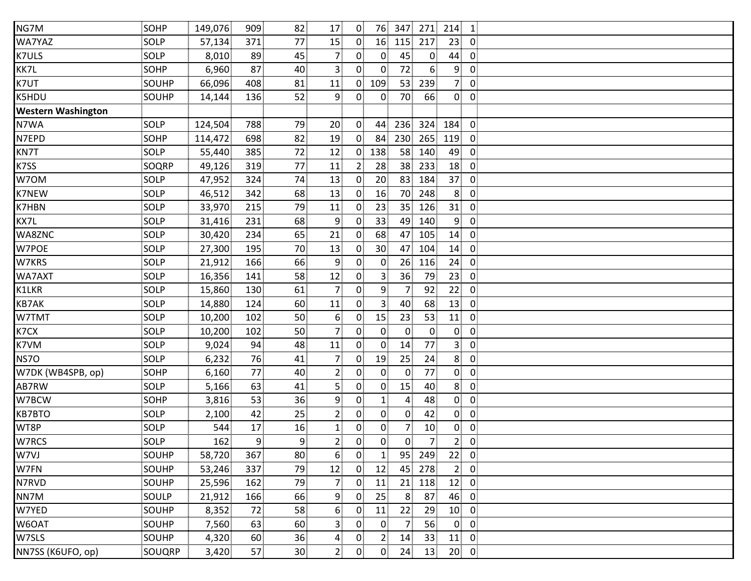| SOHP        | 149,076 | 909 | 82              | 17              | 0 <sup>1</sup>    |                   |                | 271                          | 214             | $\vert$ 1      |
|-------------|---------|-----|-----------------|-----------------|-------------------|-------------------|----------------|------------------------------|-----------------|----------------|
| SOLP        | 57,134  | 371 | 77              | 15              | $\overline{0}$    |                   | 115            | 217                          | 23              | $\overline{0}$ |
| SOLP        | 8,010   | 89  | 45              | $\overline{7}$  | $\overline{0}$    | $\overline{0}$    | 45             | $\mathbf{0}$                 | 44              | $\mathbf 0$    |
| <b>SOHP</b> | 6,960   | 87  | 40              | $\overline{3}$  | $\overline{0}$    | $\overline{0}$    | 72             | 6 <sup>1</sup>               | 9 <sup>1</sup>  | $\overline{0}$ |
| SOUHP       | 66,096  | 408 | 81              | 11              | $\overline{0}$    | 109               | 53             | 239                          | 7 <sup>1</sup>  | $\overline{0}$ |
| SOUHP       | 14,144  | 136 | 52              | 9               | 0                 | $\overline{0}$    | 70             | 66                           | $\overline{0}$  | $\overline{0}$ |
|             |         |     |                 |                 |                   |                   |                |                              |                 |                |
| SOLP        | 124,504 | 788 | 79              | 20 <sub>1</sub> | $\overline{0}$    | 44                |                |                              | 184             | $\overline{0}$ |
| <b>SOHP</b> | 114,472 | 698 | 82              | 19              | $\overline{0}$    | 84                | 230            | 265                          | 119             | $\overline{0}$ |
| SOLP        | 55,440  | 385 | 72              | 12              | $\overline{0}$    | 138               | 58             | 140                          | 49              | $\overline{0}$ |
| SOQRP       | 49,126  | 319 | 77              | 11              | $\overline{2}$    | 28                | 38             | 233                          | 18              | $\overline{0}$ |
| SOLP        | 47,952  | 324 | 74              | 13              | $\overline{0}$    | 20                | 83             | 184                          | 37              | $\overline{0}$ |
| SOLP        | 46,512  | 342 | 68              | 13              | $\overline{0}$    | 16                |                | 248                          | 8               | $\overline{0}$ |
| SOLP        | 33,970  | 215 | 79              | 11              | $\overline{0}$    | 23                | 35             | 126                          | 31              | $\overline{0}$ |
| SOLP        | 31,416  | 231 | 68              | 9               | $\mathbf{0}$      | 33                | 49             | 140                          | 9               | $\overline{0}$ |
| SOLP        | 30,420  | 234 | 65              | 21              | $\mathbf{0}$      | 68                | 47             | 105                          | 14              | $\overline{0}$ |
| SOLP        | 27,300  | 195 | 70              | 13              | $\mathbf{0}$      | 30 <sub>1</sub>   | 47             | 104                          | 14              | $\overline{0}$ |
| SOLP        | 21,912  | 166 | 66              | $\overline{9}$  | $\overline{0}$    | $\overline{0}$    | 26             | 116                          | 24              | $\overline{0}$ |
| SOLP        | 16,356  | 141 | 58              | 12              | $\mathbf{0}$      | 3 <sup>1</sup>    | 36             | 79                           | 23              | $\overline{0}$ |
| SOLP        | 15,860  | 130 | 61              | $\overline{7}$  | $\overline{0}$    | $\overline{9}$    | 7              | 92                           | 22              | $\overline{0}$ |
| SOLP        | 14,880  | 124 | 60              | 11              | $\overline{0}$    | $3^{\frac{1}{2}}$ | 40             | 68                           | 13 <sup>1</sup> | $\overline{0}$ |
| SOLP        | 10,200  | 102 | 50              | 6               | $\overline{0}$    | 15                | 23             | 53                           | 11              | $\overline{0}$ |
| SOLP        | 10,200  | 102 | 50              | $\overline{7}$  | $0^{\circ}$       | $\overline{0}$    | $\overline{0}$ | $\overline{0}$               | $\mathbf{0}$    | $\overline{0}$ |
| SOLP        | 9,024   | 94  | 48              | 11              | $\overline{0}$    | $\mathbf{0}$      | 14             | 77                           | 3               | $\mathbf 0$    |
| SOLP        | 6,232   | 76  | 41              | $\overline{7}$  | $\mathbf{0}$      | 19                | 25             | 24                           | 8 <sup>1</sup>  | $\overline{0}$ |
| <b>SOHP</b> | 6,160   | 77  | 40              | $\overline{2}$  | $\overline{0}$    | $\overline{0}$    | $\mathbf{0}$   | 77                           | $\overline{0}$  | $\overline{0}$ |
| SOLP        | 5,166   | 63  | 41              | 5               | $\overline{0}$    | $\overline{0}$    | 15             | 40                           | 8 <sup>1</sup>  | $\overline{0}$ |
| SOHP        | 3,816   | 53  | 36              | 9               | $\overline{0}$    | $\mathbf{1}$      | 4              | 48                           | $\overline{0}$  | $\overline{0}$ |
| SOLP        | 2,100   | 42  | 25              | $\overline{2}$  | 0                 | 0                 | $\mathbf{0}$   | 42                           | $\overline{0}$  | $\mathbf 0$    |
| SOLP        | 544     | 17  | 16              | $\mathbf{1}$    | $\overline{0}$    | $\overline{0}$    | 7              | 10                           | $\overline{0}$  | $\overline{0}$ |
| SOLP        | 162     | 9   | 9               | $\overline{2}$  | $0^{\frac{1}{2}}$ | 0                 | $\overline{0}$ | $\overline{7}$               | 2 <sub>1</sub>  | $\overline{0}$ |
| SOUHP       | 58,720  | 367 | 80              | 6 <sup>1</sup>  | $\overline{0}$    | $\mathbf{1}$      | 95             | 249                          | 22              | $\overline{0}$ |
| SOUHP       | 53,246  | 337 | 79              | 12              | $\overline{0}$    | 12                | 45             | 278                          | 2 <sup>1</sup>  | $\overline{0}$ |
| SOUHP       | 25,596  | 162 | 79              | 7 <sub>1</sub>  | $\mathbf{0}$      | 11                | 21             | 118                          | 12              | $\overline{0}$ |
| SOULP       | 21,912  | 166 | 66              | 9               | $\overline{0}$    | 25                | 8              | 87                           | 46              | $\overline{0}$ |
| SOUHP       | 8,352   | 72  | 58              | 6               | $\mathbf{0}$      | 11                | 22             | 29                           | 10              | $\overline{0}$ |
| SOUHP       | 7,560   | 63  | 60              | 3               | $\overline{0}$    | $\overline{0}$    |                | 56                           | $\overline{0}$  | $\overline{0}$ |
| SOUHP       | 4,320   | 60  | 36              | $\overline{4}$  | $\mathbf{0}$      | 2 <sub>1</sub>    | 14             | 33                           | 11              | $\overline{0}$ |
| SOUQRP      | 3,420   | 57  | 30 <sup>2</sup> | 2 <sub>1</sub>  | $\overline{0}$    | $\overline{0}$    | 24             | 13                           | 20 <sup>1</sup> | $\overline{0}$ |
|             |         |     |                 |                 |                   |                   |                | 76<br>347<br>16<br>236<br>70 |                 | 324            |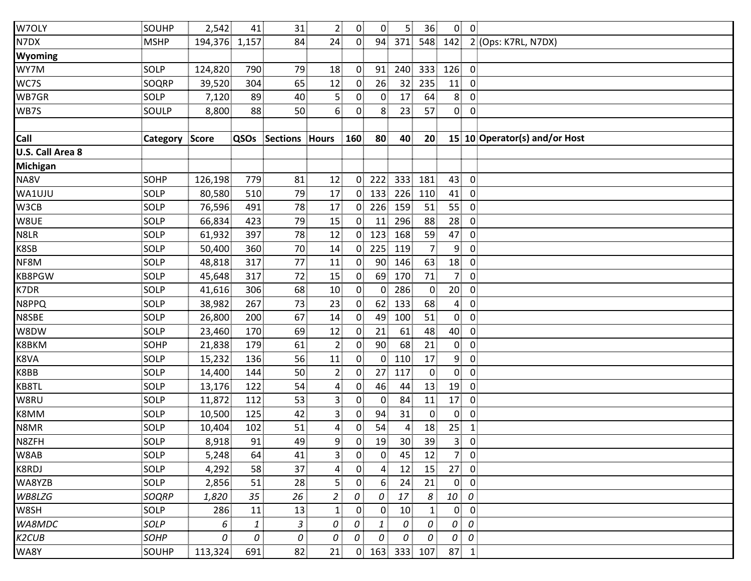| W7OLY            | SOUHP          | 2,542         | 41   | 31              | $\overline{2}$          | 0 <sup>1</sup> | $\overline{0}$ | 5 <sup>1</sup>  | 36             |                | $0\ 0$         |                               |
|------------------|----------------|---------------|------|-----------------|-------------------------|----------------|----------------|-----------------|----------------|----------------|----------------|-------------------------------|
| N7DX             | <b>MSHP</b>    | 194,376 1,157 |      | 84              | 24                      | $\overline{0}$ | 94             | 371             |                | 548 142        |                | 2 (Ops: K7RL, N7DX)           |
| Wyoming          |                |               |      |                 |                         |                |                |                 |                |                |                |                               |
| WY7M             | SOLP           | 124,820       | 790  | 79              | 18                      | $\overline{0}$ | 91             | 240             | 333            | 126            | $\overline{0}$ |                               |
| WC7S             | SOQRP          | 39,520        | 304  | 65              | 12                      | $\mathbf{0}$   | 26             | 32 <sup>2</sup> | 235            | 11             | 0              |                               |
| WB7GR            | SOLP           | 7,120         | 89   | 40              | 5 <sub>1</sub>          | $\mathbf{0}$   | $\overline{0}$ | 17              | 64             | 8 <sup>1</sup> | $\overline{0}$ |                               |
| WB7S             | SOULP          | 8,800         | 88   | 50              | 6 <sup>1</sup>          | $\mathbf{0}$   | 8 <sup>3</sup> | 23              | 57             | $\overline{0}$ | $\overline{0}$ |                               |
|                  |                |               |      |                 |                         |                |                |                 |                |                |                |                               |
| Call             | Category Score |               | QSOs | Sections Hours  |                         | 160            | 80             | 40              | 20             |                |                | 15 10 Operator(s) and/or Host |
| U.S. Call Area 8 |                |               |      |                 |                         |                |                |                 |                |                |                |                               |
| <b>Michigan</b>  |                |               |      |                 |                         |                |                |                 |                |                |                |                               |
| NA8V             | <b>SOHP</b>    | 126,198       | 779  | 81              | 12                      | 0              | 222            | 333             | 181            | 43             | $\mathbf 0$    |                               |
| WA1UJU           | SOLP           | 80,580        | 510  | 79              | 17                      | 0 <sup>1</sup> | 133            | 226             | 110            | 41             | $\overline{0}$ |                               |
| W3CB             | SOLP           | 76,596        | 491  | 78              | 17                      | 0              | 226            | 159             | 51             | 55             | $\overline{0}$ |                               |
| W8UE             | SOLP           | 66,834        | 423  | 79              | 15                      | $\mathbf{0}$   | 11             | 296             | 88             | 28             | $\overline{0}$ |                               |
| N8LR             | SOLP           | 61,932        | 397  | 78              | 12                      | 0 <sup>1</sup> | 123            | 168             | 59             | 47             | $\overline{0}$ |                               |
| K8SB             | SOLP           | 50,400        | 360  | 70 <sup>1</sup> | 14                      | $\overline{0}$ | 225            | 119             | 7 <sup>1</sup> | 9              | $\mathbf 0$    |                               |
| NF8M             | SOLP           | 48,818        | 317  | 77              | 11                      | 0              | $90^{\circ}$   | 146             | 63             | 18             | $\overline{0}$ |                               |
| <b>KB8PGW</b>    | SOLP           | 45,648        | 317  | 72              | 15                      | $\mathbf{0}$   | 69             | 170             | 71             | 7 <sup>1</sup> | $\overline{0}$ |                               |
| K7DR             | SOLP           | 41,616        | 306  | 68              | 10                      | 0              | $\overline{0}$ | 286             | $\mathbf{0}$   | 20             | $\overline{0}$ |                               |
| N8PPQ            | SOLP           | 38,982        | 267  | 73              | 23                      | $\overline{0}$ | 62             | 133             | 68             | $\overline{4}$ | $\overline{0}$ |                               |
| N8SBE            | SOLP           | 26,800        | 200  | 67              | 14                      | $\overline{0}$ | 49             | 100             | 51             | $\overline{0}$ | $\overline{0}$ |                               |
| W8DW             | SOLP           | 23,460        | 170  | 69              | 12                      | $\overline{0}$ | 21             | 61              | 48             | 40             | $\overline{0}$ |                               |
| K8BKM            | <b>SOHP</b>    | 21,838        | 179  | 61              | 2                       | $\overline{0}$ | 90             | 68              | 21             | $\overline{0}$ | $\mathbf 0$    |                               |
| K8VA             | SOLP           | 15,232        | 136  | 56              | 11                      | 0              | 0 <sup>1</sup> | 110             | 17             | 9 <sub>1</sub> | $\overline{0}$ |                               |
| K8BB             | SOLP           | 14,400        | 144  | 50              | $\overline{2}$          | $\mathbf{0}$   | 27             | 117             | $\mathbf{0}$   | $\overline{0}$ | $\mathbf 0$    |                               |
| KB8TL            | SOLP           | 13,176        | 122  | 54              | $\overline{\mathbf{r}}$ | 0              | 46             | 44              | 13             | 19             | $\overline{0}$ |                               |
| W8RU             | SOLP           | 11,872        | 112  | 53              | $\overline{3}$          | 0              | 0              | 84              | 11             | 17             | $\overline{0}$ |                               |
| K8MM             | SOLP           | 10,500        | 125  | 42              | 3                       | $\mathbf{0}$   | 94             | 31              | $\mathbf{0}$   | $\overline{0}$ | $\mathbf 0$    |                               |
| N8MR             | SOLP           | 10,404        | 102  | 51              | 4                       | $\mathbf{0}$   | 54             | 4               | 18             | 25             | $\mathbf{1}$   |                               |
| N8ZFH            | SOLP           | 8,918         | 91   | 49              | 9                       | 0              | 19             | 30 <sup>1</sup> | 39             | 3 <sup>1</sup> | $\overline{0}$ |                               |
| W8AB             | SOLP           | 5,248         | 64   | 41              | $\overline{3}$          | $\overline{0}$ | $\overline{0}$ | 45              | 12             | 7 <sup>1</sup> | $\overline{0}$ |                               |
| K8RDJ            | SOLP           | 4,292         | 58   | 37              | 4                       | 0              | 4              | 12              | 15             | 27             | $\overline{0}$ |                               |
| WA8YZB           | SOLP           | 2,856         | 51   | 28              | $\overline{5}$          | $\overline{0}$ | 6              | 24              | 21             | $\mathbf{0}$   | $\overline{0}$ |                               |
| WB8LZG           | SOQRP          | 1,820         | 35   | 26              | $\overline{a}$          | 0              | 0              | 17              | 8              | 10             | 0              |                               |
| W8SH             | SOLP           | 286           | 11   | 13              | $\mathbf{1}$            | $\mathbf{0}$   | $\mathbf{0}$   | 10              | $\mathbf{1}$   | $\mathbf{0}$   | $\mathbf 0$    |                               |
| WA8MDC           | SOLP           | 6             | 1    | 3               | 0                       | 0              | $\mathbf{1}$   | 0               | 0              | 0              | 0              |                               |
| K2CUB            | SOHP           | 0             | 0    | 0               | 0                       | 0              | 0              | 0               | 0              | 0              | 0              |                               |
| WA8Y             | SOUHP          | 113,324       | 691  | 82              | 21                      | 0 <sup>1</sup> | 163            | 333             | 107            | 87             | $\overline{1}$ |                               |
|                  |                |               |      |                 |                         |                |                |                 |                |                |                |                               |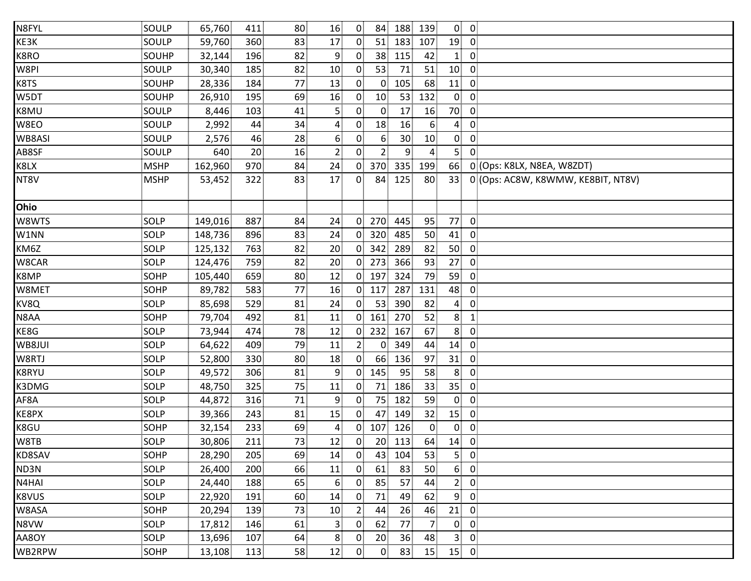| N8FYL  | SOULP       | 65,760  | 411             | 80 <sub>1</sub> | 16             | $\overline{0}$ | 84              | 188 | 139             | $0 \quad 0$     |                  |                                    |
|--------|-------------|---------|-----------------|-----------------|----------------|----------------|-----------------|-----|-----------------|-----------------|------------------|------------------------------------|
| KE3K   | SOULP       | 59,760  | 360             | 83              | 17             | $\overline{0}$ | 51              | 183 | 107             | 19              | $\overline{0}$   |                                    |
| K8RO   | SOUHP       | 32,144  | 196             | 82              | 9.             | $\overline{0}$ | 38 <sup>1</sup> | 115 | 42              | $1^{\circ}$     | $\mathbf{0}$     |                                    |
| W8PI   | SOULP       | 30,340  | 185             | 82              | 10             | $\mathbf{0}$   | 53              | 71  | 51              | 10              | $\overline{0}$   |                                    |
| K8TS   | SOUHP       | 28,336  | 184             | 77              | 13             | $\mathbf{0}$   | $\mathbf{0}$    | 105 | 68              | 11              | $\mathbf{0}$     |                                    |
| W5DT   | SOUHP       | 26,910  | 195             | 69              | 16             | $\overline{0}$ | 10              | 53  | 132             | $\mathbf{0}$    | $\overline{0}$   |                                    |
| K8MU   | SOULP       | 8,446   | 103             | 41              | 5 <sup>1</sup> | $\mathbf{0}$   | $\mathbf{0}$    | 17  | 16              | 70              | $\overline{0}$   |                                    |
| W8EO   | SOULP       | 2,992   | 44              | 34              | $\overline{a}$ | $\mathbf{0}$   | 18              | 16  | 6               | $\overline{4}$  | $\overline{0}$   |                                    |
| WB8ASI | SOULP       | 2,576   | 46              | 28              | 6 <sup>1</sup> | $\mathbf{0}$   | 6 <sup>1</sup>  | 30  | 10              | $\overline{0}$  | $\overline{0}$   |                                    |
| AB8SF  | SOULP       | 640     | 20 <sup>2</sup> | 16              | 2              | $0^{\circ}$    | $\mathbf{2}$    | 9.  | 4               | $\overline{5}$  | $\mathbf{0}$     |                                    |
| K8LX   | <b>MSHP</b> | 162,960 | 970             | 84              | 24             | $\overline{0}$ | 370             | 335 | 199             | 66              |                  | 0 (Ops: K8LX, N8EA, W8ZDT)         |
| NT8V   | <b>MSHP</b> | 53,452  | 322             | 83              | 17             | 0              | 84              | 125 | 80              | 33              |                  | 0 (Ops: AC8W, K8WMW, KE8BIT, NT8V) |
| Ohio   |             |         |                 |                 |                |                |                 |     |                 |                 |                  |                                    |
| W8WTS  | SOLP        | 149,016 | 887             | 84              | 24             | $\mathbf{0}$   | 270             | 445 | 95              | 77              | $\overline{0}$   |                                    |
| W1NN   | SOLP        | 148,736 | 896             | 83              | 24             | $\mathbf{0}$   | 320             | 485 | 50              | 41              | $\overline{0}$   |                                    |
| KM6Z   | SOLP        | 125,132 | 763             | 82              | 20             | $\mathbf{0}$   | 342             | 289 | 82              | 50              | $\overline{0}$   |                                    |
| W8CAR  | <b>SOLP</b> | 124,476 | 759             | 82              | 20             | $\overline{0}$ | 273             | 366 | 93              | 27              | $\overline{0}$   |                                    |
| K8MP   | SOHP        | 105,440 | 659             | 80              | 12             | $\overline{0}$ | 197             | 324 | 79              | 59              | $\overline{0}$   |                                    |
| W8MET  | SOHP        | 89,782  | 583             | 77              | 16             | 0 <sub>1</sub> | 117             | 287 | 131             | 48              | $\overline{0}$   |                                    |
| KV8Q   | SOLP        | 85,698  | 529             | 81              | 24             | $\overline{0}$ | 53              | 390 | 82              | $\overline{4}$  | $\overline{0}$   |                                    |
| N8AA   | <b>SOHP</b> | 79,704  | 492             | 81              | 11             | $\mathbf{0}$   | 161             | 270 | 52              | 8               | $\mathbf{1}$     |                                    |
| KE8G   | SOLP        | 73,944  | 474             | 78              | 12             | $\mathbf{0}$   | 232             | 167 | 67              | 8               | $\overline{0}$   |                                    |
| WB8JUI | <b>SOLP</b> | 64,622  | 409             | 79              | 11             | 2 <sub>1</sub> | $\overline{0}$  | 349 | 44              | 14              | $\overline{0}$   |                                    |
| W8RTJ  | SOLP        | 52,800  | 330             | 80              | 18             | $\overline{0}$ | 66              | 136 | 97              | 31              | $\overline{0}$   |                                    |
| K8RYU  | SOLP        | 49,572  | 306             | 81              | $\overline{9}$ | 0 <sup>1</sup> | 145             | 95  | 58              | 8 <sub>1</sub>  | $\overline{0}$   |                                    |
| K3DMG  | SOLP        | 48,750  | 325             | 75              | 11             | $\mathbf{0}$   | 71              | 186 | 33              | 35 <sub>1</sub> | $\overline{0}$   |                                    |
| AF8A   | SOLP        | 44,872  | 316             | 71              | 9              | $\mathbf{0}$   | 75              | 182 | 59              | $\overline{0}$  | $\overline{0}$   |                                    |
| KE8PX  | SOLP        | 39,366  | 243             | 81              | 15             | $\mathbf{0}$   | 47              | 149 | 32 <sub>3</sub> | 15              | $\mathbf{0}$     |                                    |
| K8GU   | SOHP        | 32,154  | 233             | 69              | $\overline{a}$ | $\overline{0}$ | 107             | 126 | $\overline{0}$  | $\mathbf{0}$    | $\overline{0}$   |                                    |
| W8TB   | SOLP        | 30,806  | 211             | 73              | 12             | $\overline{0}$ | 20 <sub>1</sub> | 113 | 64              | 14              | $\mathbf 0$      |                                    |
| KD8SAV | SOHP        | 28,290  | 205             | 69              | 14             | $\mathbf{0}$   | 43              | 104 | 53              | 5 <sup>1</sup>  | $\overline{0}$   |                                    |
| ND3N   | SOLP        | 26,400  | 200             | 66              | 11             | $\mathbf{0}$   | 61              | 83  | 50              | 6 <sub>1</sub>  | $\overline{0}$   |                                    |
| N4HAI  | <b>SOLP</b> | 24,440  | 188             | 65              | 6              | $\mathbf{0}$   | 85              | 57  | 44              | 2 <sub>1</sub>  | $\mathbf 0$      |                                    |
| K8VUS  | <b>SOLP</b> | 22,920  | 191             | 60              | 14             | 0.             | 71              | 49  | 62              | 9               | $\mathbf 0$      |                                    |
| W8ASA  | SOHP        | 20,294  | 139             | 73              | 10             | 2.             | 44              | 26  | 46              | 21              | $\boldsymbol{0}$ |                                    |
| N8VW   | SOLP        | 17,812  | 146             | 61              | 3              | $\mathbf{0}$   | 62              | 77  | 7               | $\mathbf{0}$    | $\mathbf 0$      |                                    |
| AA8OY  | <b>SOLP</b> | 13,696  | 107             | 64              | 8 <sup>1</sup> | 0.             | 20              | 36  | 48              | $\mathbf{3}$    | $\overline{0}$   |                                    |
| WB2RPW | SOHP        | 13,108  | 113             | 58              | 12             | $\overline{0}$ | $\overline{0}$  | 83  | 15              | $15$ 0          |                  |                                    |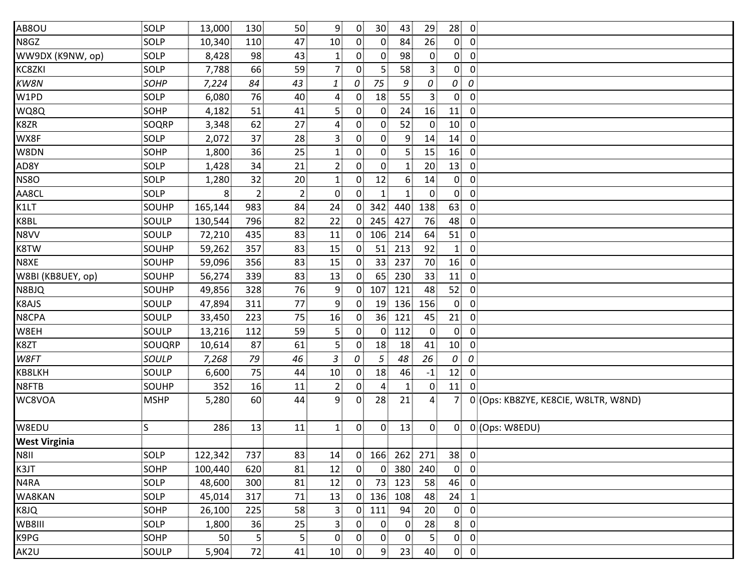| AB8OU                | SOLP        | 13,000            | 130            | 50              | $\overline{9}$          | $\overline{0}$ | 30 <sup>1</sup> | 43             | 29                      | 28               | $\overline{0}$          |                                      |
|----------------------|-------------|-------------------|----------------|-----------------|-------------------------|----------------|-----------------|----------------|-------------------------|------------------|-------------------------|--------------------------------------|
| N8GZ                 | SOLP        | 10,340            | 110            | 47              | 10 <sub>1</sub>         | $\overline{0}$ | $\overline{0}$  | 84             | 26                      | $\mathbf{0}$     | $\overline{0}$          |                                      |
| WW9DX (K9NW, op)     | SOLP        | 8,428             | 98             | 43              | $\mathbf{1}$            | 0              | $\overline{0}$  | 98             | $\overline{0}$          | 0 <sup>1</sup>   | $\overline{0}$          |                                      |
| KC8ZKI               | SOLP        | 7,788             | 66             | 59              | $\overline{7}$          | $\mathbf{0}$   | 5 <sub>1</sub>  | 58             | 3 <sup>1</sup>          | $\mathbf{0}$     | $\overline{0}$          |                                      |
| KW8N                 | <b>SOHP</b> | 7,224             | 84             | 43              | 1                       | 0              | 75              | 9              | 0                       | 0                | 0                       |                                      |
| W1PD                 | SOLP        | 6,080             | 76             | 40              | $\overline{\mathbf{r}}$ | 0 <sup>1</sup> | 18              | 55             | 3 <sup>1</sup>          | $\overline{0}$   | $\overline{0}$          |                                      |
| WQ8Q                 | <b>SOHP</b> | 4,182             | 51             | 41              | 5                       | $\mathbf{0}$   | $\overline{0}$  | 24             | 16                      | 11               | $\overline{0}$          |                                      |
| K8ZR                 | SOQRP       | 3,348             | 62             | 27              | $\overline{4}$          | $\mathbf{0}$   | $\overline{0}$  | 52             | $\overline{0}$          | 10 <sup>1</sup>  | $\overline{0}$          |                                      |
| WX8F                 | SOLP        | 2,072             | 37             | 28              | 3 <sup>1</sup>          | $\overline{0}$ | $\overline{0}$  | 9              | 14                      | 14               | $\overline{0}$          |                                      |
| W8DN                 | <b>SOHP</b> | 1,800             | 36             | 25              | $\mathbf{1}$            | $\overline{0}$ | $\overline{0}$  | 5.             | 15                      | 16               | $\overline{0}$          |                                      |
| AD8Y                 | SOLP        | 1,428             | 34             | 21              | $\overline{2}$          | 0              | $\overline{0}$  | 1              | 20 <sub>2</sub>         | 13               | $\overline{0}$          |                                      |
| <b>NS80</b>          | SOLP        | 1,280             | 32             | 20 <sub>1</sub> | $\mathbf{1}$            | $\mathbf{0}$   | 12              | 6              | 14                      | $\mathbf{0}$     | $\mathbf 0$             |                                      |
| AA8CL                | SOLP        | $8^{\frac{1}{2}}$ | $\overline{2}$ | 2 <sub>1</sub>  | $\overline{0}$          | 0 <sup>1</sup> | 1 <sup>3</sup>  | 1 <sup>1</sup> | $\overline{0}$          | $\overline{0}$   | $\mathbf 0$             |                                      |
| K1LT                 | SOUHP       | 165,144           | 983            | 84              | 24                      | $\overline{0}$ | 342             | 440            | 138                     | 63               | $\overline{0}$          |                                      |
| K8BL                 | SOULP       | 130,544           | 796            | 82              | 22                      | $\overline{0}$ | 245             | 427            | 76                      | 48               | $\overline{0}$          |                                      |
| N8VV                 | SOULP       | 72,210            | 435            | 83              | 11                      | 0 <sup>1</sup> | 106             | 214            | 64                      | 51               | $\overline{0}$          |                                      |
| K8TW                 | SOUHP       | 59,262            | 357            | 83              | 15                      | $\overline{0}$ | 51              | 213            | 92                      | $\mathbf{1}$     | $\overline{0}$          |                                      |
| N8XE                 | SOUHP       | 59,096            | 356            | 83              | 15                      | $\overline{0}$ | 33 <sup>1</sup> | 237            | 70                      | 16               | $\overline{0}$          |                                      |
| W8BI (KB8UEY, op)    | SOUHP       | 56,274            | 339            | 83              | 13                      | $\mathbf{0}$   | 65              | 230            | 33                      | 11               | $\mathbf 0$             |                                      |
| N8BJQ                | SOUHP       | 49,856            | 328            | 76              | 9                       | $\overline{0}$ | 107             | 121            | 48                      | 52               | $\overline{0}$          |                                      |
| K8AJS                | SOULP       | 47,894            | 311            | 77              | 9                       | $\mathbf{0}$   | 19              | 136            | 156                     | $\mathbf{0}$     | $\overline{0}$          |                                      |
| N8CPA                | SOULP       | 33,450            | 223            | 75              | 16                      | $\mathbf{0}$   | 36 <sup>2</sup> | 121            | 45                      | 21               | $\overline{0}$          |                                      |
| W8EH                 | SOULP       | 13,216            | 112            | 59              | 5                       | 0              | 0 <sup>1</sup>  | 112            | $\overline{0}$          | $\overline{0}$   | $\overline{0}$          |                                      |
| K8ZT                 | SOUQRP      | 10,614            | 87             | 61              | 5                       | $\overline{0}$ | 18              | 18             | 41                      | 10 <sub>1</sub>  | $\overline{0}$          |                                      |
| W8FT                 | SOULP       | 7,268             | 79             | 46              | 3                       | 0              | 5 <sup>1</sup>  | 48             | 26                      | $\boldsymbol{0}$ | 0                       |                                      |
| KB8LKH               | SOULP       | 6,600             | 75             | 44              | 10                      | $\mathbf{0}$   | 18              | 46             | $-1$                    | 12               | $\overline{0}$          |                                      |
| N8FTB                | SOUHP       | 352               | 16             | 11              | $\overline{2}$          | 0 <sup>1</sup> | $\overline{4}$  | 1 <sup>1</sup> | $\overline{0}$          | 11               | $\overline{0}$          |                                      |
| WC8VOA               | <b>MSHP</b> | 5,280             | 60             | 44              | $\overline{9}$          | 0 <sup>1</sup> | 28              | 21             | $\overline{4}$          | 7 <sup>1</sup>   |                         | 0 (Ops: KB8ZYE, KE8CIE, W8LTR, W8ND) |
| W8EDU                | S           | 286               | 13             | 11              | 1 <sup>1</sup>          | $\overline{0}$ | 0               | 13             | $\overline{0}$          | $\mathbf{0}$     |                         | 0 (Ops: W8EDU)                       |
| <b>West Virginia</b> |             |                   |                |                 |                         |                |                 |                |                         |                  |                         |                                      |
| N811                 | SOLP        | 122,342           | 737            | 83              | 14                      | $\overline{0}$ | 166             | 262            | 271                     | 38               | $\overline{0}$          |                                      |
| K3JT                 | SOHP        | 100,440           | 620            | 81              | 12                      | $\overline{0}$ | $\overline{0}$  | 380            | 240                     | $\mathbf{0}$     | $\overline{0}$          |                                      |
| N4RA                 | SOLP        | 48,600            | 300            | 81              | 12                      | $\overline{0}$ | 73              | 123            | 58                      | 46               | $\overline{0}$          |                                      |
| WA8KAN               | SOLP        | 45,014            | 317            | 71              | 13                      | $\overline{0}$ | 136             | 108            | 48                      | 24               | $\mathbf{1}$            |                                      |
| K8JQ                 | SOHP        | 26,100            | 225            | 58              | $\overline{3}$          | $\overline{0}$ | 111             | 94             | 20 <sub>1</sub>         | $\overline{0}$   | $\mathbf{0}$            |                                      |
| WB8III               | SOLP        | 1,800             | 36             | 25              | $\overline{3}$          | 0 <sup>1</sup> | $\mathbf{0}$    | $\mathbf{0}$   | 28                      | 8 <sup>1</sup>   | $\mathbf 0$             |                                      |
| K9PG                 | SOHP        | 50                | 5              | 5               | $\mathbf 0$             | 0              | $\overline{0}$  | $\mathbf{0}$   | $\overline{\mathbf{5}}$ | $\overline{0}$   | $\mathbf 0$             |                                      |
| AK2U                 | SOULP       | 5,904             | 72             | 41              | 10 <sup>1</sup>         | $\overline{0}$ | 9               | 23             | 40                      | $\overline{0}$   | $\overline{\mathbf{0}}$ |                                      |
|                      |             |                   |                |                 |                         |                |                 |                |                         |                  |                         |                                      |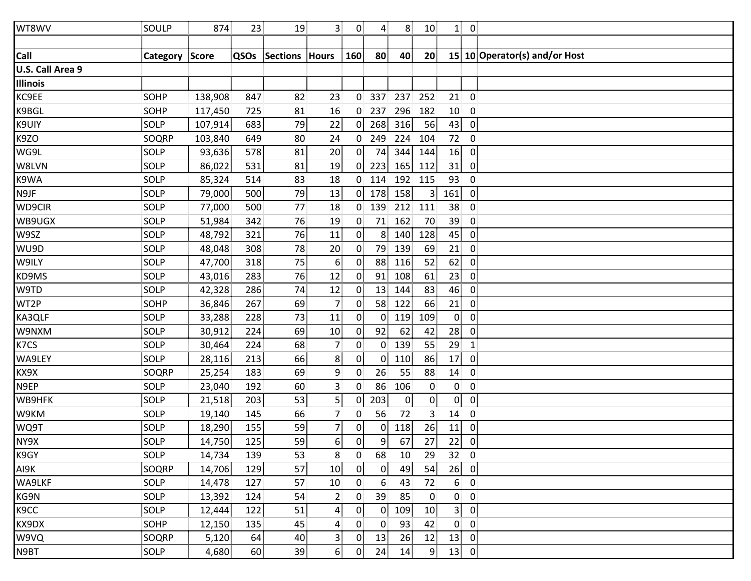| WT8WV             | SOULP          | 874     | 23   | 19             | 3 <sup>1</sup>  | $\overline{0}$ | 4               | 8 <sup>1</sup> | 10              | $\mathbf{1}$    | $\overline{0}$                |
|-------------------|----------------|---------|------|----------------|-----------------|----------------|-----------------|----------------|-----------------|-----------------|-------------------------------|
|                   |                |         |      |                |                 |                |                 |                |                 |                 |                               |
| Call              | Category Score |         | QSOs | Sections Hours |                 | 160            | 80 <sup>3</sup> | 40             | 20 <sub>2</sub> |                 | 15 10 Operator(s) and/or Host |
| U.S. Call Area 9  |                |         |      |                |                 |                |                 |                |                 |                 |                               |
| <b>Illinois</b>   |                |         |      |                |                 |                |                 |                |                 |                 |                               |
| KC9EE             | SOHP           | 138,908 | 847  | 82             | 23              | $\overline{0}$ | 337             | 237            | 252             | 21              | $\overline{0}$                |
| K9BGL             | <b>SOHP</b>    | 117,450 | 725  | 81             | 16              | $\overline{0}$ | 237             | 296            | 182             | 10              | $\overline{0}$                |
| K9UIY             | SOLP           | 107,914 | 683  | 79             | 22              | 0 <sub>1</sub> | 268             | 316            | 56              | 43              | $\overline{0}$                |
| K9ZO              | SOQRP          | 103,840 | 649  | 80             | 24              | $\overline{0}$ | 249             | 224            | 104             | 72              | $\overline{0}$                |
| WG9L              | SOLP           | 93,636  | 578  | 81             | 20              | $\overline{0}$ | 74              | 344            | 144             | 16              | $\mathbf 0$                   |
| W8LVN             | SOLP           | 86,022  | 531  | 81             | 19              | $\mathbf{0}$   | 223             | 165            | 112             | 31              | $\overline{0}$                |
| K9WA              | SOLP           | 85,324  | 514  | 83             | 18              | $\overline{0}$ | 114             | 192            | 115             | 93              | $\mathbf 0$                   |
| N9JF              | SOLP           | 79,000  | 500  | 79             | 13              | $\overline{0}$ | 178             | 158            | $\overline{3}$  | 161             | $\overline{0}$                |
| WD9CIR            | SOLP           | 77,000  | 500  | 77             | 18              | 0 <sup>1</sup> | 139             | 212            | 111             | 38              | $\overline{0}$                |
| WB9UGX            | SOLP           | 51,984  | 342  | 76             | 19              | $\mathbf{0}$   | 71              | 162            | 70              | 39              | $\overline{0}$                |
| W9SZ              | SOLP           | 48,792  | 321  | 76             | 11              | 0 <sup>1</sup> | 8 <sup>1</sup>  | 140            | 128             | 45              | $\mathbf 0$                   |
| WU9D              | SOLP           | 48,048  | 308  | 78             | 20 <sub>2</sub> | $\mathbf{0}$   | 79              | 139            | 69              | 21              | $\overline{0}$                |
| W9ILY             | SOLP           | 47,700  | 318  | 75             | 6               | $\mathbf{0}$   | 88              | 116            | 52              | 62              | $\overline{0}$                |
| KD9MS             | SOLP           | 43,016  | 283  | 76             | 12              | $\mathbf{0}$   | 91              | 108            | 61              | 23              | $\overline{0}$                |
| W9TD              | SOLP           | 42,328  | 286  | 74             | 12              | $\mathbf{0}$   | 13              | 144            | 83              | 46              | $\overline{0}$                |
| WT2P              | SOHP           | 36,846  | 267  | 69             | 7 <sup>1</sup>  | $\mathbf{0}$   | 58              | 122            | 66              | 21              | $\overline{0}$                |
| KA3QLF            | SOLP           | 33,288  | 228  | 73             | 11              | $\overline{0}$ | $\mathbf{0}$    | 119            | 109             | $\overline{0}$  | $\overline{0}$                |
| W9NXM             | SOLP           | 30,912  | 224  | 69             | 10              | $\mathbf{0}$   | 92              | 62             | 42              | 28              | $\overline{0}$                |
| K7CS              | SOLP           | 30,464  | 224  | 68             | 7 <sub>1</sub>  | 0              | $\mathbf{0}$    | 139            | 55              | 29              | $\mathbf{1}$                  |
| WA9LEY            | SOLP           | 28,116  | 213  | 66             | 8               | $\mathbf{0}$   | 0               | 110            | 86              | 17              | $\mathbf 0$                   |
| KX9X              | SOQRP          | 25,254  | 183  | 69             | 9               | $\overline{0}$ | 26              | 55             | 88              | 14              | $\overline{0}$                |
| N9EP              | SOLP           | 23,040  | 192  | 60             | $\mathbf{3}$    | 0 <sup>1</sup> | 86              | 106            | $\mathbf{0}$    | $\overline{0}$  | $\overline{0}$                |
| WB9HFK            | SOLP           | 21,518  | 203  | 53             | $\overline{5}$  | $\mathbf{0}$   | 203             | $\mathbf{0}$   | $\mathbf{0}$    | $\overline{0}$  | $\overline{0}$                |
| W9KM              | SOLP           | 19,140  | 145  | 66             | $\overline{7}$  | $\mathbf{0}$   | 56              | 72             | 3               | 14              | $\mathbf 0$                   |
| WQ9T              | SOLP           | 18,290  | 155  | 59             | $\overline{7}$  | $\overline{0}$ | 0               | 118            | 26              | 11              | $\overline{0}$                |
| NY9X              | SOLP           | 14,750  | 125  | 59             | 6 <sup>1</sup>  | $\overline{0}$ | 9               | 67             | 27              | 22              | $\overline{0}$                |
| K9GY              | SOLP           | 14,734  | 139  | 53             | 8               | $\overline{0}$ | 68              | 10             | 29              | 32 <sub>1</sub> | $\overline{0}$                |
| AI9K              | SOQRP          | 14,706  | 129  | 57             | 10              | $\overline{0}$ | $\overline{0}$  | 49             | 54              | 26              | $\overline{0}$                |
| WA9LKF            | SOLP           | 14,478  | 127  | 57             | 10              | $\mathbf{0}$   | 6 <sup>1</sup>  | 43             | 72              | 6 <sup>1</sup>  | $\overline{0}$                |
| KG9N              | SOLP           | 13,392  | 124  | 54             | $\overline{2}$  | $\mathbf{0}$   | 39              | 85             | $\mathbf 0$     | $\overline{0}$  | $\overline{0}$                |
| K <sub>9</sub> CC | SOLP           | 12,444  | 122  | 51             | $\mathbf{4}$    | $\mathbf{0}$   | $\overline{0}$  | 109            | 10              | 3 <sup>1</sup>  | $\mathbf{0}$                  |
| KX9DX             | SOHP           | 12,150  | 135  | 45             | $\overline{a}$  | $\overline{0}$ | $\overline{0}$  | 93             | 42              | $\overline{0}$  | $\mathbf 0$                   |
| W9VQ              | SOQRP          | 5,120   | 64   | 40             | 3 <sup>1</sup>  | $\mathbf{0}$   | 13              | 26             | 12              | 13              | $\overline{0}$                |
| N9BT              | SOLP           | 4,680   | 60   | 39             | 6 <sup>3</sup>  | $\overline{0}$ | 24              | 14             | 9               |                 | $13$ 0                        |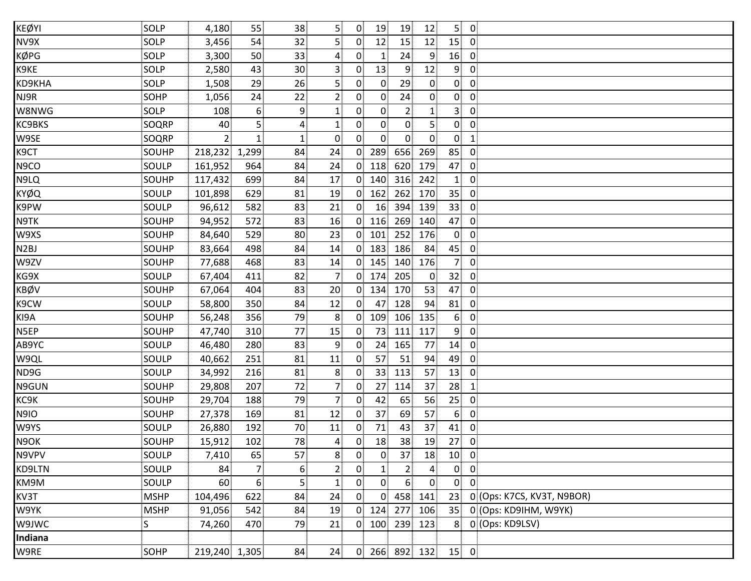| KEØYI             | SOLP        | 4,180          | 55               | 38              | 5              | $\overline{0}$ | 19              | 19             | 12             | 5 <sup>1</sup>  | $\overline{\mathbf{0}}$    |
|-------------------|-------------|----------------|------------------|-----------------|----------------|----------------|-----------------|----------------|----------------|-----------------|----------------------------|
| NV9X              | SOLP        | 3,456          | 54               | 32              | 5              | $\overline{0}$ | 12              | 15             | 12             | 15              | $\overline{\mathbf{0}}$    |
| KØPG              | SOLP        | 3,300          | 50               | 33 <sup>3</sup> | $\overline{4}$ | $\mathbf{0}$   | $\mathbf{1}$    | 24             | $\overline{9}$ | 16              | $\overline{0}$             |
| K9KE              | SOLP        | 2,580          | 43               | 30 <sup>3</sup> | 3 <sup>1</sup> | $\overline{0}$ | 13              | 9              | 12             | 9 <sub>1</sub>  | $\overline{0}$             |
| KD9KHA            | SOLP        | 1,508          | 29               | 26              | 5 <sup>1</sup> | $\mathbf{0}$   | $\overline{0}$  | 29             | $\overline{0}$ | $\overline{0}$  | $\mathbf 0$                |
| NJ9R              | SOHP        | 1,056          | 24               | 22              | $\overline{2}$ | $\overline{0}$ | $\overline{0}$  | 24             | $\overline{0}$ | $\overline{0}$  | $\overline{0}$             |
| W8NWG             | SOLP        | 108            | $6 \overline{6}$ | 9               | $\mathbf{1}$   | $\overline{0}$ | $\overline{0}$  | $\mathbf{2}$   | $\mathbf{1}$   | 3               | $\overline{0}$             |
| KC9BKS            | SOQRP       | 40             | 5 <sub>1</sub>   | 4 <sup>3</sup>  | $\mathbf{1}$   | $\overline{0}$ | 0               | $\overline{0}$ | 5 <sup>1</sup> | $\overline{0}$  | $\overline{0}$             |
| W9SE              | SOQRP       | 2 <sup>1</sup> | $\mathbf{1}$     | $1\overline{1}$ | $\overline{0}$ | 0              | 0               | $\overline{0}$ | $\overline{0}$ | $\overline{0}$  | $\mathbf{1}$               |
| K <sub>9</sub> CT | SOUHP       | 218,232        | 1,299            | 84              | 24             | $\overline{0}$ | 289             | 656            | 269            | 85              | $\overline{0}$             |
| N9CO              | SOULP       | 161,952        | 964              | 84              | 24             | 0              | 118             | 620            | 179            | 47              | $\overline{0}$             |
| N9LQ              | SOUHP       | 117,432        | 699              | 84              | 17             | $\overline{0}$ | 140             | 316            | 242            | 1 <sub>1</sub>  | $\mathbf 0$                |
| KYØQ              | SOULP       | 101,898        | 629              | 81              | 19             | $\overline{0}$ | 162             | 262            | 170            | 35 <sub>1</sub> | $\overline{0}$             |
| K9PW              | SOULP       | 96,612         | 582              | 83              | 21             | $\overline{0}$ | 16              | 394            | 139            | 33              | $\overline{0}$             |
| N9TK              | SOUHP       | 94,952         | 572              | 83              | 16             | $\overline{0}$ | 116             | 269            | 140            | 47              | $\overline{0}$             |
| W9XS              | SOUHP       | 84,640         | 529              | 80              | 23             | 0 <sup>1</sup> | 101             | 252            | 176            | $\overline{0}$  | $\overline{0}$             |
| N <sub>2</sub> BJ | SOUHP       | 83,664         | 498              | 84              | 14             | $\overline{0}$ | 183             | 186            | 84             | 45              | $\overline{0}$             |
| W9ZV              | SOUHP       | 77,688         | 468              | 83              | 14             | $\overline{0}$ | 145             | 140            | 176            | 7 <sup>1</sup>  | $\mathbf 0$                |
| KG9X              | SOULP       | 67,404         | 411              | 82              | $\overline{7}$ | $\overline{0}$ | 174             | 205            | $\mathbf{0}$   | 32 <sub>1</sub> | $\mathbf 0$                |
| KBØV              | SOUHP       | 67,064         | 404              | 83              | 20             | $\overline{0}$ | 134             | 170            | 53             | 47              | $\overline{0}$             |
| K9CW              | SOULP       | 58,800         | 350              | 84              | 12             | $\overline{0}$ | 47              | 128            | 94             | 81              | $\overline{0}$             |
| KI9A              | SOUHP       | 56,248         | 356              | 79              | 8              | $\mathbf{0}$   | 109             | 106            | 135            | 6 <sup>1</sup>  | $\mathbf 0$                |
| N5EP              | SOUHP       | 47,740         | 310              | 77              | 15             | 0              | 73              | 111            | 117            | 9 <sub>1</sub>  | $\overline{0}$             |
| AB9YC             | SOULP       | 46,480         | 280              | 83              | 9              | $\overline{0}$ | 24              | 165            | 77             | 14              | $\overline{0}$             |
| W9QL              | SOULP       | 40,662         | 251              | 81              | 11             | 0 <sup>1</sup> | 57              | 51             | 94             | 49              | $\overline{0}$             |
| ND9G              | SOULP       | 34,992         | 216              | 81              | 8              | $\mathbf{0}$   | 33 <sup>1</sup> | 113            | 57             | 13              | $\overline{0}$             |
| N9GUN             | SOUHP       | 29,808         | 207              | 72              | $\overline{7}$ | $\overline{0}$ | 27              | 114            | 37             | 28              | $\mathbf{1}$               |
| KC9K              | SOUHP       | 29,704         | 188              | 79              | 7 <sup>1</sup> | $\mathbf{0}$   | 42              | 65             | 56             | 25              | $\overline{0}$             |
| N9IO              | SOUHP       | 27,378         | 169              | 81              | 12             | $\overline{0}$ | 37              | 69             | 57             | 6 <sup>1</sup>  | $\mathbf{0}$               |
| W9YS              | SOULP       | 26,880         | 192              | 70              | 11             | $\mathbf{0}$   | 71              | 43             | 37             | 41              | 0                          |
| N9OK              | SOUHP       | 15,912         | 102              | 78              | $\overline{4}$ | $0^{\circ}$    | 18              | 38             | 19             | 27              | $\overline{0}$             |
| N9VPV             | SOULP       | 7,410          | 65               | 57              | 8              | $\overline{0}$ | $\overline{0}$  | 37             | 18             | 10 <sup>1</sup> | $\overline{0}$             |
| KD9LTN            | SOULP       | 84             | 7 <sup>1</sup>   | 6 <sub>1</sub>  | $\overline{2}$ | $\overline{0}$ | $\mathbf{1}$    | $\overline{2}$ | $\overline{4}$ | $\overline{0}$  | $\overline{0}$             |
| KM9M              | SOULP       | 60             | 6 <sup>1</sup>   | 5               | $\mathbf{1}$   | $\overline{0}$ | $\overline{0}$  | 6              | $\overline{0}$ | $\overline{0}$  | $\overline{0}$             |
| KV3T              | <b>MSHP</b> | 104,496        | 622              | 84              | 24             | $\overline{0}$ | $\overline{0}$  | 458            | 141            | 23              | 0 (Ops: K7CS, KV3T, N9BOR) |
| W9YK              | <b>MSHP</b> | 91,056         | 542              | 84              | 19             | $\overline{0}$ | 124             | 277            | 106            | 35 <sub>1</sub> | 0 (Ops: KD9IHM, W9YK)      |
| W9JWC             | S           | 74,260         | 470              | 79              | 21             | $\overline{0}$ | 100             | 239            | 123            | 8 <sup>1</sup>  | 0 (Ops: KD9LSV)            |
| Indiana           |             |                |                  |                 |                |                |                 |                |                |                 |                            |
| W9RE              | SOHP        | 219,240 1,305  |                  | 84              | 24             |                | 0 266 892 132   |                |                | $15$ 0          |                            |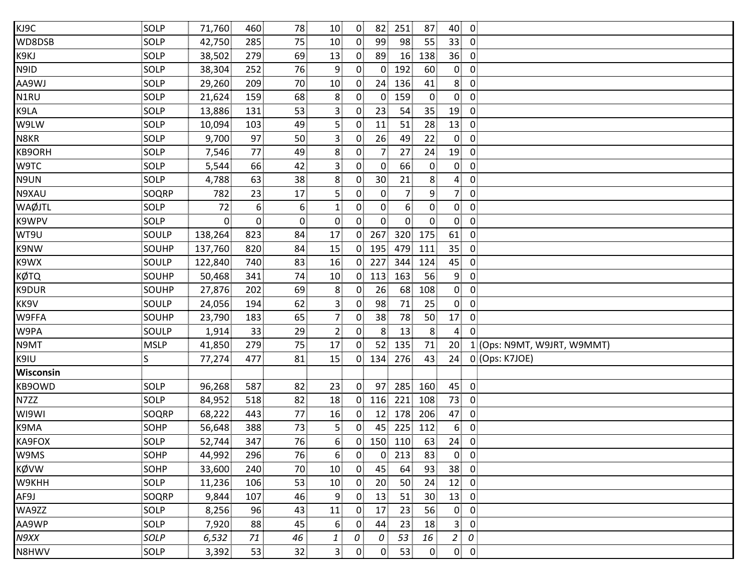| KJ9C        | SOLP         | 71,760         | 460            | 78             | 10                | $\overline{0}$ | 82              | 251            | 87             | 40             | $\overline{0}$              |
|-------------|--------------|----------------|----------------|----------------|-------------------|----------------|-----------------|----------------|----------------|----------------|-----------------------------|
| WD8DSB      | SOLP         | 42,750         | 285            | 75             | 10 <sub>1</sub>   | $\overline{0}$ | 99              | 98             | 55             | 33             | $\overline{0}$              |
| K9KJ        | SOLP         | 38,502         | 279            | 69             | 13                | $\mathbf{0}$   | 89              | 16             | 138            | 36             | $\mathbf 0$                 |
| N9ID        | SOLP         | 38,304         | 252            | 76             | $\overline{9}$    | $\mathbf{0}$   | $\mathbf{0}$    | 192            | 60             | $\overline{0}$ | $\mathbf 0$                 |
| AA9WJ       | SOLP         | 29,260         | 209            | 70             | 10                | $\mathbf{0}$   | 24              | 136            | 41             | 8              | $\mathbf 0$                 |
| N1RU        | SOLP         | 21,624         | 159            | 68             | 8                 | $\mathbf{0}$   | $\overline{0}$  | 159            | $\overline{0}$ | $\overline{0}$ | $\mathbf 0$                 |
| K9LA        | SOLP         | 13,886         | 131            | 53             | $\mathsf{3}$      | $\mathbf{0}$   | 23              | 54             | 35             | 19             | $\mathbf 0$                 |
| W9LW        | SOLP         | 10,094         | 103            | 49             | 5                 | $\mathbf{0}$   | 11              | 51             | 28             | 13             | $\mathbf 0$                 |
| N8KR        | SOLP         | 9,700          | 97             | 50             | $\overline{3}$    | $\mathbf{0}$   | 26              | 49             | 22             | $\mathbf{0}$   | $\mathbf 0$                 |
| KB9ORH      | SOLP         | 7,546          | 77             | 49             | 8                 | $\mathbf{0}$   | 7.              | 27             | 24             | 19             | $\mathbf 0$                 |
| W9TC        | SOLP         | 5,544          | 66             | 42             | $\overline{3}$    | 0              | $\mathbf{0}$    | 66             | $\overline{0}$ | $\overline{0}$ | $\mathbf 0$                 |
| N9UN        | SOLP         | 4,788          | 63             | 38             | 8                 | $\mathbf{0}$   | 30 <sub>1</sub> | 21             | 8              | $\overline{4}$ | $\mathbf 0$                 |
| N9XAU       | SOQRP        | 782            | 23             | 17             | 5                 | 0              | $\overline{0}$  | $\overline{7}$ | 9              | 7              | $\mathbf 0$                 |
| WAØJTL      | SOLP         | 72             | 6 <sup>1</sup> | 6 <sup>1</sup> | $\mathbf{1}$      | 0 <sup>1</sup> | $\overline{0}$  | 6 <sup>3</sup> | $\overline{0}$ | 0              | $\mathbf 0$                 |
| K9WPV       | SOLP         | $\overline{0}$ | $\mathbf{0}$   | $\mathbf{0}$   | $\mathbf{0}$      | 0              | $\overline{0}$  | $\overline{0}$ | $\overline{0}$ | $\mathbf{0}$   | $\mathbf 0$                 |
| WT9U        | SOULP        | 138,264        | 823            | 84             | 17                | 0 <sup>1</sup> | 267             | 320            | 175            | 61             | $\mathbf 0$                 |
| K9NW        | SOUHP        | 137,760        | 820            | 84             | 15                | $\overline{0}$ | 195             | 479            | 111            | 35             | $\mathbf 0$                 |
| K9WX        | SOULP        | 122,840        | 740            | 83             | 16                | $\overline{0}$ | 227             | 344            | 124            | 45             | $\mathbf 0$                 |
| <b>KØTQ</b> | SOUHP        | 50,468         | 341            | 74             | 10                | 0 <sub>1</sub> | 113             | 163            | 56             | 9              | $\mathbf 0$                 |
| K9DUR       | <b>SOUHP</b> | 27,876         | 202            | 69             | 8                 | $\mathbf{0}$   | 26              | 68             | 108            | $\overline{0}$ | $\mathbf 0$                 |
| KK9V        | SOULP        | 24,056         | 194            | 62             | $\overline{3}$    | $\mathbf{0}$   | 98              | 71             | 25             | $\mathbf{0}$   | $\mathbf 0$                 |
| W9FFA       | SOUHP        | 23,790         | 183            | 65             | $\overline{7}$    | $\mathbf{0}$   | 38              | 78             | 50             | 17             | 0                           |
| W9PA        | SOULP        | 1,914          | 33             | 29             | $\overline{2}$    | $\mathbf 0$    | 8 <sup>1</sup>  | 13             | 8 <sup>1</sup> | $\overline{4}$ | $\mathbf 0$                 |
| N9MT        | <b>MSLP</b>  | 41,850         | 279            | 75             | 17                | $\overline{0}$ | 52              | 135            | 71             | 20             | 1 (Ops: N9MT, W9JRT, W9MMT) |
| K9IU        | $\mathsf S$  | 77,274         | 477            | 81             | 15                | 0 <sup>1</sup> | 134             | 276            | 43             | 24             | 0 (Ops: K7JOE)              |
| Wisconsin   |              |                |                |                |                   |                |                 |                |                |                |                             |
| KB9OWD      | SOLP         | 96,268         | 587            | 82             | 23                | 0 <sup>1</sup> | 97              | 285            | 160            | 45             | $\mathbf 0$                 |
| N7ZZ        | SOLP         | 84,952         | 518            | 82             | 18                | 0 <sup>1</sup> | 116             | 221            | 108            | 73             | $\mathbf 0$                 |
| WI9WI       | SOQRP        | 68,222         | 443            | 77             | 16                | $\mathbf{0}$   | 12 <sub>1</sub> | 178            | 206            | 47             | $\mathbf 0$                 |
| K9MA        | <b>SOHP</b>  | 56,648         | 388            | 73             | 5                 | 0              | 45              | 225            | 112            | 6 <sub>1</sub> | $\mathbf 0$                 |
| KA9FOX      | SOLP         | 52,744         | 347            | 76             | $6^{\frac{1}{3}}$ | $0^{\circ}$    | 150             | 110            | 63             | 24             | $\mathbf 0$                 |
| W9MS        | <b>SOHP</b>  | 44,992         | 296            | 76             | 6                 | $\overline{0}$ | $\overline{0}$  | 213            | 83             | $\mathbf{0}$   | $\mathbf 0$                 |
| KØVW        | SOHP         | 33,600         | 240            | 70             | 10 <sub>1</sub>   | $\mathbf{0}$   | 45              | 64             | 93             | 38             | $\mathbf 0$                 |
| W9KHH       | SOLP         | 11,236         | 106            | 53             | 10 <sub>1</sub>   | $\mathbf{0}$   | 20              | 50             | 24             | 12             | $\mathbf 0$                 |
| AF9J        | SOQRP        | 9,844          | 107            | 46             | 9                 | $\mathbf{0}$   | 13              | 51             | 30             | 13             | $\mathbf 0$                 |
| WA9ZZ       | SOLP         | 8,256          | 96             | 43             | 11                | 0              | 17              | 23             | 56             | $\overline{0}$ | $\mathbf 0$                 |
| AA9WP       | SOLP         | 7,920          | 88             | 45             | 6                 | $\mathbf{0}$   | 44              | 23             | 18             | 3 <sup>1</sup> | $\mathbf 0$                 |
| N9XX        | SOLP         | 6,532          | 71             | 46             | $\mathbf{1}$      | 0              | 0               | 53             | 16             | $\overline{a}$ | 0                           |
| N8HWV       | SOLP         | 3,392          | 53             | 32             | 3 <sup>1</sup>    | $\overline{0}$ | $\overline{0}$  | 53             | $\overline{0}$ | $\overline{0}$ | $\overline{\mathbf{0}}$     |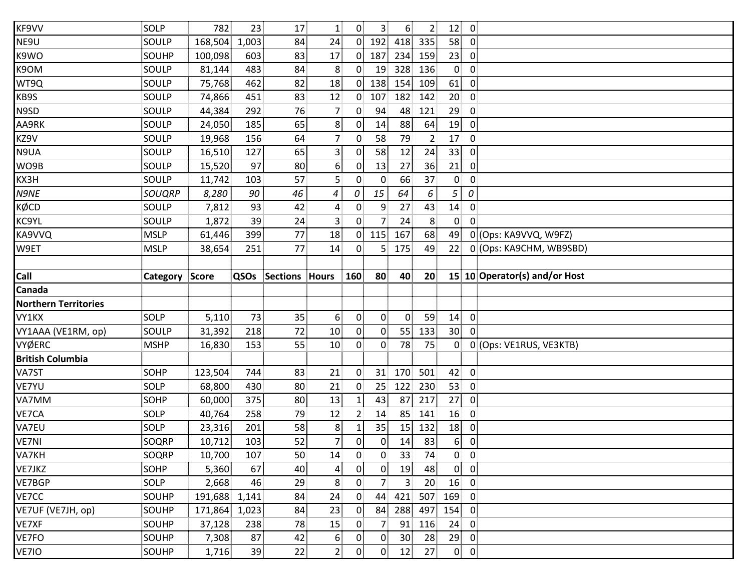| KF9VV                       | SOLP           | 782           | 23    | 17              | $\mathbf{1}$            | 0 <sup>1</sup> | 3 <sup>1</sup>  | 6 <sup>1</sup>  | 2 <sub>1</sub>  | 12 <sub>1</sub> | $\overline{0}$          |                               |
|-----------------------------|----------------|---------------|-------|-----------------|-------------------------|----------------|-----------------|-----------------|-----------------|-----------------|-------------------------|-------------------------------|
| NE9U                        | SOULP          | 168,504       | 1,003 | 84              | 24                      | 0 <sup>1</sup> | 192             | 418             | 335             | 58              | $\overline{0}$          |                               |
| K9WO                        | SOUHP          | 100,098       | 603   | 83              | 17                      | $\mathbf{0}$   | 187             | 234             | 159             | 23              | $\overline{0}$          |                               |
| K9OM                        | SOULP          | 81,144        | 483   | 84              | 8                       | $\mathbf{0}$   | 19              | 328             | 136             | $\overline{0}$  | $\overline{0}$          |                               |
| WT9Q                        | SOULP          | 75,768        | 462   | 82              | 18                      | $\overline{0}$ | 138             | 154             | 109             | 61              | $\mathbf{0}$            |                               |
| KB9S                        | SOULP          | 74,866        | 451   | 83              | 12                      | $\overline{0}$ | 107             | 182             | 142             | 20 <sub>1</sub> | $\overline{0}$          |                               |
| N9SD                        | SOULP          | 44,384        | 292   | 76              | 7 <sub>1</sub>          | 0 <sup>1</sup> | 94              | 48              | 121             | 29              | $\overline{0}$          |                               |
| AA9RK                       | SOULP          | 24,050        | 185   | 65              | 8 <sup>1</sup>          | $\mathbf{0}$   | 14              | 88              | 64              | 19              | $\overline{0}$          |                               |
| KZ9V                        | SOULP          | 19,968        | 156   | 64              | $\overline{7}$          | $\mathbf{0}$   | 58              | 79              | $\overline{2}$  | 17              | $\overline{0}$          |                               |
| N9UA                        | SOULP          | 16,510        | 127   | 65              | $\overline{\mathbf{3}}$ | $\overline{0}$ | 58              | 12              | 24              | 33              | $\mathbf 0$             |                               |
| WO9B                        | SOULP          | 15,520        | 97    | 80              | 6 <sup>1</sup>          | $\mathbf{0}$   | 13              | 27              | 36              | 21              | $\mathbf 0$             |                               |
| KX3H                        | SOULP          | 11,742        | 103   | 57              | $\overline{5}$          | $\mathbf{0}$   | $\mathbf{0}$    | 66              | 37              | $\overline{0}$  | $\mathbf 0$             |                               |
| N9NE                        | <b>SOUQRP</b>  | 8,280         | 90    | 46              | 4                       | 0              | 15              | 64              | 6               | 5               | 0                       |                               |
| KØCD                        | SOULP          | 7,812         | 93    | 42              | $\overline{4}$          | 0 <sup>1</sup> | 9               | 27              | 43              | 14              | $\overline{0}$          |                               |
| KC9YL                       | SOULP          | 1,872         | 39    | 24              | $\overline{3}$          | $\overline{0}$ | 7.              | 24              | 8 <sup>1</sup>  | $\overline{0}$  | $\mathbf 0$             |                               |
| KA9VVQ                      | <b>MSLP</b>    | 61,446        | 399   | 77              | 18                      | $\overline{0}$ | 115             | 167             | 68              | 49              |                         | 0 (Ops: KA9VVQ, W9FZ)         |
| W9ET                        | <b>MSLP</b>    | 38,654        | 251   | 77              | 14                      | $\overline{0}$ | 5               | 175             | 49              | 22              |                         | 0 (Ops: KA9CHM, WB9SBD)       |
|                             |                |               |       |                 |                         |                |                 |                 |                 |                 |                         |                               |
| Call                        | Category Score |               | QSOs  | Sections        | <b>Hours</b>            | 160            | 80              | 40              | 20 <sub>2</sub> |                 |                         | 15 10 Operator(s) and/or Host |
|                             |                |               |       |                 |                         |                |                 |                 |                 |                 |                         |                               |
| Canada                      |                |               |       |                 |                         |                |                 |                 |                 |                 |                         |                               |
| <b>Northern Territories</b> |                |               |       |                 |                         |                |                 |                 |                 |                 |                         |                               |
| VY1KX                       | SOLP           | 5,110         | 73    | 35 <sub>1</sub> | 6                       | $\overline{0}$ | $\overline{0}$  | $\mathbf{0}$    | 59              | 14              | $\overline{0}$          |                               |
| VY1AAA (VE1RM, op)          | SOULP          | 31,392        | 218   | 72              | 10                      | $\mathbf{0}$   | $\overline{0}$  | 55              | 133             | 30 <sup>°</sup> | $\Omega$                |                               |
| VYØERC                      | <b>MSHP</b>    | 16,830        | 153   | 55              | 10                      | 0              | 0               | 78              | 75              | $\overline{0}$  |                         | 0 (Ops: VE1RUS, VE3KTB)       |
| <b>British Columbia</b>     |                |               |       |                 |                         |                |                 |                 |                 |                 |                         |                               |
| VA7ST                       | <b>SOHP</b>    | 123,504       | 744   | 83              | 21                      | $\overline{0}$ | 31              | 170             | 501             | 42              | $\overline{0}$          |                               |
| VE7YU                       | SOLP           | 68,800        | 430   | 80              | 21                      | 0 <sup>1</sup> | 25 <sub>1</sub> | 122             | 230             | 53              | $\overline{0}$          |                               |
| VA7MM                       | SOHP           | 60,000        | 375   | 80 <sup>3</sup> | 13                      | 11             | 43              | 87              | 217             | 27              | $\overline{0}$          |                               |
| VE7CA                       | SOLP           | 40,764        | 258   | 79              | 12                      |                | 14              | 85              | 141             | 16              | $\mathbf{0}$            |                               |
| VA7EU                       | SOLP           | 23,316        | 201   | 58              | 8                       |                | 35              | 15              | 132             | 18              | $\mathbf 0$             |                               |
| VE7NI                       | SOQRP          | 10,712        | 103   | 52              | 7                       | $\overline{0}$ | 0               | 14              | 83              | 6 <sup>1</sup>  | $\overline{0}$          |                               |
| VA7KH                       | SOQRP          | 10,700        | 107   | 50              | 14                      | $\overline{0}$ | $\overline{0}$  | 33              | 74              | $\mathbf{0}$    | $\overline{\mathbf{0}}$ |                               |
| VE7JKZ                      | SOHP           | 5,360         | 67    | 40              | $\overline{a}$          | 0              | $\overline{0}$  | 19              | 48              | $\overline{0}$  | $\overline{0}$          |                               |
| VE7BGP                      | SOLP           | 2,668         | 46    | 29              | 8                       | $\mathbf{0}$   | 7               | 3               | 20              | 16              | $\overline{0}$          |                               |
| VE7CC                       | SOUHP          | 191,688 1,141 |       | 84              | 24                      | 0 <sup>1</sup> | 44              | 421             | 507             | 169             | $\overline{0}$          |                               |
| VE7UF (VE7JH, op)           | SOUHP          | 171,864 1,023 |       | 84              | 23                      | $\mathbf{0}$   | 84              | 288             | 497             | 154             | $\overline{0}$          |                               |
| VE7XF                       | SOUHP          | 37,128        | 238   | 78              | 15                      | $\overline{0}$ | 7 <sup>1</sup>  | 91              | 116             | 24              | $\overline{0}$          |                               |
| VE7FO                       | SOUHP          | 7,308         | 87    | 42              | $6 \overline{6}$        | $\mathbf{0}$   | 0               | 30 <sub>1</sub> | 28              | 29              | $\overline{0}$          |                               |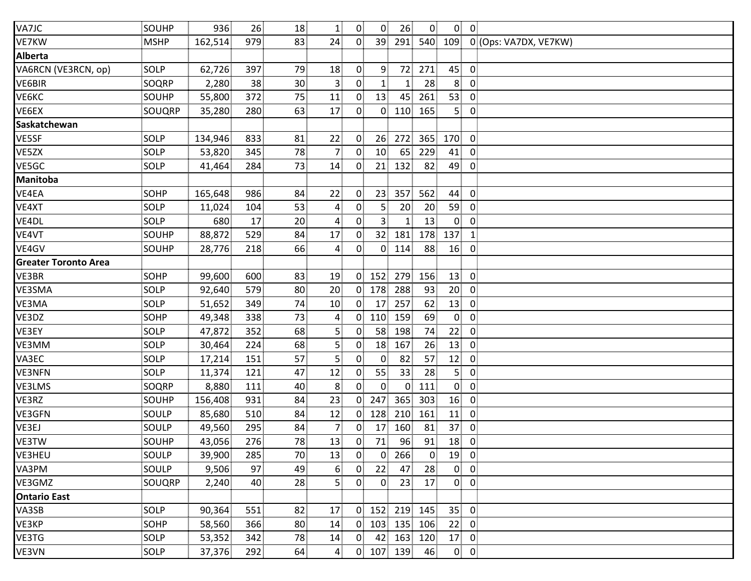| VA7JC                       | SOUHP       | 936     | 26  | 18              | $\mathbf{1}$     | 0 <sup>1</sup> | $\overline{0}$  | 26             | $\overline{0}$ |                 | $0 \quad 0$    |                       |
|-----------------------------|-------------|---------|-----|-----------------|------------------|----------------|-----------------|----------------|----------------|-----------------|----------------|-----------------------|
| VE7KW                       | <b>MSHP</b> | 162,514 | 979 | 83              | 24               | 0 <sup>1</sup> | 39              |                | 291 540        | 109             |                | 0 (Ops: VA7DX, VE7KW) |
| <b>Alberta</b>              |             |         |     |                 |                  |                |                 |                |                |                 |                |                       |
| VA6RCN (VE3RCN, op)         | SOLP        | 62,726  | 397 | 79              | 18               | $\overline{0}$ | 9               | 72             | 271            | 45              | $\overline{0}$ |                       |
| VE6BIR                      | SOQRP       | 2,280   | 38  | 30 <sup>2</sup> | $\mathbf{3}$     | 0              | 1               | 1              | 28             | 8 <sup>3</sup>  | 0              |                       |
| VE6KC                       | SOUHP       | 55,800  | 372 | 75              | 11               | $\mathbf{0}$   | 13              | 45             | 261            | 53              | $\mathbf 0$    |                       |
| VE6EX                       | SOUQRP      | 35,280  | 280 | 63              | 17               | $\overline{0}$ | 0 <sup>1</sup>  | 110            | 165            | 5 <sup>1</sup>  | $\overline{0}$ |                       |
| Saskatchewan                |             |         |     |                 |                  |                |                 |                |                |                 |                |                       |
| VE5SF                       | SOLP        | 134,946 | 833 | 81              | 22               | $\mathbf{0}$   | 26              | 272            | 365            | 170             | $\overline{0}$ |                       |
| VE5ZX                       | SOLP        | 53,820  | 345 | 78              | $\overline{7}$   | $\Omega$       | 10 <sup>1</sup> | 65             | 229            | 41              | 0              |                       |
| VE5GC                       | SOLP        | 41,464  | 284 | 73              | 14               | $\mathbf{0}$   | 21              | 132            | 82             | 49              | $\mathbf 0$    |                       |
| Manitoba                    |             |         |     |                 |                  |                |                 |                |                |                 |                |                       |
| VE4EA                       | <b>SOHP</b> | 165,648 | 986 | 84              | 22               | 0              | 23              | 357            | 562            | 44              | $\overline{0}$ |                       |
| VE4XT                       | SOLP        | 11,024  | 104 | 53              | $\overline{a}$   | 0 <sup>1</sup> | 5 <sup>1</sup>  | 20             | 20             | 59              | $\overline{0}$ |                       |
| VE4DL                       | SOLP        | 680     | 17  | 20              | $\overline{a}$   | $\overline{0}$ | 3               | $\mathbf{1}$   | 13             | $\mathbf{0}$    | $\mathbf 0$    |                       |
| VE4VT                       | SOUHP       | 88,872  | 529 | 84              | 17               | $\mathbf{0}$   | 32 <sup>1</sup> | 181            | 178            | 137             | $\mathbf{1}$   |                       |
| VE4GV                       | SOUHP       | 28,776  | 218 | 66              | 4                | $\mathbf{0}$   | $\overline{0}$  | 114            | 88             | 16              | -0             |                       |
| <b>Greater Toronto Area</b> |             |         |     |                 |                  |                |                 |                |                |                 |                |                       |
| VE3BR                       | <b>SOHP</b> | 99,600  | 600 | 83              | 19               | $\Omega$       | 152             | 279            | 156            | 13              | $\overline{0}$ |                       |
| VE3SMA                      | SOLP        | 92,640  | 579 | 80              | 20               | 0 <sup>1</sup> | 178             | 288            | 93             | 20 <sup>2</sup> | $\overline{0}$ |                       |
| VE3MA                       | SOLP        | 51,652  | 349 | 74              | 10               | $\overline{0}$ | 17 <sup>1</sup> | 257            | 62             | 13              | $\overline{0}$ |                       |
| VE3DZ                       | SOHP        | 49,348  | 338 | 73              | $\overline{4}$   | $\overline{0}$ | 110             | 159            | 69             | $\overline{0}$  | $\mathbf 0$    |                       |
| VE3EY                       | SOLP        | 47,872  | 352 | 68              | $\overline{5}$   | $\mathbf{0}$   | 58              | 198            | 74             | 22              | $\overline{0}$ |                       |
| VE3MM                       | SOLP        | 30,464  | 224 | 68              | $\overline{5}$   | $\overline{0}$ | 18 <sup>1</sup> | 167            | 26             | 13              | $\mathbf 0$    |                       |
| VA3EC                       | SOLP        | 17,214  | 151 | 57              | 5                | $\mathbf{0}$   | $\overline{0}$  | 82             | 57             | 12              | $\mathbf 0$    |                       |
| <b>VE3NFN</b>               | SOLP        | 11,374  | 121 | 47              | 12               | $\overline{0}$ | 55              | 33             | 28             | 5 <sup>1</sup>  | $\overline{0}$ |                       |
| VE3LMS                      | SOQRP       | 8,880   | 111 | 40              | 8                | $0^{\circ}$    | 0 <sup>1</sup>  | $\overline{0}$ | 111            | $\mathbf{0}$    | $\overline{0}$ |                       |
| VE3RZ                       | SOUHP       | 156,408 | 931 | 84              | 23               | $\overline{0}$ | 247             | 365            | 303            | 16              | $\overline{0}$ |                       |
| VE3GFN                      | SOULP       | 85,680  | 510 | 84              | 12               | $\mathbf{0}$   | 128             | 210            | 161            | 11              | 0              |                       |
| VE3EJ                       | SOULP       | 49,560  | 295 | 84              | $\overline{7}$   | 0              | 17              | 160            | 81             | 37              | $\overline{0}$ |                       |
| VE3TW                       | SOUHP       | 43,056  | 276 | 78              | 13               | $\overline{0}$ | 71              | 96             | 91             | 18              | $\overline{0}$ |                       |
| VE3HEU                      | SOULP       | 39,900  | 285 | 70              | 13               | 0 <sup>1</sup> | $\overline{0}$  | 266            | $\mathbf 0$    | 19              | $\overline{0}$ |                       |
| VA3PM                       | SOULP       | 9,506   | 97  | 49              | 6                | 0              | 22              | 47             | 28             | $\overline{0}$  | $\overline{0}$ |                       |
| VE3GMZ                      | SOUQRP      | 2,240   | 40  | 28              | 5                | 0              | $\overline{0}$  | 23             | 17             | $\mathbf{0}$    | $\overline{0}$ |                       |
| <b>Ontario East</b>         |             |         |     |                 |                  |                |                 |                |                |                 |                |                       |
| VA3SB                       | SOLP        | 90,364  | 551 | 82              | 17               | $\mathbf{0}$   | 152             | 219            | 145            | 35              | $\mathbf 0$    |                       |
| VE3KP                       | SOHP        | 58,560  | 366 | 80              | 14               | 0              | 103             | 135            | 106            | 22              | $\mathbf 0$    |                       |
| VE3TG                       | SOLP        | 53,352  | 342 | 78              | 14               | 0              | 42              | 163            | 120            | 17              | $\mathbf 0$    |                       |
| VE3VN                       | SOLP        | 37,376  | 292 | 64              | $\boldsymbol{4}$ |                | $0$ 107         | 139            | 46             |                 | $0 \quad 0$    |                       |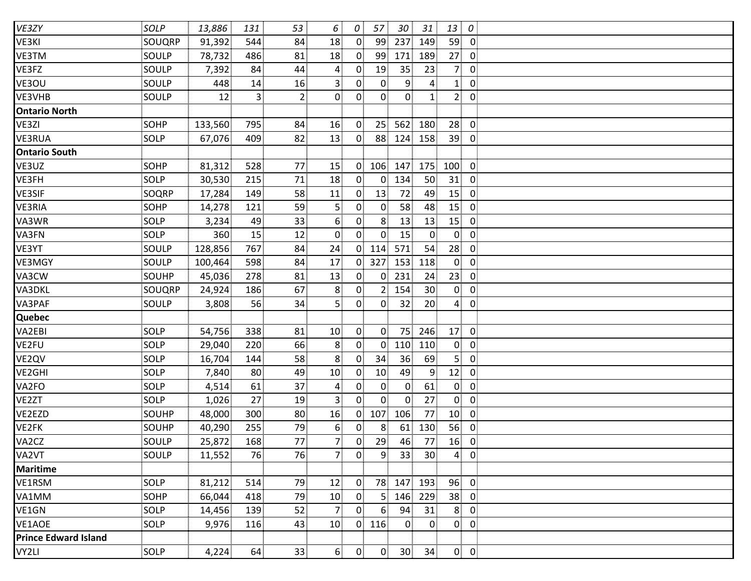| VE3ZY                       | SOLP         | 13,886  | 131            | 53             | 6               | 0              | 57              | 30              | 31              | 13              | $\cal O$       |  |
|-----------------------------|--------------|---------|----------------|----------------|-----------------|----------------|-----------------|-----------------|-----------------|-----------------|----------------|--|
| VE3KI                       | SOUQRP       | 91,392  | 544            | 84             | 18              | $\overline{0}$ | 99              | 237             | 149             | 59              | $\overline{0}$ |  |
| VE3TM                       | SOULP        | 78,732  | 486            | 81             | 18              | $\mathbf{0}$   | 99              | 171             | 189             | 27              | $\mathbf 0$    |  |
| VE3FZ                       | SOULP        | 7,392   | 84             | 44             | 4               | 0 <sup>1</sup> | 19              | 35              | 23              | 7 <sup>1</sup>  | $\mathbf 0$    |  |
| VE3OU                       | SOULP        | 448     | 14             | 16             | 3 <sup>3</sup>  | $\overline{0}$ | $\overline{0}$  | 9               | $\mathbf{4}$    | $\mathbf{1}$    | $\mathbf 0$    |  |
| VE3VHB                      | SOULP        | 12      | 3 <sup>1</sup> | $\overline{2}$ | $\mathbf{0}$    | 0              | $\overline{0}$  | $\overline{0}$  | 1 <sup>1</sup>  | 2 <sub>1</sub>  | $\mathbf 0$    |  |
| <b>Ontario North</b>        |              |         |                |                |                 |                |                 |                 |                 |                 |                |  |
| VE3ZI                       | SOHP         | 133,560 | 795            | 84             | 16              | $\overline{0}$ | 25 <sup>1</sup> | 562             | 180             | 28              | $\mathbf 0$    |  |
| VE3RUA                      | SOLP         | 67,076  | 409            | 82             | 13              | $\overline{0}$ | 88 <sup>1</sup> | 124             | 158             | 39              | $\mathbf 0$    |  |
| <b>Ontario South</b>        |              |         |                |                |                 |                |                 |                 |                 |                 |                |  |
| VE3UZ                       | SOHP         | 81,312  | 528            | 77             | 15              | $\overline{0}$ | 106             | 147             | 175             | 100             | $\mathbf 0$    |  |
| VE3FH                       | SOLP         | 30,530  | 215            | 71             | 18              | 0 <sup>1</sup> | $\overline{0}$  | 134             | 50              | 31              | $\mathbf 0$    |  |
| <b>VE3SIF</b>               | SOQRP        | 17,284  | 149            | 58             | 11              | $\overline{0}$ | 13              | 72              | 49              | 15              | $\mathbf 0$    |  |
| VE3RIA                      | SOHP         | 14,278  | 121            | 59             | $\overline{5}$  | $\overline{0}$ | $\overline{0}$  | 58              | 48              | 15              | $\mathbf 0$    |  |
| VA3WR                       | SOLP         | 3,234   | 49             | 33             | 6               | 0 <sup>1</sup> | 8 <sup>1</sup>  | 13              | 13              | 15              | $\mathbf 0$    |  |
| VA3FN                       | SOLP         | 360     | 15             | 12             | $\mathbf{0}$    | 0              | $\overline{0}$  | 15              | $\overline{0}$  | $\overline{0}$  | $\mathbf 0$    |  |
| VE3YT                       | SOULP        | 128,856 | 767            | 84             | 24              | $\overline{0}$ | 114             | 571             | 54              | 28              | $\mathbf 0$    |  |
| VE3MGY                      | SOULP        | 100,464 | 598            | 84             | 17              | $\mathbf{0}$   | 327             | 153             | 118             | $\mathbf{0}$    | $\mathbf 0$    |  |
| VA3CW                       | SOUHP        | 45,036  | 278            | 81             | 13              | $\mathbf{0}$   | $\mathbf{0}$    | 231             | 24              | 23              | $\mathbf 0$    |  |
| VA3DKL                      | SOUQRP       | 24,924  | 186            | 67             | 8               | $\overline{0}$ | 2 <sup>1</sup>  | 154             | 30 <sup>2</sup> | $\overline{0}$  | $\mathbf 0$    |  |
| VA3PAF                      | SOULP        | 3,808   | 56             | 34             | 5 <sup>1</sup>  | $\overline{0}$ | $\overline{0}$  | 32              | 20 <sup>2</sup> | $\overline{4}$  | $\mathbf 0$    |  |
| <b>Quebec</b>               |              |         |                |                |                 |                |                 |                 |                 |                 |                |  |
| VA2EBI                      | SOLP         | 54,756  | 338            | 81             | 10              | $\overline{0}$ | $\overline{0}$  | 75              | 246             | 17              | $\mathbf 0$    |  |
| VE2FU                       | SOLP         | 29,040  | 220            | 66             | 8               | $\overline{0}$ | $\overline{0}$  | 110             | 110             | 0               | $\mathbf 0$    |  |
| VE2QV                       | SOLP         | 16,704  | 144            | 58             | 8               | 0 <sup>1</sup> | 34              | 36              | 69              | 5 <sup>1</sup>  | $\mathbf 0$    |  |
| VE2GHI                      | SOLP         | 7,840   | 80             | 49             | 10 <sup>1</sup> | 0 <sup>1</sup> | 10              | 49              | 9               | 12              | $\mathbf 0$    |  |
| VA2FO                       | SOLP         | 4,514   | 61             | 37             | 4               | 0 <sup>1</sup> | $\overline{0}$  | $\mathbf{0}$    | 61              | $\mathbf{0}$    | $\mathbf 0$    |  |
| VE2ZT                       | SOLP         | 1,026   | 27             | 19             | 3 <sup>1</sup>  | $\overline{0}$ | $\overline{0}$  | $\overline{0}$  | 27              | $\overline{0}$  | $\overline{0}$ |  |
| VE2EZD                      | SOUHP        | 48,000  | 300            | 80             | 16              | $\overline{0}$ | 107             | 106             | 77              | 10 <sup>1</sup> | $\mathbf 0$    |  |
| VE2FK                       | <b>SOUHP</b> | 40,290  | 255            | 79             | 6 <sup>1</sup>  | $\overline{0}$ | 8 <sub>1</sub>  | 61              | 130             | 56              | $\mathbf 0$    |  |
| VA2CZ                       | SOULP        | 25,872  | 168            | 77             | 7 <sup>1</sup>  | 0 <sup>1</sup> | 29              | 46              | 77              | 16              | $\overline{0}$ |  |
| VA2VT                       | SOULP        | 11,552  | 76             | 76             | 7 <sup>1</sup>  | $\overline{0}$ | $\overline{9}$  | 33              | 30              | 4               | $\overline{0}$ |  |
| <b>Maritime</b>             |              |         |                |                |                 |                |                 |                 |                 |                 |                |  |
| VE1RSM                      | SOLP         | 81,212  | 514            | 79             | 12              | $\mathbf{0}$   | 78              | 147             | 193             | 96              | $\mathbf 0$    |  |
| VA1MM                       | <b>SOHP</b>  | 66,044  | 418            | 79             | 10              | $\overline{0}$ | 5 <sup>1</sup>  | 146             | 229             | 38              | $\overline{0}$ |  |
| VE1GN                       | SOLP         | 14,456  | 139            | 52             | $\overline{7}$  | $\mathbf{0}$   | 6 <sup>1</sup>  | 94              | 31              | 8               | $\mathbf 0$    |  |
| VE1AOE                      | SOLP         | 9,976   | 116            | 43             | 10 <sup>1</sup> | 0              | 116             | $\mathbf{0}$    | $\overline{0}$  | $\overline{0}$  | $\mathbf 0$    |  |
| <b>Prince Edward Island</b> |              |         |                |                |                 |                |                 |                 |                 |                 |                |  |
| VY2LI                       | SOLP         | 4,224   | 64             | 33             | 6 <sup>1</sup>  | $\overline{0}$ | $\overline{0}$  | 30 <sup>2</sup> | 34              |                 | $0 \quad 0$    |  |
|                             |              |         |                |                |                 |                |                 |                 |                 |                 |                |  |